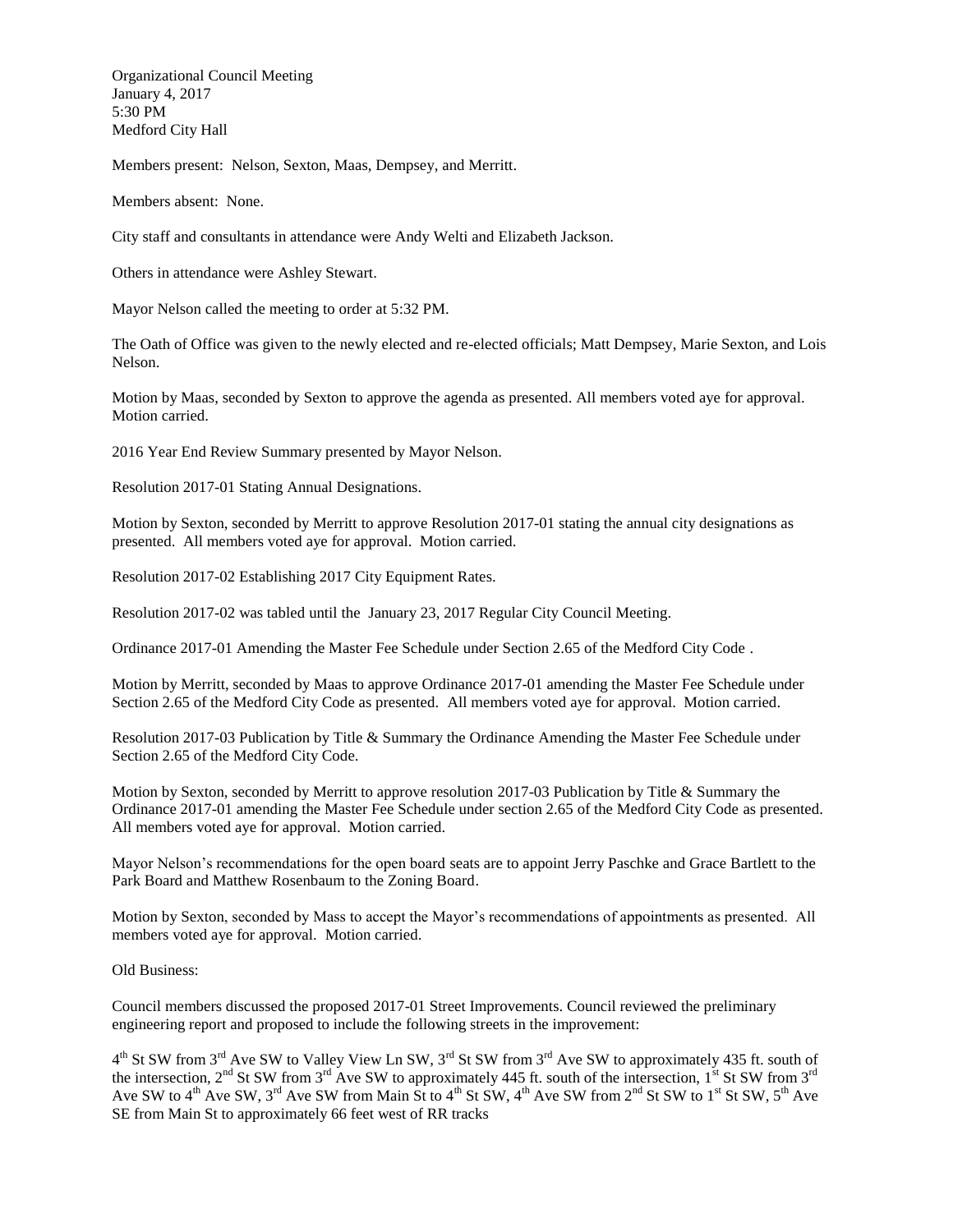Organizational Council Meeting January 4, 2017 5:30 PM Medford City Hall

Members present: Nelson, Sexton, Maas, Dempsey, and Merritt.

Members absent: None.

City staff and consultants in attendance were Andy Welti and Elizabeth Jackson.

Others in attendance were Ashley Stewart.

Mayor Nelson called the meeting to order at 5:32 PM.

The Oath of Office was given to the newly elected and re-elected officials; Matt Dempsey, Marie Sexton, and Lois Nelson.

Motion by Maas, seconded by Sexton to approve the agenda as presented. All members voted aye for approval. Motion carried.

2016 Year End Review Summary presented by Mayor Nelson.

Resolution 2017-01 Stating Annual Designations.

Motion by Sexton, seconded by Merritt to approve Resolution 2017-01 stating the annual city designations as presented. All members voted aye for approval. Motion carried.

Resolution 2017-02 Establishing 2017 City Equipment Rates.

Resolution 2017-02 was tabled until the January 23, 2017 Regular City Council Meeting.

Ordinance 2017-01 Amending the Master Fee Schedule under Section 2.65 of the Medford City Code .

Motion by Merritt, seconded by Maas to approve Ordinance 2017-01 amending the Master Fee Schedule under Section 2.65 of the Medford City Code as presented. All members voted aye for approval. Motion carried.

Resolution 2017-03 Publication by Title & Summary the Ordinance Amending the Master Fee Schedule under Section 2.65 of the Medford City Code.

Motion by Sexton, seconded by Merritt to approve resolution 2017-03 Publication by Title & Summary the Ordinance 2017-01 amending the Master Fee Schedule under section 2.65 of the Medford City Code as presented. All members voted aye for approval. Motion carried.

Mayor Nelson's recommendations for the open board seats are to appoint Jerry Paschke and Grace Bartlett to the Park Board and Matthew Rosenbaum to the Zoning Board.

Motion by Sexton, seconded by Mass to accept the Mayor's recommendations of appointments as presented. All members voted aye for approval. Motion carried.

Old Business:

Council members discussed the proposed 2017-01 Street Improvements. Council reviewed the preliminary engineering report and proposed to include the following streets in the improvement:

 $4<sup>th</sup>$  St SW from 3<sup>rd</sup> Ave SW to Valley View Ln SW, 3<sup>rd</sup> St SW from 3<sup>rd</sup> Ave SW to approximately 435 ft. south of the intersection,  $2<sup>nd</sup>$  St SW from  $3<sup>rd</sup>$  Ave SW to approximately 445 ft. south of the intersection, 1<sup>st</sup> St SW from  $3<sup>rd</sup>$ Ave SW to  $4<sup>th</sup>$  Ave SW,  $3<sup>rd</sup>$  Ave SW from Main St to  $4<sup>th</sup>$  St SW,  $4<sup>th</sup>$  Ave SW from  $2<sup>nd</sup>$  St SW to  $1<sup>st</sup>$  St SW,  $5<sup>th</sup>$  Ave SE from Main St to approximately 66 feet west of RR tracks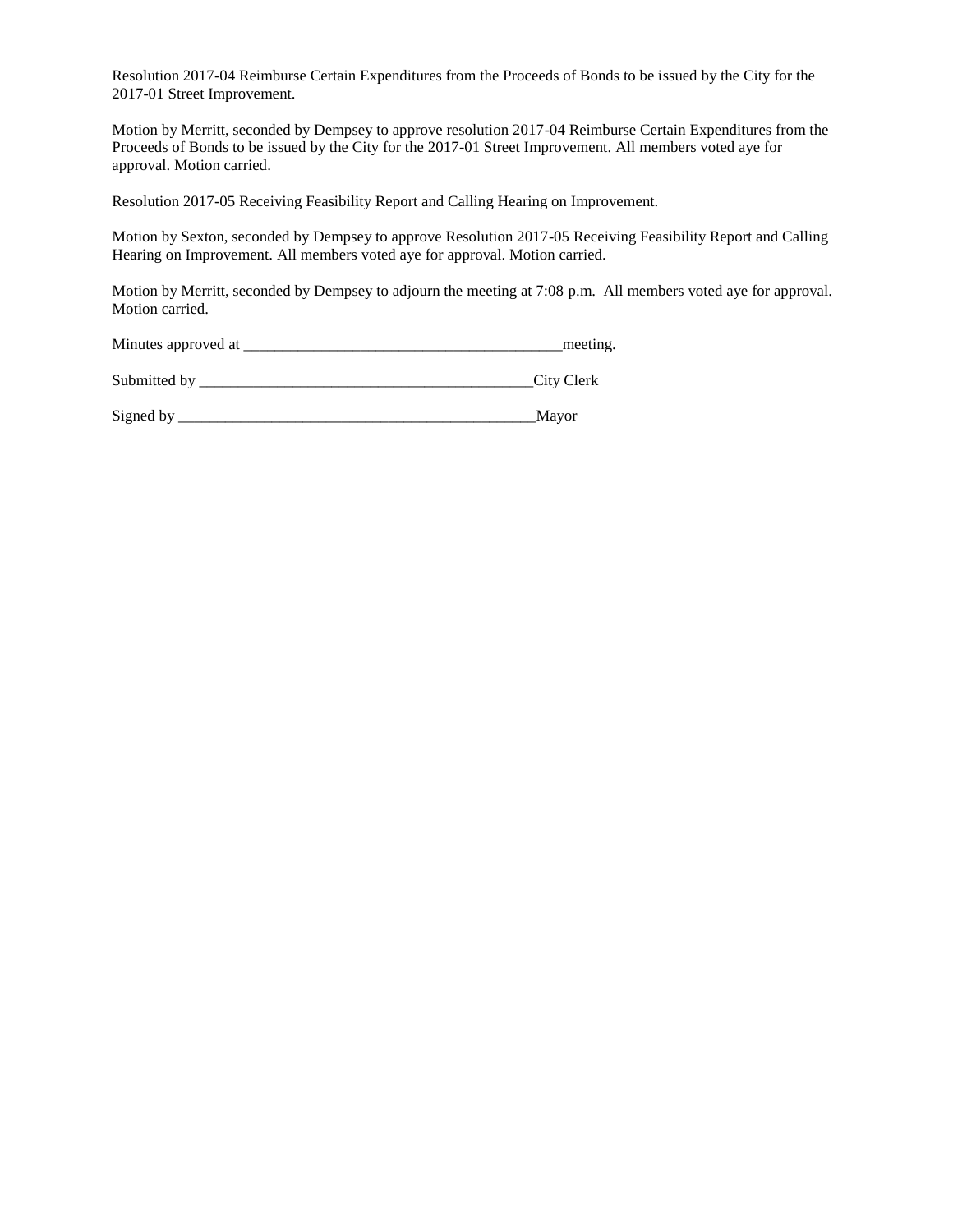Resolution 2017-04 Reimburse Certain Expenditures from the Proceeds of Bonds to be issued by the City for the 2017-01 Street Improvement.

Motion by Merritt, seconded by Dempsey to approve resolution 2017-04 Reimburse Certain Expenditures from the Proceeds of Bonds to be issued by the City for the 2017-01 Street Improvement. All members voted aye for approval. Motion carried.

Resolution 2017-05 Receiving Feasibility Report and Calling Hearing on Improvement.

Motion by Sexton, seconded by Dempsey to approve Resolution 2017-05 Receiving Feasibility Report and Calling Hearing on Improvement. All members voted aye for approval. Motion carried.

Motion by Merritt, seconded by Dempsey to adjourn the meeting at 7:08 p.m. All members voted aye for approval. Motion carried.

| Minutes approved at |  | meeting |
|---------------------|--|---------|
|---------------------|--|---------|

| Submitted by |  | City Clerk |
|--------------|--|------------|
|              |  |            |

Signed by \_\_\_\_\_\_\_\_\_\_\_\_\_\_\_\_\_\_\_\_\_\_\_\_\_\_\_\_\_\_\_\_\_\_\_\_\_\_\_\_\_\_\_\_\_\_Mayor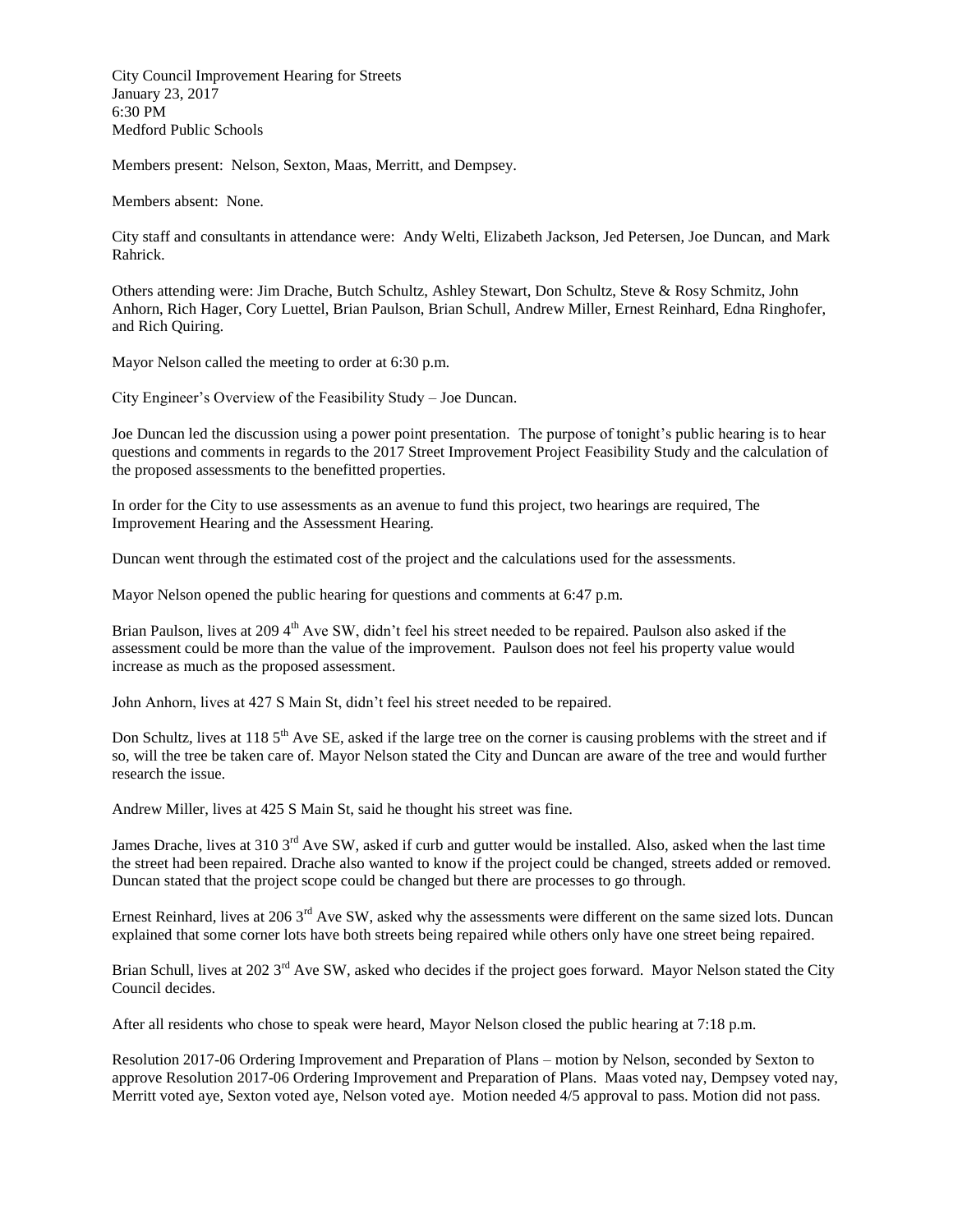City Council Improvement Hearing for Streets January 23, 2017 6:30 PM Medford Public Schools

Members present: Nelson, Sexton, Maas, Merritt, and Dempsey.

Members absent: None.

City staff and consultants in attendance were: Andy Welti, Elizabeth Jackson, Jed Petersen, Joe Duncan, and Mark Rahrick.

Others attending were: Jim Drache, Butch Schultz, Ashley Stewart, Don Schultz, Steve & Rosy Schmitz, John Anhorn, Rich Hager, Cory Luettel, Brian Paulson, Brian Schull, Andrew Miller, Ernest Reinhard, Edna Ringhofer, and Rich Quiring.

Mayor Nelson called the meeting to order at 6:30 p.m.

City Engineer's Overview of the Feasibility Study – Joe Duncan.

Joe Duncan led the discussion using a power point presentation. The purpose of tonight's public hearing is to hear questions and comments in regards to the 2017 Street Improvement Project Feasibility Study and the calculation of the proposed assessments to the benefitted properties.

In order for the City to use assessments as an avenue to fund this project, two hearings are required, The Improvement Hearing and the Assessment Hearing.

Duncan went through the estimated cost of the project and the calculations used for the assessments.

Mayor Nelson opened the public hearing for questions and comments at 6:47 p.m.

Brian Paulson, lives at 2094<sup>th</sup> Ave SW, didn't feel his street needed to be repaired. Paulson also asked if the assessment could be more than the value of the improvement. Paulson does not feel his property value would increase as much as the proposed assessment.

John Anhorn, lives at 427 S Main St, didn't feel his street needed to be repaired.

Don Schultz, lives at 118 5<sup>th</sup> Ave SE, asked if the large tree on the corner is causing problems with the street and if so, will the tree be taken care of. Mayor Nelson stated the City and Duncan are aware of the tree and would further research the issue.

Andrew Miller, lives at 425 S Main St, said he thought his street was fine.

James Drache, lives at 310 3<sup>rd</sup> Ave SW, asked if curb and gutter would be installed. Also, asked when the last time the street had been repaired. Drache also wanted to know if the project could be changed, streets added or removed. Duncan stated that the project scope could be changed but there are processes to go through.

Ernest Reinhard, lives at 206 3<sup>rd</sup> Ave SW, asked why the assessments were different on the same sized lots. Duncan explained that some corner lots have both streets being repaired while others only have one street being repaired.

Brian Schull, lives at 202  $3<sup>rd</sup>$  Ave SW, asked who decides if the project goes forward. Mayor Nelson stated the City Council decides.

After all residents who chose to speak were heard, Mayor Nelson closed the public hearing at 7:18 p.m.

Resolution 2017-06 Ordering Improvement and Preparation of Plans – motion by Nelson, seconded by Sexton to approve Resolution 2017-06 Ordering Improvement and Preparation of Plans. Maas voted nay, Dempsey voted nay, Merritt voted aye, Sexton voted aye, Nelson voted aye. Motion needed 4/5 approval to pass. Motion did not pass.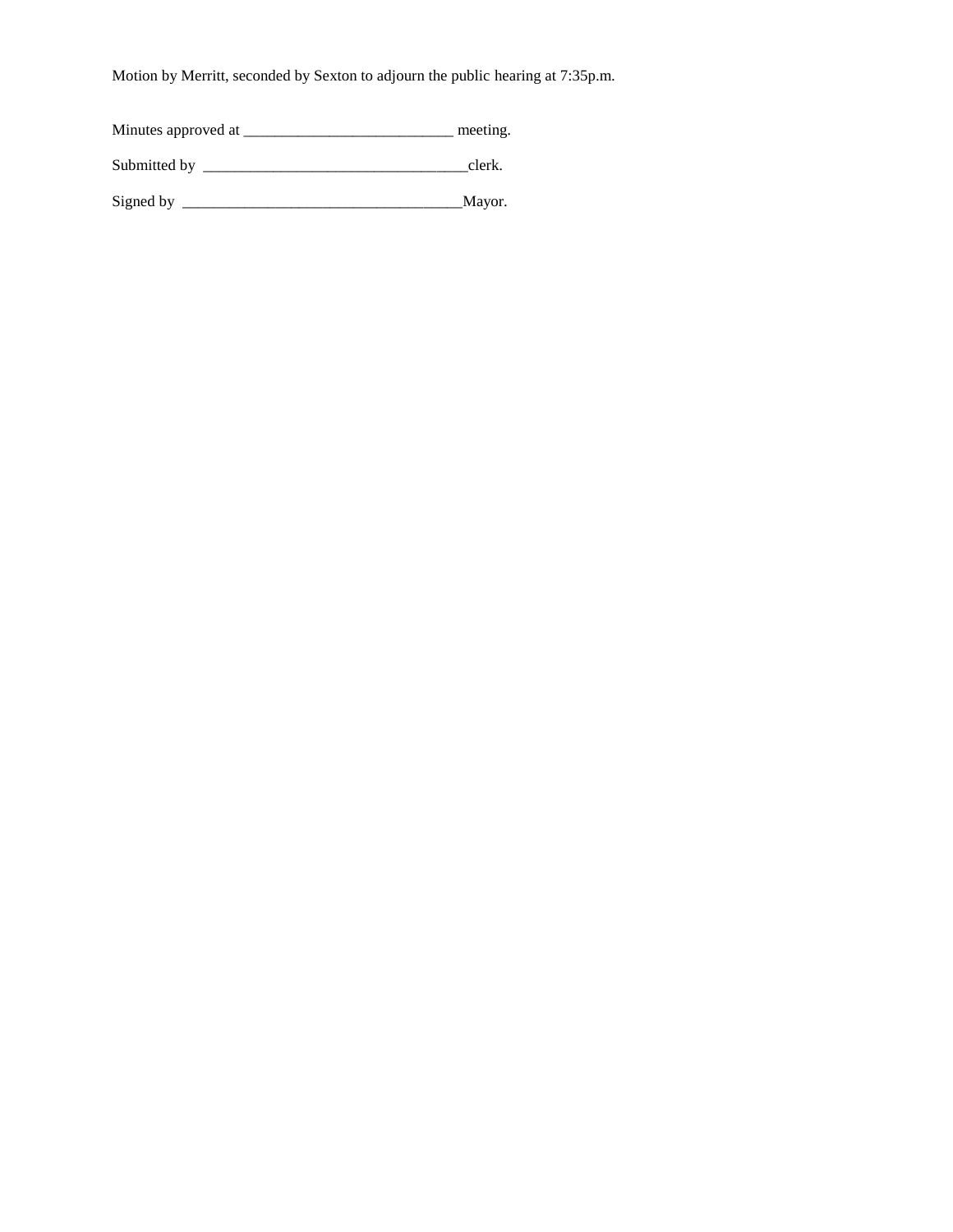Motion by Merritt, seconded by Sexton to adjourn the public hearing at 7:35p.m.

Minutes approved at \_\_\_\_\_\_\_\_\_\_\_\_\_\_\_\_\_\_\_\_\_\_\_\_\_\_\_\_\_\_\_\_\_\_ meeting.

Submitted by \_\_\_\_\_\_\_\_\_\_\_\_\_\_\_\_\_\_\_\_\_\_\_\_\_\_\_\_\_\_\_\_\_\_clerk.

Signed by \_\_\_\_\_\_\_\_\_\_\_\_\_\_\_\_\_\_\_\_\_\_\_\_\_\_\_\_\_\_\_\_\_\_\_\_Mayor.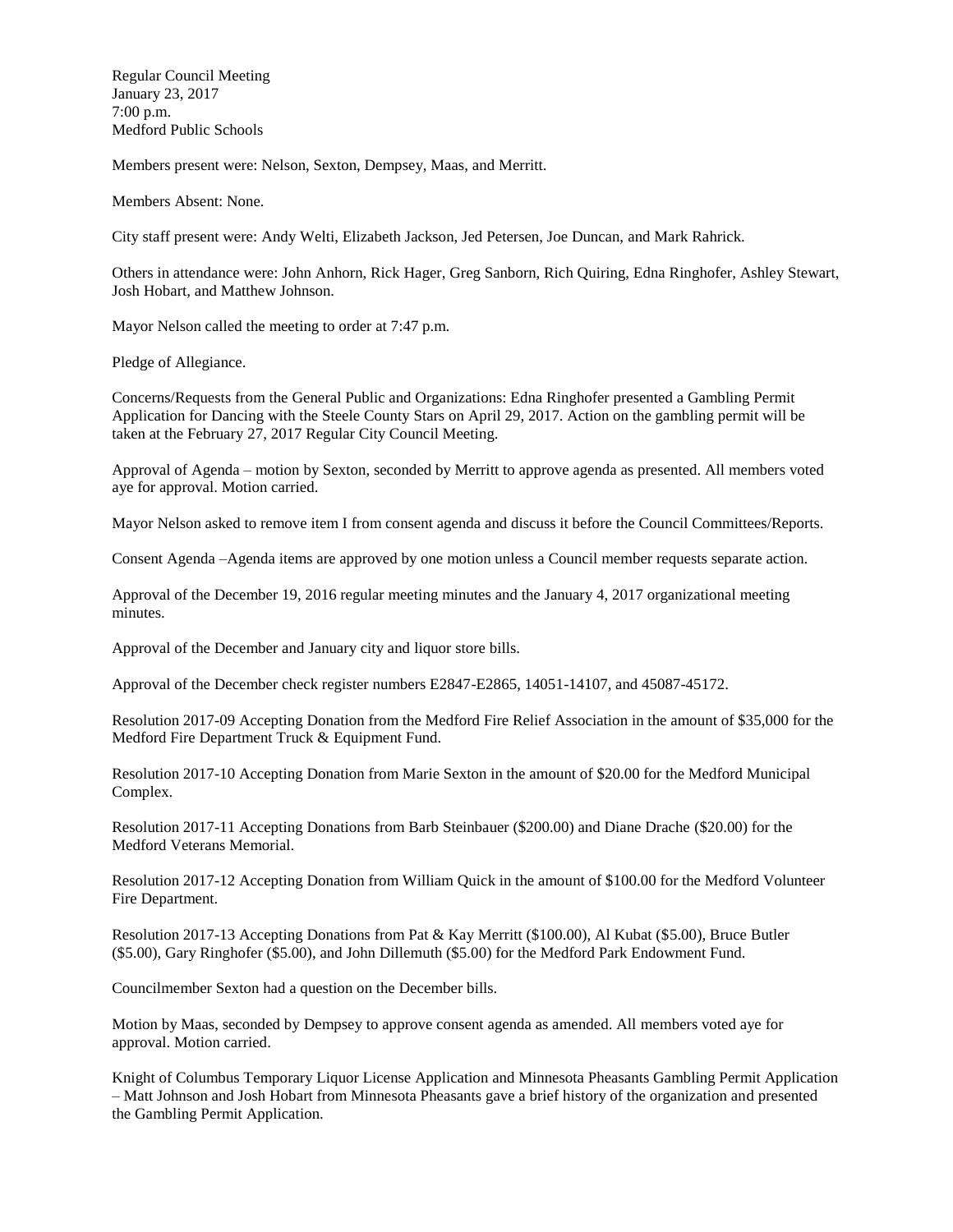Regular Council Meeting January 23, 2017 7:00 p.m. Medford Public Schools

Members present were: Nelson, Sexton, Dempsey, Maas, and Merritt.

Members Absent: None.

City staff present were: Andy Welti, Elizabeth Jackson, Jed Petersen, Joe Duncan, and Mark Rahrick.

Others in attendance were: John Anhorn, Rick Hager, Greg Sanborn, Rich Quiring, Edna Ringhofer, Ashley Stewart, Josh Hobart, and Matthew Johnson.

Mayor Nelson called the meeting to order at 7:47 p.m.

Pledge of Allegiance.

Concerns/Requests from the General Public and Organizations: Edna Ringhofer presented a Gambling Permit Application for Dancing with the Steele County Stars on April 29, 2017. Action on the gambling permit will be taken at the February 27, 2017 Regular City Council Meeting.

Approval of Agenda – motion by Sexton, seconded by Merritt to approve agenda as presented. All members voted aye for approval. Motion carried.

Mayor Nelson asked to remove item I from consent agenda and discuss it before the Council Committees/Reports.

Consent Agenda –Agenda items are approved by one motion unless a Council member requests separate action.

Approval of the December 19, 2016 regular meeting minutes and the January 4, 2017 organizational meeting minutes.

Approval of the December and January city and liquor store bills.

Approval of the December check register numbers E2847-E2865, 14051-14107, and 45087-45172.

Resolution 2017-09 Accepting Donation from the Medford Fire Relief Association in the amount of \$35,000 for the Medford Fire Department Truck & Equipment Fund.

Resolution 2017-10 Accepting Donation from Marie Sexton in the amount of \$20.00 for the Medford Municipal Complex.

Resolution 2017-11 Accepting Donations from Barb Steinbauer (\$200.00) and Diane Drache (\$20.00) for the Medford Veterans Memorial.

Resolution 2017-12 Accepting Donation from William Quick in the amount of \$100.00 for the Medford Volunteer Fire Department.

Resolution 2017-13 Accepting Donations from Pat & Kay Merritt (\$100.00), Al Kubat (\$5.00), Bruce Butler (\$5.00), Gary Ringhofer (\$5.00), and John Dillemuth (\$5.00) for the Medford Park Endowment Fund.

Councilmember Sexton had a question on the December bills.

Motion by Maas, seconded by Dempsey to approve consent agenda as amended. All members voted aye for approval. Motion carried.

Knight of Columbus Temporary Liquor License Application and Minnesota Pheasants Gambling Permit Application – Matt Johnson and Josh Hobart from Minnesota Pheasants gave a brief history of the organization and presented the Gambling Permit Application.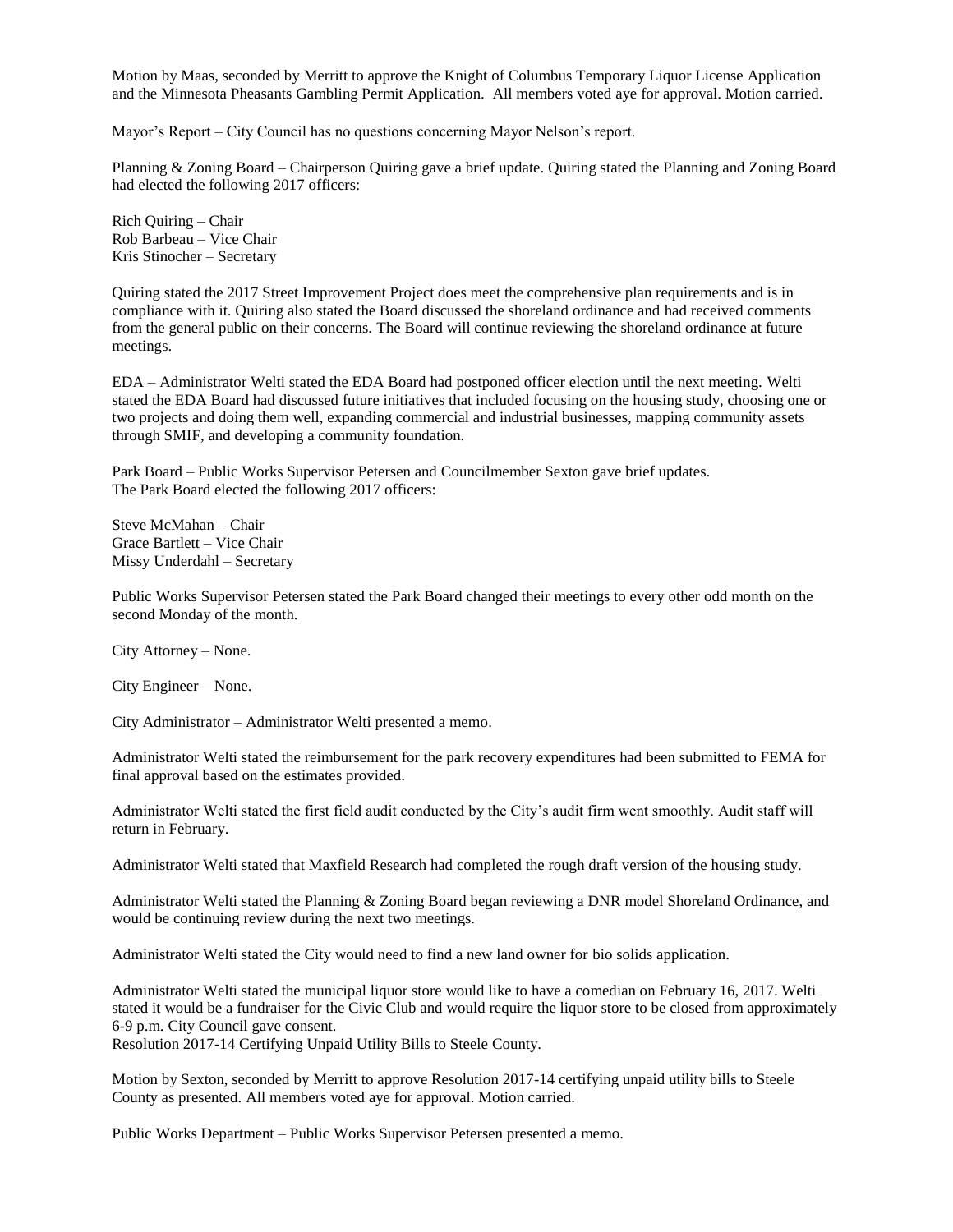Motion by Maas, seconded by Merritt to approve the Knight of Columbus Temporary Liquor License Application and the Minnesota Pheasants Gambling Permit Application. All members voted aye for approval. Motion carried.

Mayor's Report – City Council has no questions concerning Mayor Nelson's report.

Planning & Zoning Board – Chairperson Quiring gave a brief update. Quiring stated the Planning and Zoning Board had elected the following 2017 officers:

Rich Quiring – Chair Rob Barbeau – Vice Chair Kris Stinocher – Secretary

Quiring stated the 2017 Street Improvement Project does meet the comprehensive plan requirements and is in compliance with it. Quiring also stated the Board discussed the shoreland ordinance and had received comments from the general public on their concerns. The Board will continue reviewing the shoreland ordinance at future meetings.

EDA – Administrator Welti stated the EDA Board had postponed officer election until the next meeting. Welti stated the EDA Board had discussed future initiatives that included focusing on the housing study, choosing one or two projects and doing them well, expanding commercial and industrial businesses, mapping community assets through SMIF, and developing a community foundation.

Park Board – Public Works Supervisor Petersen and Councilmember Sexton gave brief updates. The Park Board elected the following 2017 officers:

Steve McMahan – Chair Grace Bartlett – Vice Chair Missy Underdahl – Secretary

Public Works Supervisor Petersen stated the Park Board changed their meetings to every other odd month on the second Monday of the month.

City Attorney – None.

City Engineer – None.

City Administrator – Administrator Welti presented a memo.

Administrator Welti stated the reimbursement for the park recovery expenditures had been submitted to FEMA for final approval based on the estimates provided.

Administrator Welti stated the first field audit conducted by the City's audit firm went smoothly. Audit staff will return in February.

Administrator Welti stated that Maxfield Research had completed the rough draft version of the housing study.

Administrator Welti stated the Planning & Zoning Board began reviewing a DNR model Shoreland Ordinance, and would be continuing review during the next two meetings.

Administrator Welti stated the City would need to find a new land owner for bio solids application.

Administrator Welti stated the municipal liquor store would like to have a comedian on February 16, 2017. Welti stated it would be a fundraiser for the Civic Club and would require the liquor store to be closed from approximately 6-9 p.m. City Council gave consent.

Resolution 2017-14 Certifying Unpaid Utility Bills to Steele County.

Motion by Sexton, seconded by Merritt to approve Resolution 2017-14 certifying unpaid utility bills to Steele County as presented. All members voted aye for approval. Motion carried.

Public Works Department – Public Works Supervisor Petersen presented a memo.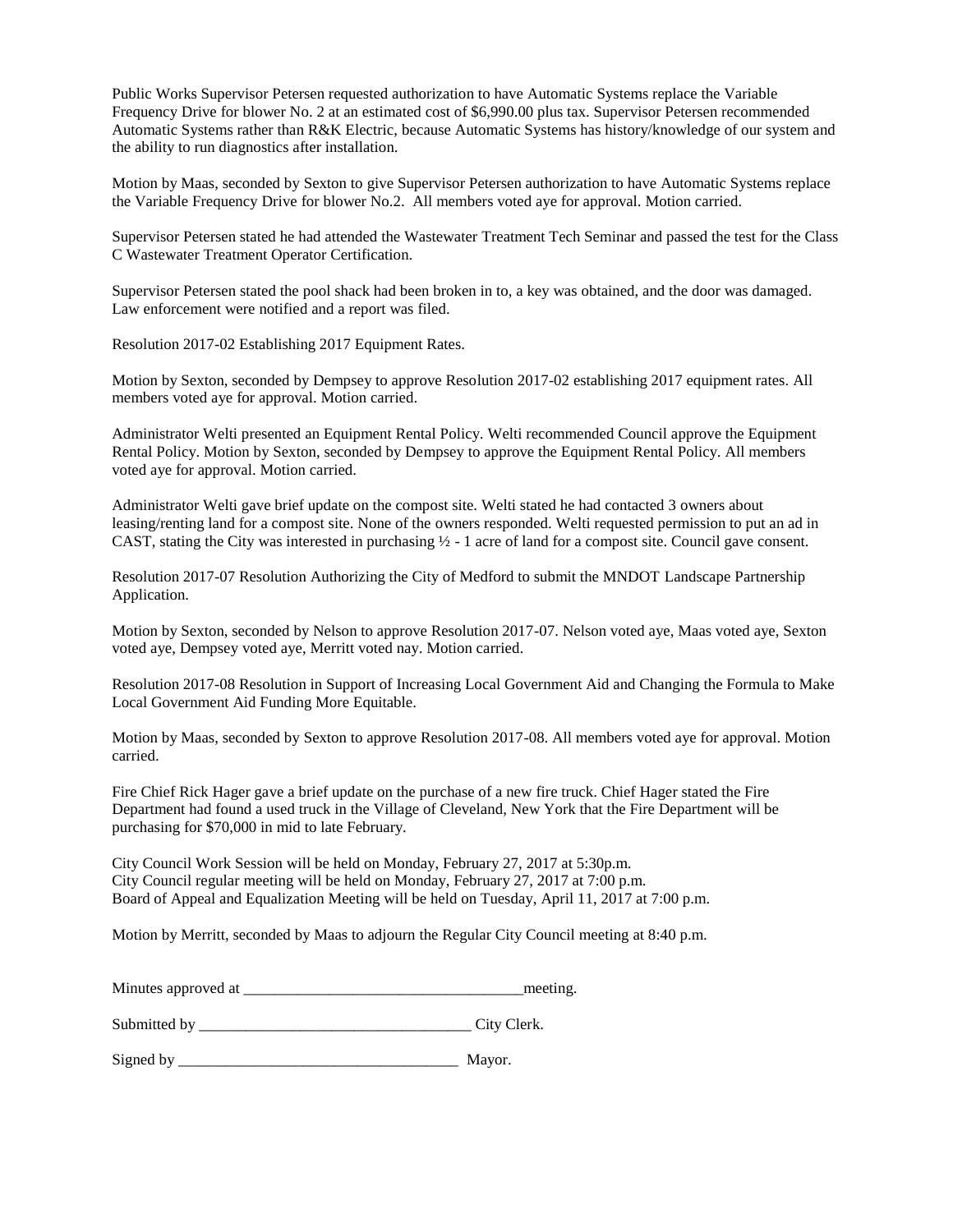Public Works Supervisor Petersen requested authorization to have Automatic Systems replace the Variable Frequency Drive for blower No. 2 at an estimated cost of \$6,990.00 plus tax. Supervisor Petersen recommended Automatic Systems rather than R&K Electric, because Automatic Systems has history/knowledge of our system and the ability to run diagnostics after installation.

Motion by Maas, seconded by Sexton to give Supervisor Petersen authorization to have Automatic Systems replace the Variable Frequency Drive for blower No.2. All members voted aye for approval. Motion carried.

Supervisor Petersen stated he had attended the Wastewater Treatment Tech Seminar and passed the test for the Class C Wastewater Treatment Operator Certification.

Supervisor Petersen stated the pool shack had been broken in to, a key was obtained, and the door was damaged. Law enforcement were notified and a report was filed.

Resolution 2017-02 Establishing 2017 Equipment Rates.

Motion by Sexton, seconded by Dempsey to approve Resolution 2017-02 establishing 2017 equipment rates. All members voted aye for approval. Motion carried.

Administrator Welti presented an Equipment Rental Policy. Welti recommended Council approve the Equipment Rental Policy. Motion by Sexton, seconded by Dempsey to approve the Equipment Rental Policy. All members voted aye for approval. Motion carried.

Administrator Welti gave brief update on the compost site. Welti stated he had contacted 3 owners about leasing/renting land for a compost site. None of the owners responded. Welti requested permission to put an ad in CAST, stating the City was interested in purchasing  $\frac{1}{2}$  - 1 acre of land for a compost site. Council gave consent.

Resolution 2017-07 Resolution Authorizing the City of Medford to submit the MNDOT Landscape Partnership Application.

Motion by Sexton, seconded by Nelson to approve Resolution 2017-07. Nelson voted aye, Maas voted aye, Sexton voted aye, Dempsey voted aye, Merritt voted nay. Motion carried.

Resolution 2017-08 Resolution in Support of Increasing Local Government Aid and Changing the Formula to Make Local Government Aid Funding More Equitable.

Motion by Maas, seconded by Sexton to approve Resolution 2017-08. All members voted aye for approval. Motion carried.

Fire Chief Rick Hager gave a brief update on the purchase of a new fire truck. Chief Hager stated the Fire Department had found a used truck in the Village of Cleveland, New York that the Fire Department will be purchasing for \$70,000 in mid to late February.

City Council Work Session will be held on Monday, February 27, 2017 at 5:30p.m. City Council regular meeting will be held on Monday, February 27, 2017 at 7:00 p.m. Board of Appeal and Equalization Meeting will be held on Tuesday, April 11, 2017 at 7:00 p.m.

Motion by Merritt, seconded by Maas to adjourn the Regular City Council meeting at 8:40 p.m.

| Minutes approved at<br>meeting. |  |
|---------------------------------|--|
|---------------------------------|--|

Submitted by \_\_\_\_\_\_\_\_\_\_\_\_\_\_\_\_\_\_\_\_\_\_\_\_\_\_\_\_\_\_\_\_\_\_\_ City Clerk.

Signed by \_\_\_\_\_\_\_\_\_\_\_\_\_\_\_\_\_\_\_\_\_\_\_\_\_\_\_\_\_\_\_\_\_\_\_\_ Mayor.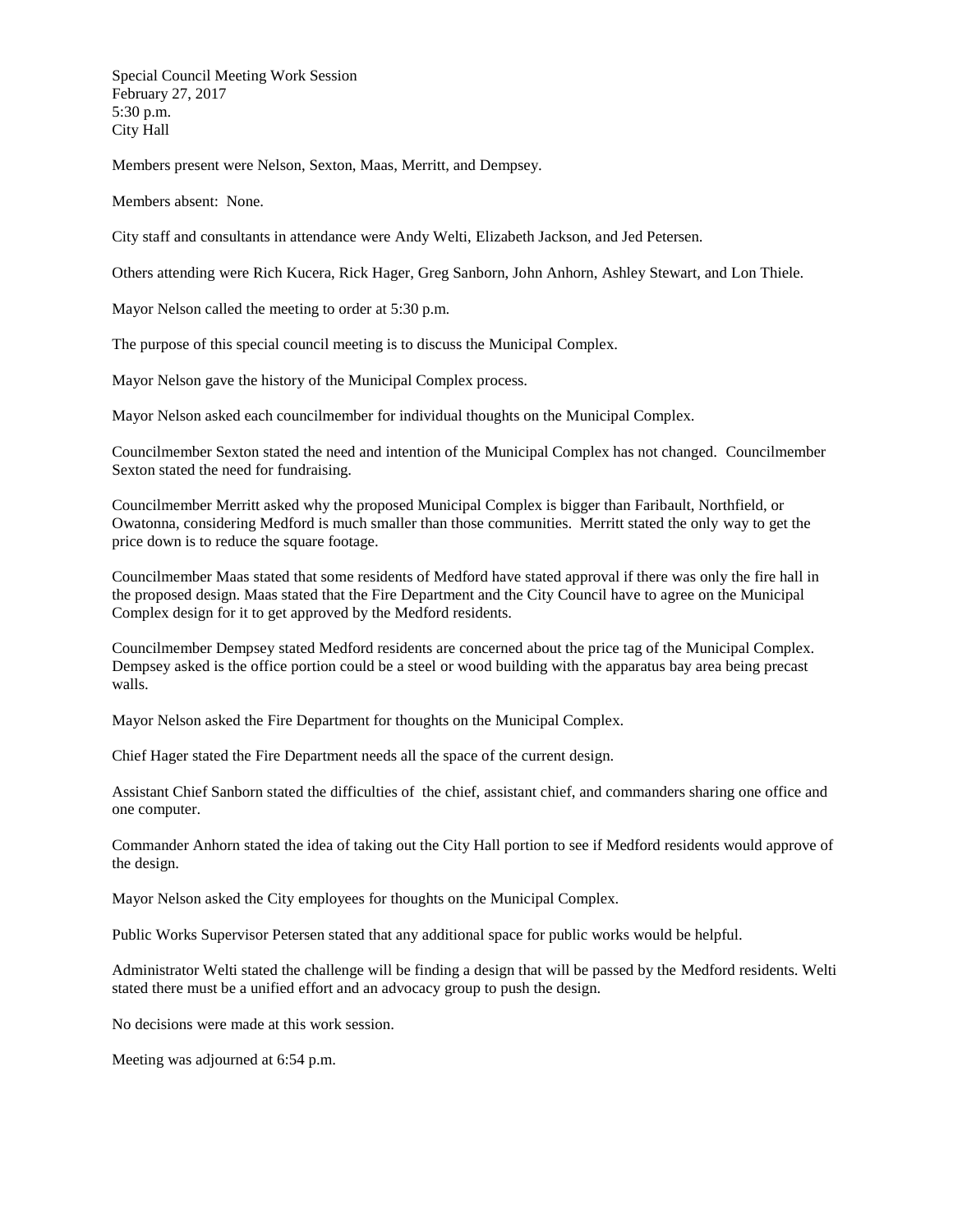Special Council Meeting Work Session February 27, 2017 5:30 p.m. City Hall

Members present were Nelson, Sexton, Maas, Merritt, and Dempsey.

Members absent: None.

City staff and consultants in attendance were Andy Welti, Elizabeth Jackson, and Jed Petersen.

Others attending were Rich Kucera, Rick Hager, Greg Sanborn, John Anhorn, Ashley Stewart, and Lon Thiele.

Mayor Nelson called the meeting to order at 5:30 p.m.

The purpose of this special council meeting is to discuss the Municipal Complex.

Mayor Nelson gave the history of the Municipal Complex process.

Mayor Nelson asked each councilmember for individual thoughts on the Municipal Complex.

Councilmember Sexton stated the need and intention of the Municipal Complex has not changed. Councilmember Sexton stated the need for fundraising.

Councilmember Merritt asked why the proposed Municipal Complex is bigger than Faribault, Northfield, or Owatonna, considering Medford is much smaller than those communities. Merritt stated the only way to get the price down is to reduce the square footage.

Councilmember Maas stated that some residents of Medford have stated approval if there was only the fire hall in the proposed design. Maas stated that the Fire Department and the City Council have to agree on the Municipal Complex design for it to get approved by the Medford residents.

Councilmember Dempsey stated Medford residents are concerned about the price tag of the Municipal Complex. Dempsey asked is the office portion could be a steel or wood building with the apparatus bay area being precast walls.

Mayor Nelson asked the Fire Department for thoughts on the Municipal Complex.

Chief Hager stated the Fire Department needs all the space of the current design.

Assistant Chief Sanborn stated the difficulties of the chief, assistant chief, and commanders sharing one office and one computer.

Commander Anhorn stated the idea of taking out the City Hall portion to see if Medford residents would approve of the design.

Mayor Nelson asked the City employees for thoughts on the Municipal Complex.

Public Works Supervisor Petersen stated that any additional space for public works would be helpful.

Administrator Welti stated the challenge will be finding a design that will be passed by the Medford residents. Welti stated there must be a unified effort and an advocacy group to push the design.

No decisions were made at this work session.

Meeting was adjourned at 6:54 p.m.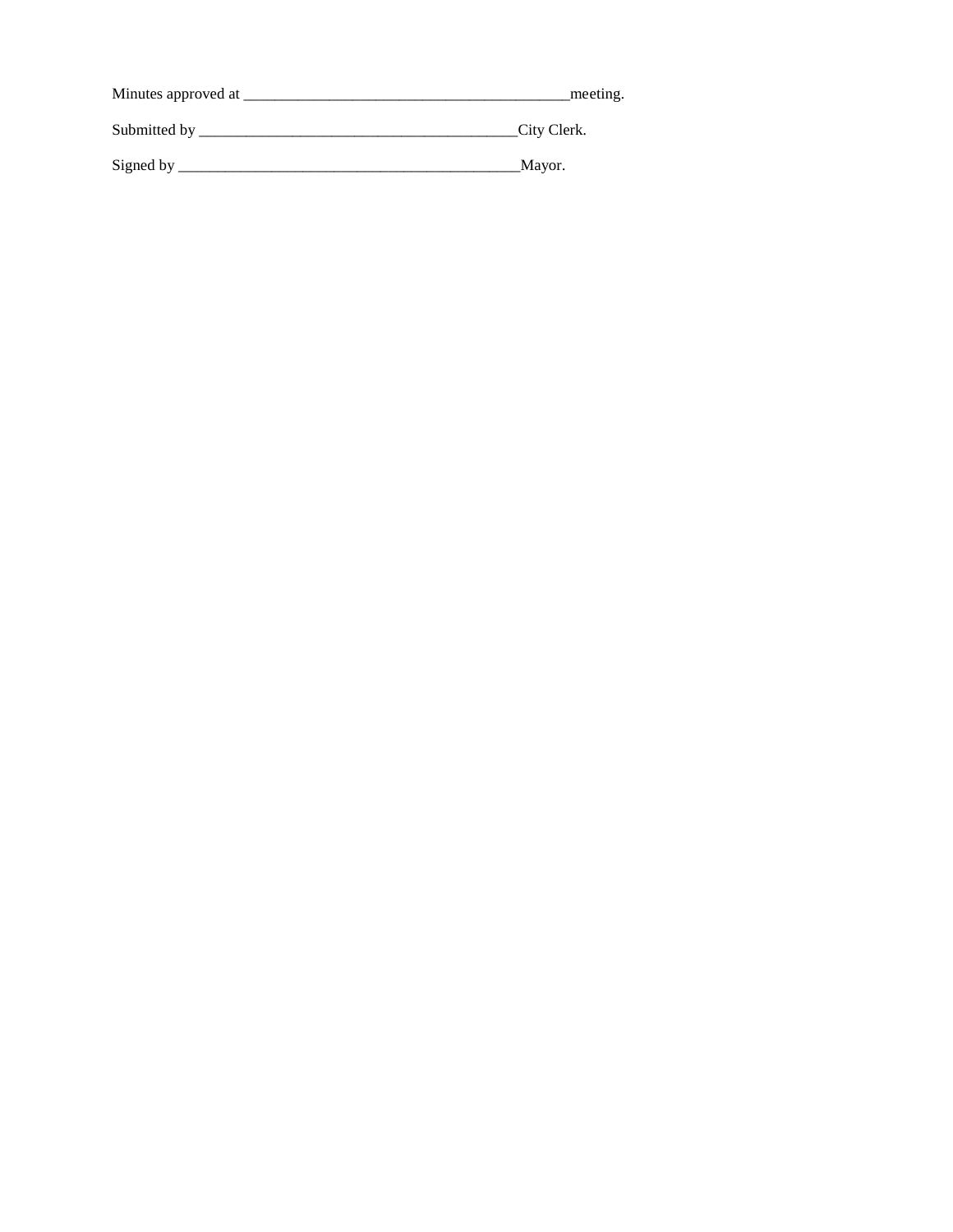| Minutes approved at | meeting.    |
|---------------------|-------------|
| Submitted by _      | City Clerk. |
| Signed by           | Mayor.      |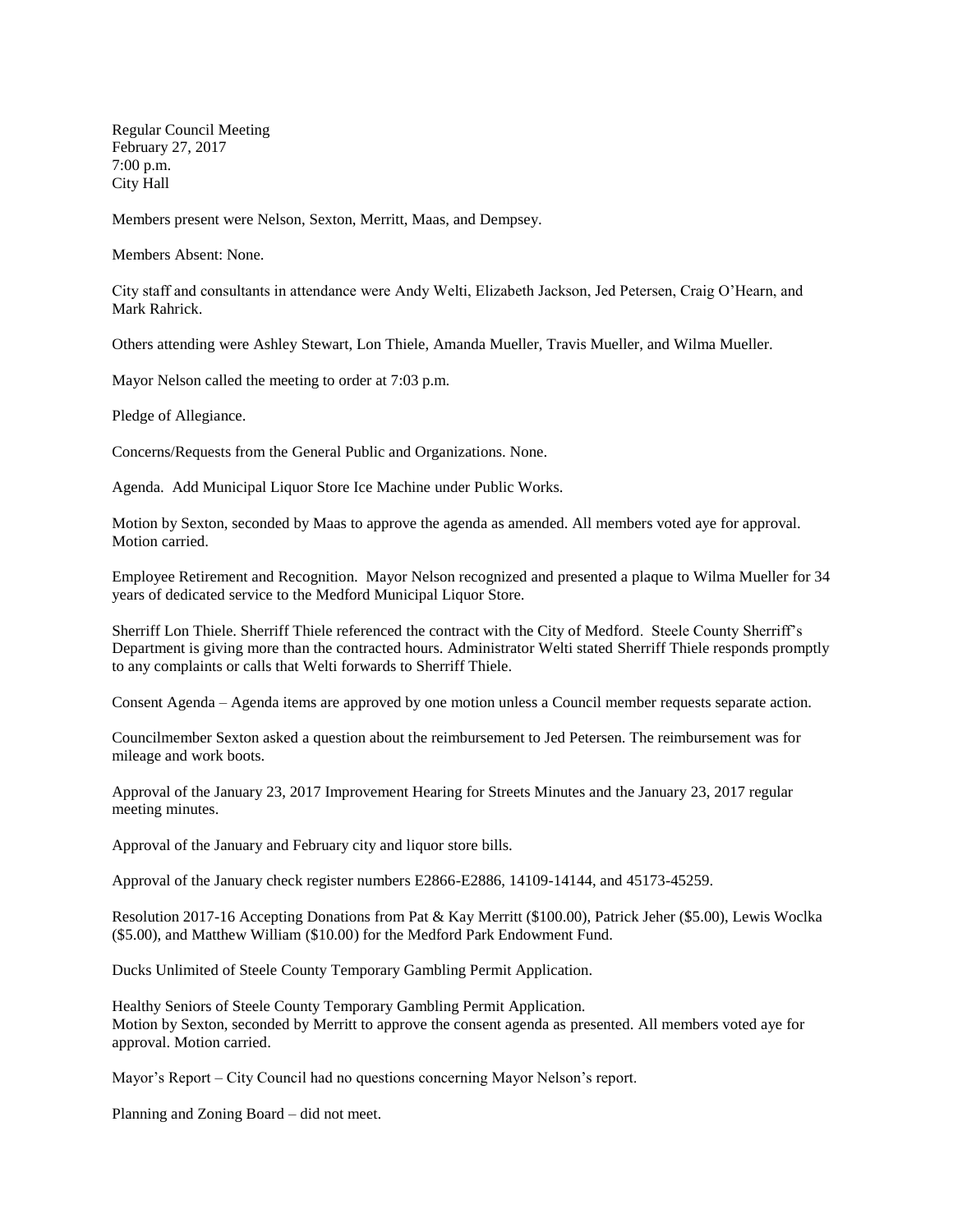Regular Council Meeting February 27, 2017 7:00 p.m. City Hall

Members present were Nelson, Sexton, Merritt, Maas, and Dempsey.

Members Absent: None.

City staff and consultants in attendance were Andy Welti, Elizabeth Jackson, Jed Petersen, Craig O'Hearn, and Mark Rahrick.

Others attending were Ashley Stewart, Lon Thiele, Amanda Mueller, Travis Mueller, and Wilma Mueller.

Mayor Nelson called the meeting to order at 7:03 p.m.

Pledge of Allegiance.

Concerns/Requests from the General Public and Organizations. None.

Agenda. Add Municipal Liquor Store Ice Machine under Public Works.

Motion by Sexton, seconded by Maas to approve the agenda as amended. All members voted aye for approval. Motion carried.

Employee Retirement and Recognition. Mayor Nelson recognized and presented a plaque to Wilma Mueller for 34 years of dedicated service to the Medford Municipal Liquor Store.

Sherriff Lon Thiele. Sherriff Thiele referenced the contract with the City of Medford. Steele County Sherriff's Department is giving more than the contracted hours. Administrator Welti stated Sherriff Thiele responds promptly to any complaints or calls that Welti forwards to Sherriff Thiele.

Consent Agenda – Agenda items are approved by one motion unless a Council member requests separate action.

Councilmember Sexton asked a question about the reimbursement to Jed Petersen. The reimbursement was for mileage and work boots.

Approval of the January 23, 2017 Improvement Hearing for Streets Minutes and the January 23, 2017 regular meeting minutes.

Approval of the January and February city and liquor store bills.

Approval of the January check register numbers E2866-E2886, 14109-14144, and 45173-45259.

Resolution 2017-16 Accepting Donations from Pat & Kay Merritt (\$100.00), Patrick Jeher (\$5.00), Lewis Woclka (\$5.00), and Matthew William (\$10.00) for the Medford Park Endowment Fund.

Ducks Unlimited of Steele County Temporary Gambling Permit Application.

Healthy Seniors of Steele County Temporary Gambling Permit Application. Motion by Sexton, seconded by Merritt to approve the consent agenda as presented. All members voted aye for approval. Motion carried.

Mayor's Report – City Council had no questions concerning Mayor Nelson's report.

Planning and Zoning Board – did not meet.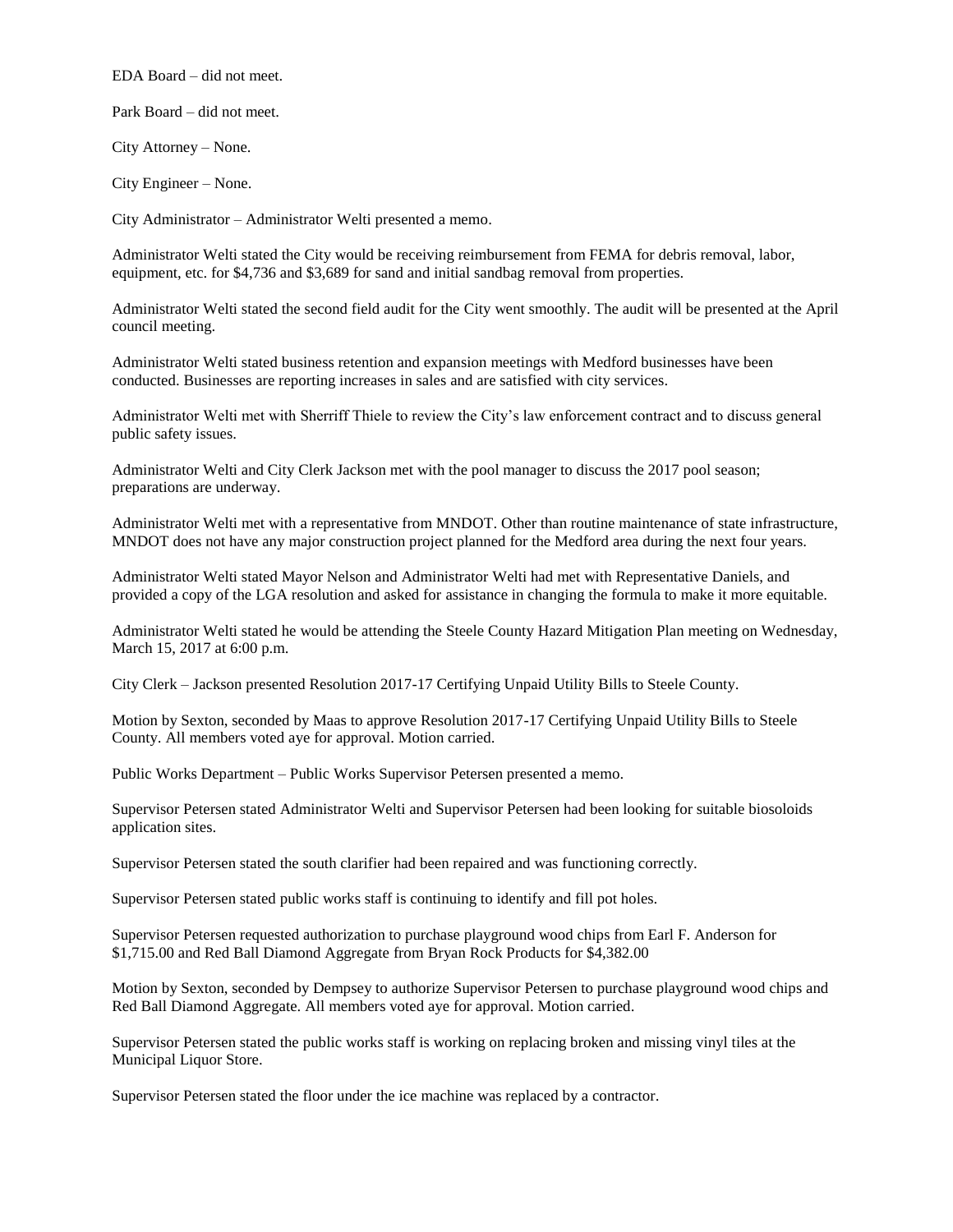EDA Board – did not meet.

Park Board – did not meet.

City Attorney – None.

City Engineer – None.

City Administrator – Administrator Welti presented a memo.

Administrator Welti stated the City would be receiving reimbursement from FEMA for debris removal, labor, equipment, etc. for \$4,736 and \$3,689 for sand and initial sandbag removal from properties.

Administrator Welti stated the second field audit for the City went smoothly. The audit will be presented at the April council meeting.

Administrator Welti stated business retention and expansion meetings with Medford businesses have been conducted. Businesses are reporting increases in sales and are satisfied with city services.

Administrator Welti met with Sherriff Thiele to review the City's law enforcement contract and to discuss general public safety issues.

Administrator Welti and City Clerk Jackson met with the pool manager to discuss the 2017 pool season; preparations are underway.

Administrator Welti met with a representative from MNDOT. Other than routine maintenance of state infrastructure, MNDOT does not have any major construction project planned for the Medford area during the next four years.

Administrator Welti stated Mayor Nelson and Administrator Welti had met with Representative Daniels, and provided a copy of the LGA resolution and asked for assistance in changing the formula to make it more equitable.

Administrator Welti stated he would be attending the Steele County Hazard Mitigation Plan meeting on Wednesday, March 15, 2017 at 6:00 p.m.

City Clerk – Jackson presented Resolution 2017-17 Certifying Unpaid Utility Bills to Steele County.

Motion by Sexton, seconded by Maas to approve Resolution 2017-17 Certifying Unpaid Utility Bills to Steele County. All members voted aye for approval. Motion carried.

Public Works Department – Public Works Supervisor Petersen presented a memo.

Supervisor Petersen stated Administrator Welti and Supervisor Petersen had been looking for suitable biosoloids application sites.

Supervisor Petersen stated the south clarifier had been repaired and was functioning correctly.

Supervisor Petersen stated public works staff is continuing to identify and fill pot holes.

Supervisor Petersen requested authorization to purchase playground wood chips from Earl F. Anderson for \$1,715.00 and Red Ball Diamond Aggregate from Bryan Rock Products for \$4,382.00

Motion by Sexton, seconded by Dempsey to authorize Supervisor Petersen to purchase playground wood chips and Red Ball Diamond Aggregate. All members voted aye for approval. Motion carried.

Supervisor Petersen stated the public works staff is working on replacing broken and missing vinyl tiles at the Municipal Liquor Store.

Supervisor Petersen stated the floor under the ice machine was replaced by a contractor.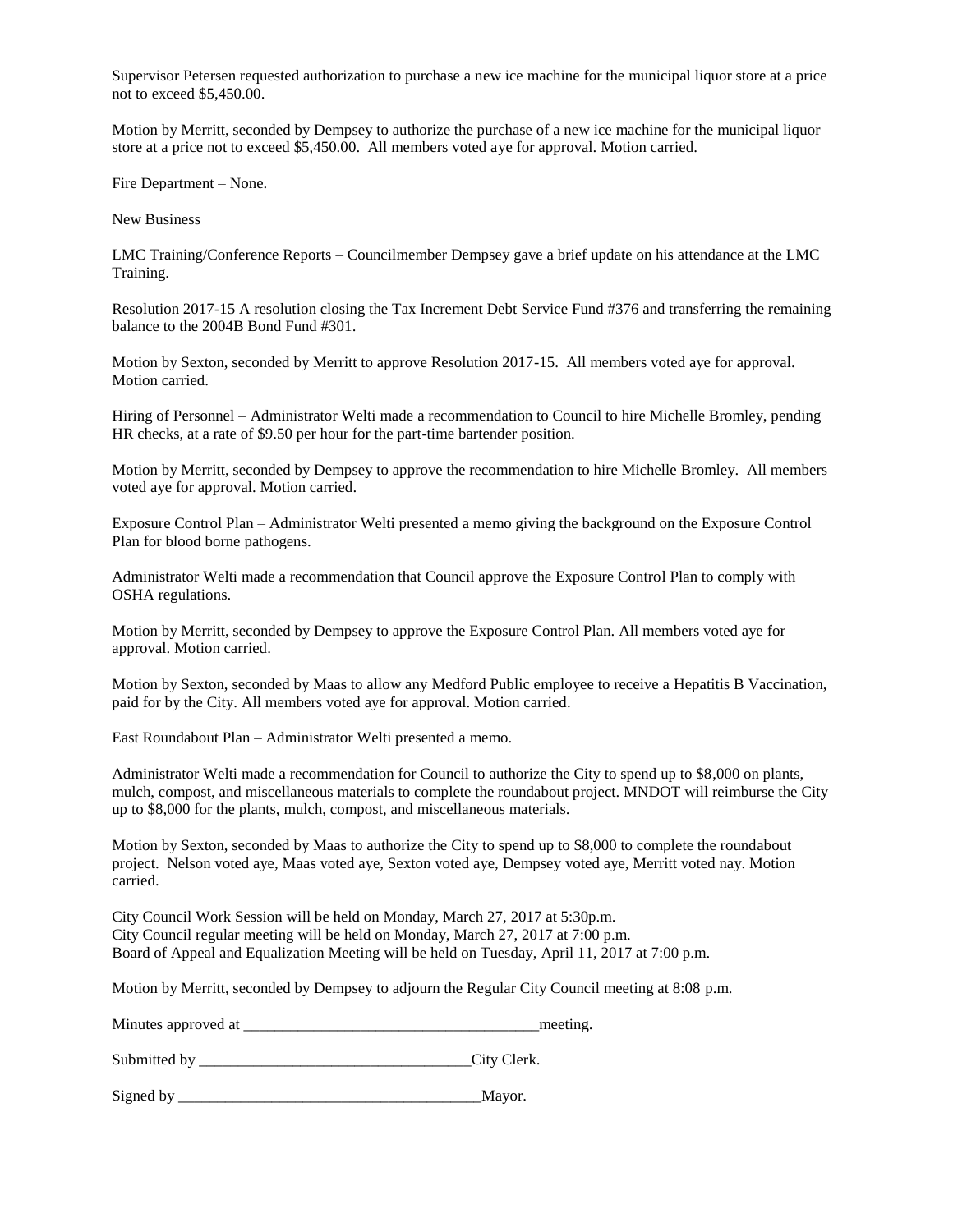Supervisor Petersen requested authorization to purchase a new ice machine for the municipal liquor store at a price not to exceed \$5,450.00.

Motion by Merritt, seconded by Dempsey to authorize the purchase of a new ice machine for the municipal liquor store at a price not to exceed \$5,450.00. All members voted aye for approval. Motion carried.

Fire Department – None.

New Business

LMC Training/Conference Reports – Councilmember Dempsey gave a brief update on his attendance at the LMC Training.

Resolution 2017-15 A resolution closing the Tax Increment Debt Service Fund #376 and transferring the remaining balance to the 2004B Bond Fund #301.

Motion by Sexton, seconded by Merritt to approve Resolution 2017-15. All members voted aye for approval. Motion carried.

Hiring of Personnel – Administrator Welti made a recommendation to Council to hire Michelle Bromley, pending HR checks, at a rate of \$9.50 per hour for the part-time bartender position.

Motion by Merritt, seconded by Dempsey to approve the recommendation to hire Michelle Bromley. All members voted aye for approval. Motion carried.

Exposure Control Plan – Administrator Welti presented a memo giving the background on the Exposure Control Plan for blood borne pathogens.

Administrator Welti made a recommendation that Council approve the Exposure Control Plan to comply with OSHA regulations.

Motion by Merritt, seconded by Dempsey to approve the Exposure Control Plan. All members voted aye for approval. Motion carried.

Motion by Sexton, seconded by Maas to allow any Medford Public employee to receive a Hepatitis B Vaccination, paid for by the City. All members voted aye for approval. Motion carried.

East Roundabout Plan – Administrator Welti presented a memo.

Administrator Welti made a recommendation for Council to authorize the City to spend up to \$8,000 on plants, mulch, compost, and miscellaneous materials to complete the roundabout project. MNDOT will reimburse the City up to \$8,000 for the plants, mulch, compost, and miscellaneous materials.

Motion by Sexton, seconded by Maas to authorize the City to spend up to \$8,000 to complete the roundabout project. Nelson voted aye, Maas voted aye, Sexton voted aye, Dempsey voted aye, Merritt voted nay. Motion carried.

City Council Work Session will be held on Monday, March 27, 2017 at 5:30p.m. City Council regular meeting will be held on Monday, March 27, 2017 at 7:00 p.m. Board of Appeal and Equalization Meeting will be held on Tuesday, April 11, 2017 at 7:00 p.m.

Motion by Merritt, seconded by Dempsey to adjourn the Regular City Council meeting at 8:08 p.m.

Minutes approved at \_\_\_\_\_\_\_\_\_\_\_\_\_\_\_\_\_\_\_\_\_\_\_\_\_\_\_\_\_\_\_\_\_\_\_\_\_\_meeting.

Submitted by \_\_\_\_\_\_\_\_\_\_\_\_\_\_\_\_\_\_\_\_\_\_\_\_\_\_\_\_\_\_\_\_\_\_\_City Clerk.

Signed by \_\_\_\_\_\_\_\_\_\_\_\_\_\_\_\_\_\_\_\_\_\_\_\_\_\_\_\_\_\_\_\_\_\_\_\_\_\_\_Mayor.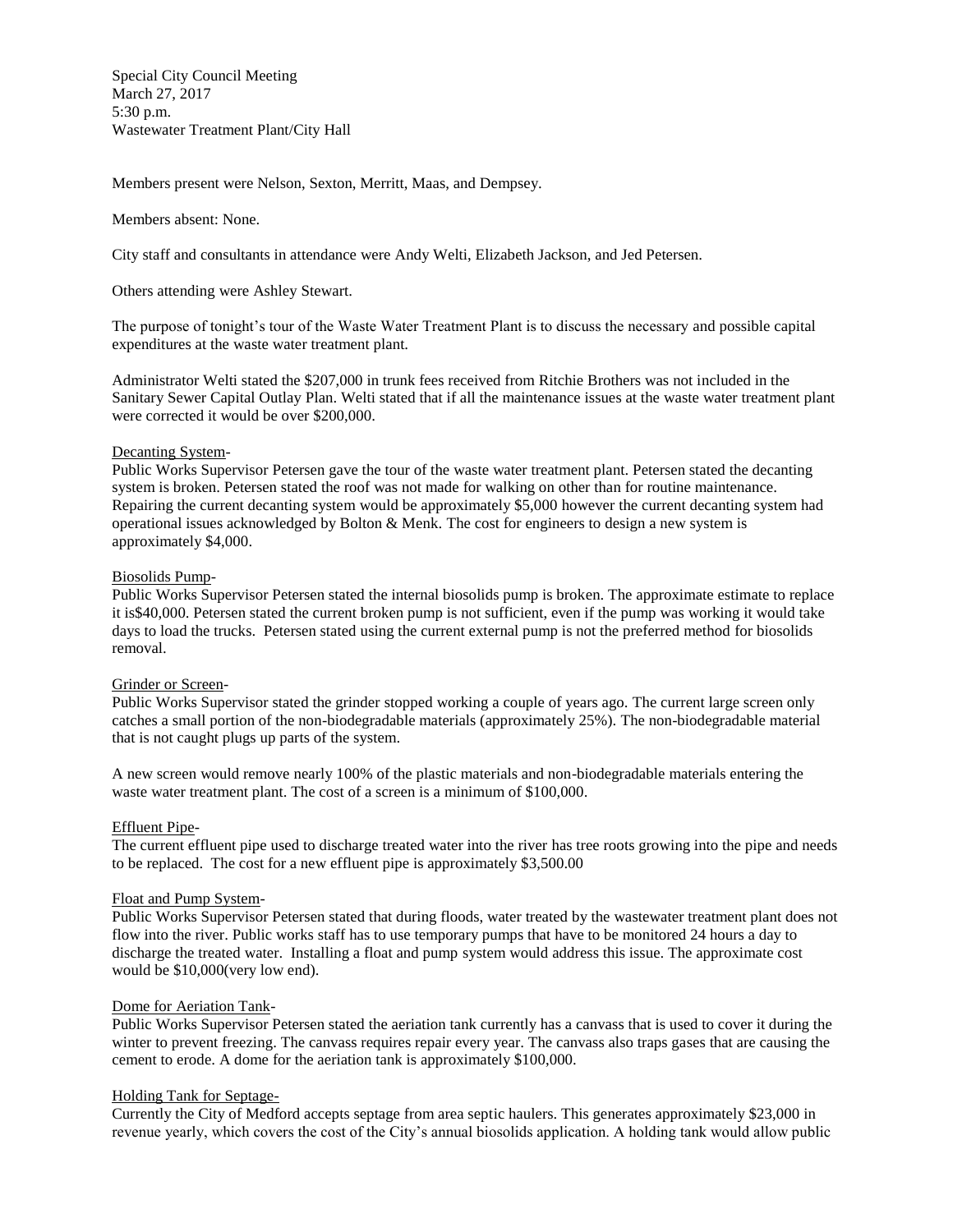Special City Council Meeting March 27, 2017 5:30 p.m. Wastewater Treatment Plant/City Hall

Members present were Nelson, Sexton, Merritt, Maas, and Dempsey.

### Members absent: None.

City staff and consultants in attendance were Andy Welti, Elizabeth Jackson, and Jed Petersen.

Others attending were Ashley Stewart.

The purpose of tonight's tour of the Waste Water Treatment Plant is to discuss the necessary and possible capital expenditures at the waste water treatment plant.

Administrator Welti stated the \$207,000 in trunk fees received from Ritchie Brothers was not included in the Sanitary Sewer Capital Outlay Plan. Welti stated that if all the maintenance issues at the waste water treatment plant were corrected it would be over \$200,000.

### Decanting System-

Public Works Supervisor Petersen gave the tour of the waste water treatment plant. Petersen stated the decanting system is broken. Petersen stated the roof was not made for walking on other than for routine maintenance. Repairing the current decanting system would be approximately \$5,000 however the current decanting system had operational issues acknowledged by Bolton  $&$  Menk. The cost for engineers to design a new system is approximately \$4,000.

### Biosolids Pump-

Public Works Supervisor Petersen stated the internal biosolids pump is broken. The approximate estimate to replace it is\$40,000. Petersen stated the current broken pump is not sufficient, even if the pump was working it would take days to load the trucks. Petersen stated using the current external pump is not the preferred method for biosolids removal.

# Grinder or Screen-

Public Works Supervisor stated the grinder stopped working a couple of years ago. The current large screen only catches a small portion of the non-biodegradable materials (approximately 25%). The non-biodegradable material that is not caught plugs up parts of the system.

A new screen would remove nearly 100% of the plastic materials and non-biodegradable materials entering the waste water treatment plant. The cost of a screen is a minimum of \$100,000.

#### Effluent Pipe-

The current effluent pipe used to discharge treated water into the river has tree roots growing into the pipe and needs to be replaced. The cost for a new effluent pipe is approximately \$3,500.00

# Float and Pump System-

Public Works Supervisor Petersen stated that during floods, water treated by the wastewater treatment plant does not flow into the river. Public works staff has to use temporary pumps that have to be monitored 24 hours a day to discharge the treated water. Installing a float and pump system would address this issue. The approximate cost would be \$10,000(very low end).

# Dome for Aeriation Tank-

Public Works Supervisor Petersen stated the aeriation tank currently has a canvass that is used to cover it during the winter to prevent freezing. The canvass requires repair every year. The canvass also traps gases that are causing the cement to erode. A dome for the aeriation tank is approximately \$100,000.

### Holding Tank for Septage-

Currently the City of Medford accepts septage from area septic haulers. This generates approximately \$23,000 in revenue yearly, which covers the cost of the City's annual biosolids application. A holding tank would allow public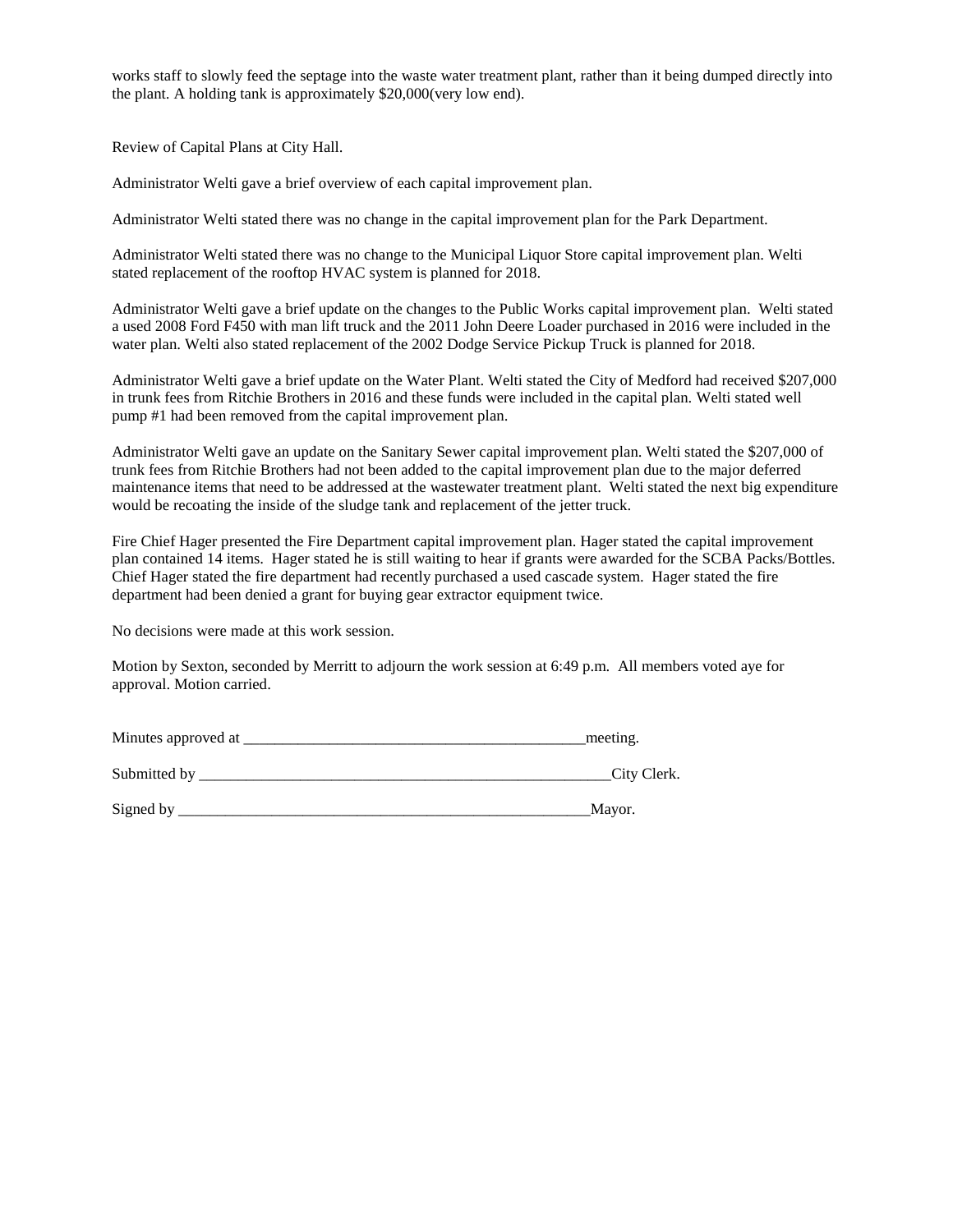works staff to slowly feed the septage into the waste water treatment plant, rather than it being dumped directly into the plant. A holding tank is approximately \$20,000(very low end).

Review of Capital Plans at City Hall.

Administrator Welti gave a brief overview of each capital improvement plan.

Administrator Welti stated there was no change in the capital improvement plan for the Park Department.

Administrator Welti stated there was no change to the Municipal Liquor Store capital improvement plan. Welti stated replacement of the rooftop HVAC system is planned for 2018.

Administrator Welti gave a brief update on the changes to the Public Works capital improvement plan. Welti stated a used 2008 Ford F450 with man lift truck and the 2011 John Deere Loader purchased in 2016 were included in the water plan. Welti also stated replacement of the 2002 Dodge Service Pickup Truck is planned for 2018.

Administrator Welti gave a brief update on the Water Plant. Welti stated the City of Medford had received \$207,000 in trunk fees from Ritchie Brothers in 2016 and these funds were included in the capital plan. Welti stated well pump #1 had been removed from the capital improvement plan.

Administrator Welti gave an update on the Sanitary Sewer capital improvement plan. Welti stated the \$207,000 of trunk fees from Ritchie Brothers had not been added to the capital improvement plan due to the major deferred maintenance items that need to be addressed at the wastewater treatment plant. Welti stated the next big expenditure would be recoating the inside of the sludge tank and replacement of the jetter truck.

Fire Chief Hager presented the Fire Department capital improvement plan. Hager stated the capital improvement plan contained 14 items. Hager stated he is still waiting to hear if grants were awarded for the SCBA Packs/Bottles. Chief Hager stated the fire department had recently purchased a used cascade system. Hager stated the fire department had been denied a grant for buying gear extractor equipment twice.

No decisions were made at this work session.

Motion by Sexton, seconded by Merritt to adjourn the work session at 6:49 p.m. All members voted aye for approval. Motion carried.

| Minutes approved at | meeting. |
|---------------------|----------|
|                     |          |

| Submitted b | 'itv | 101 |
|-------------|------|-----|
|             |      |     |

| Signed b |  |
|----------|--|
|----------|--|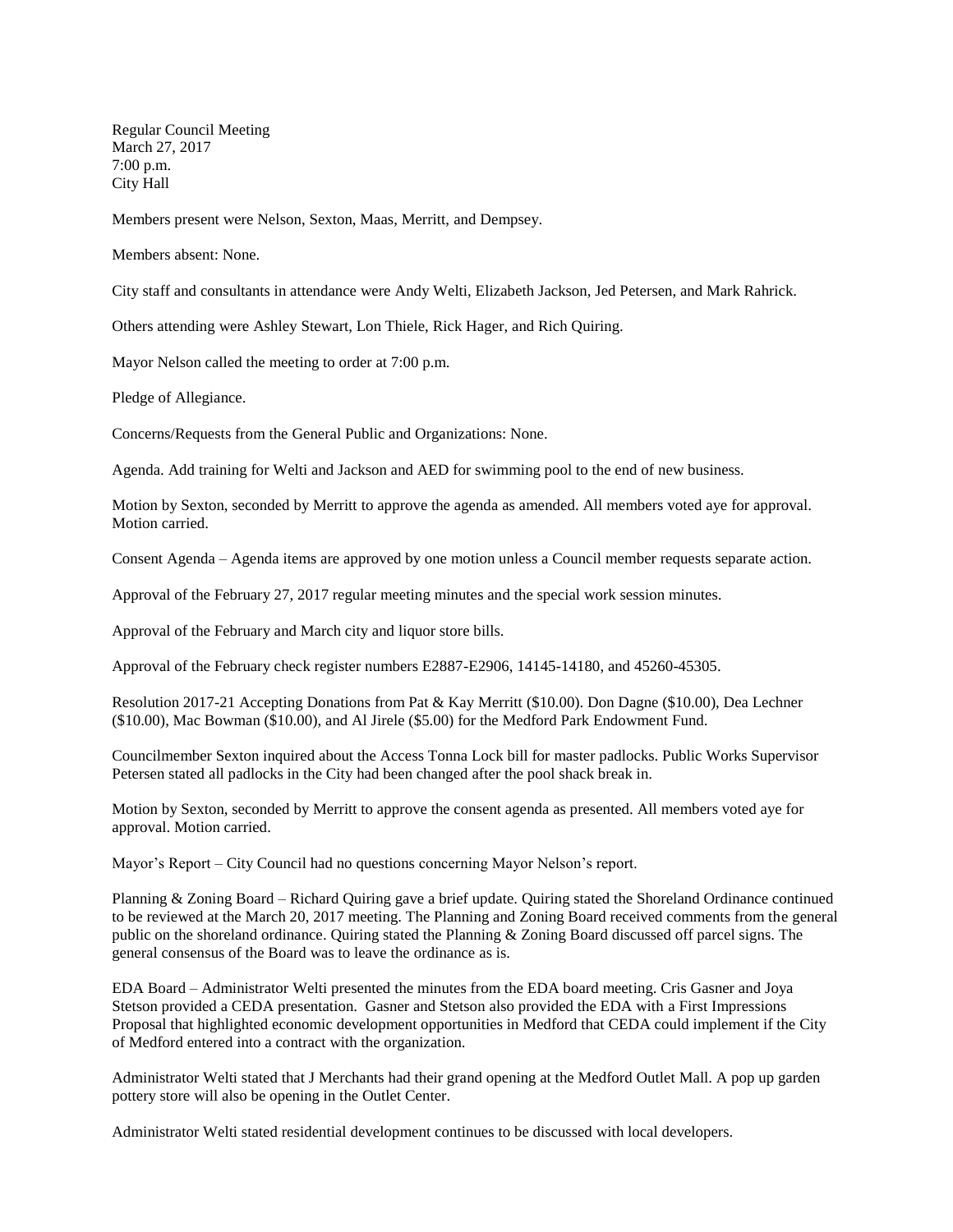Regular Council Meeting March 27, 2017 7:00 p.m. City Hall

Members present were Nelson, Sexton, Maas, Merritt, and Dempsey.

Members absent: None.

City staff and consultants in attendance were Andy Welti, Elizabeth Jackson, Jed Petersen, and Mark Rahrick.

Others attending were Ashley Stewart, Lon Thiele, Rick Hager, and Rich Quiring.

Mayor Nelson called the meeting to order at 7:00 p.m.

Pledge of Allegiance.

Concerns/Requests from the General Public and Organizations: None.

Agenda. Add training for Welti and Jackson and AED for swimming pool to the end of new business.

Motion by Sexton, seconded by Merritt to approve the agenda as amended. All members voted aye for approval. Motion carried.

Consent Agenda – Agenda items are approved by one motion unless a Council member requests separate action.

Approval of the February 27, 2017 regular meeting minutes and the special work session minutes.

Approval of the February and March city and liquor store bills.

Approval of the February check register numbers E2887-E2906, 14145-14180, and 45260-45305.

Resolution 2017-21 Accepting Donations from Pat & Kay Merritt (\$10.00). Don Dagne (\$10.00), Dea Lechner (\$10.00), Mac Bowman (\$10.00), and Al Jirele (\$5.00) for the Medford Park Endowment Fund.

Councilmember Sexton inquired about the Access Tonna Lock bill for master padlocks. Public Works Supervisor Petersen stated all padlocks in the City had been changed after the pool shack break in.

Motion by Sexton, seconded by Merritt to approve the consent agenda as presented. All members voted aye for approval. Motion carried.

Mayor's Report – City Council had no questions concerning Mayor Nelson's report.

Planning & Zoning Board – Richard Quiring gave a brief update. Quiring stated the Shoreland Ordinance continued to be reviewed at the March 20, 2017 meeting. The Planning and Zoning Board received comments from the general public on the shoreland ordinance. Quiring stated the Planning & Zoning Board discussed off parcel signs. The general consensus of the Board was to leave the ordinance as is.

EDA Board – Administrator Welti presented the minutes from the EDA board meeting. Cris Gasner and Joya Stetson provided a CEDA presentation. Gasner and Stetson also provided the EDA with a First Impressions Proposal that highlighted economic development opportunities in Medford that CEDA could implement if the City of Medford entered into a contract with the organization.

Administrator Welti stated that J Merchants had their grand opening at the Medford Outlet Mall. A pop up garden pottery store will also be opening in the Outlet Center.

Administrator Welti stated residential development continues to be discussed with local developers.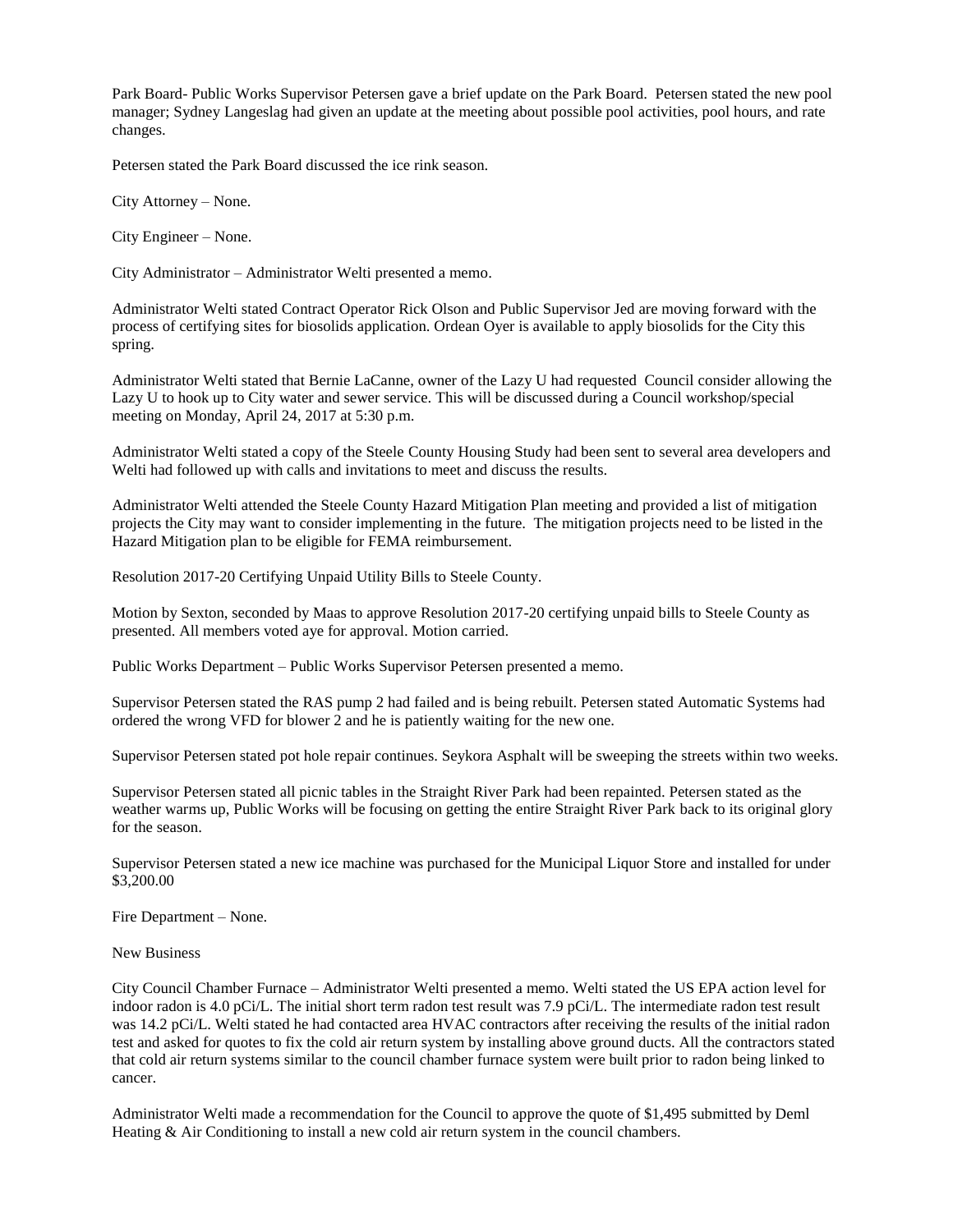Park Board- Public Works Supervisor Petersen gave a brief update on the Park Board. Petersen stated the new pool manager; Sydney Langeslag had given an update at the meeting about possible pool activities, pool hours, and rate changes.

Petersen stated the Park Board discussed the ice rink season.

City Attorney – None.

City Engineer – None.

City Administrator – Administrator Welti presented a memo.

Administrator Welti stated Contract Operator Rick Olson and Public Supervisor Jed are moving forward with the process of certifying sites for biosolids application. Ordean Oyer is available to apply biosolids for the City this spring.

Administrator Welti stated that Bernie LaCanne, owner of the Lazy U had requested Council consider allowing the Lazy U to hook up to City water and sewer service. This will be discussed during a Council workshop/special meeting on Monday, April 24, 2017 at 5:30 p.m.

Administrator Welti stated a copy of the Steele County Housing Study had been sent to several area developers and Welti had followed up with calls and invitations to meet and discuss the results.

Administrator Welti attended the Steele County Hazard Mitigation Plan meeting and provided a list of mitigation projects the City may want to consider implementing in the future. The mitigation projects need to be listed in the Hazard Mitigation plan to be eligible for FEMA reimbursement.

Resolution 2017-20 Certifying Unpaid Utility Bills to Steele County.

Motion by Sexton, seconded by Maas to approve Resolution 2017-20 certifying unpaid bills to Steele County as presented. All members voted aye for approval. Motion carried.

Public Works Department – Public Works Supervisor Petersen presented a memo.

Supervisor Petersen stated the RAS pump 2 had failed and is being rebuilt. Petersen stated Automatic Systems had ordered the wrong VFD for blower 2 and he is patiently waiting for the new one.

Supervisor Petersen stated pot hole repair continues. Seykora Asphalt will be sweeping the streets within two weeks.

Supervisor Petersen stated all picnic tables in the Straight River Park had been repainted. Petersen stated as the weather warms up, Public Works will be focusing on getting the entire Straight River Park back to its original glory for the season.

Supervisor Petersen stated a new ice machine was purchased for the Municipal Liquor Store and installed for under \$3,200.00

Fire Department – None.

New Business

City Council Chamber Furnace – Administrator Welti presented a memo. Welti stated the US EPA action level for indoor radon is 4.0 pCi/L. The initial short term radon test result was 7.9 pCi/L. The intermediate radon test result was 14.2 pCi/L. Welti stated he had contacted area HVAC contractors after receiving the results of the initial radon test and asked for quotes to fix the cold air return system by installing above ground ducts. All the contractors stated that cold air return systems similar to the council chamber furnace system were built prior to radon being linked to cancer.

Administrator Welti made a recommendation for the Council to approve the quote of \$1,495 submitted by Deml Heating & Air Conditioning to install a new cold air return system in the council chambers.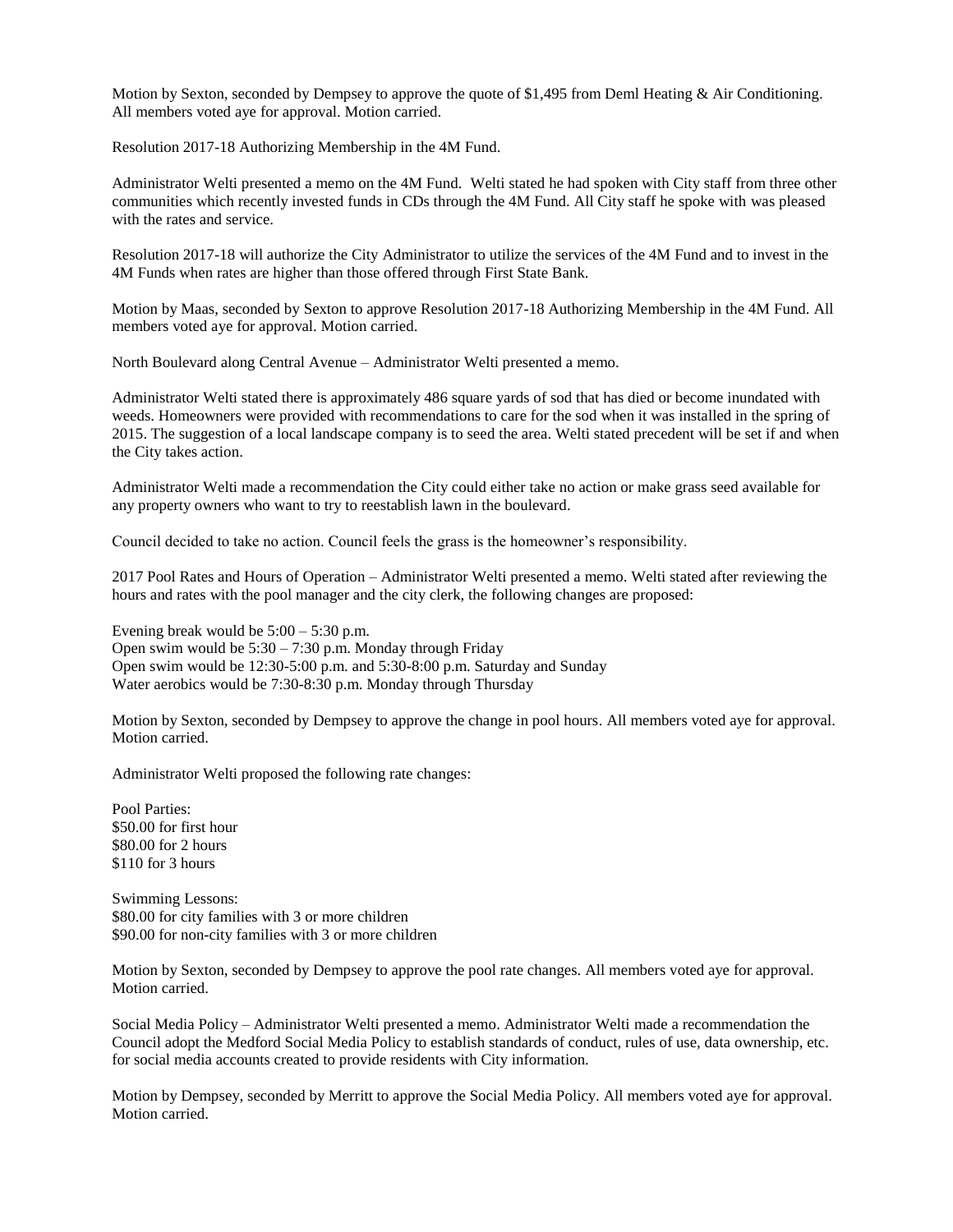Motion by Sexton, seconded by Dempsey to approve the quote of \$1,495 from Deml Heating & Air Conditioning. All members voted aye for approval. Motion carried.

Resolution 2017-18 Authorizing Membership in the 4M Fund.

Administrator Welti presented a memo on the 4M Fund. Welti stated he had spoken with City staff from three other communities which recently invested funds in CDs through the 4M Fund. All City staff he spoke with was pleased with the rates and service.

Resolution 2017-18 will authorize the City Administrator to utilize the services of the 4M Fund and to invest in the 4M Funds when rates are higher than those offered through First State Bank.

Motion by Maas, seconded by Sexton to approve Resolution 2017-18 Authorizing Membership in the 4M Fund. All members voted aye for approval. Motion carried.

North Boulevard along Central Avenue – Administrator Welti presented a memo.

Administrator Welti stated there is approximately 486 square yards of sod that has died or become inundated with weeds. Homeowners were provided with recommendations to care for the sod when it was installed in the spring of 2015. The suggestion of a local landscape company is to seed the area. Welti stated precedent will be set if and when the City takes action.

Administrator Welti made a recommendation the City could either take no action or make grass seed available for any property owners who want to try to reestablish lawn in the boulevard.

Council decided to take no action. Council feels the grass is the homeowner's responsibility.

2017 Pool Rates and Hours of Operation – Administrator Welti presented a memo. Welti stated after reviewing the hours and rates with the pool manager and the city clerk, the following changes are proposed:

Evening break would be  $5:00 - 5:30$  p.m. Open swim would be 5:30 – 7:30 p.m. Monday through Friday Open swim would be 12:30-5:00 p.m. and 5:30-8:00 p.m. Saturday and Sunday Water aerobics would be 7:30-8:30 p.m. Monday through Thursday

Motion by Sexton, seconded by Dempsey to approve the change in pool hours. All members voted aye for approval. Motion carried.

Administrator Welti proposed the following rate changes:

Pool Parties: \$50.00 for first hour \$80.00 for 2 hours \$110 for 3 hours

Swimming Lessons: \$80.00 for city families with 3 or more children \$90.00 for non-city families with 3 or more children

Motion by Sexton, seconded by Dempsey to approve the pool rate changes. All members voted aye for approval. Motion carried.

Social Media Policy – Administrator Welti presented a memo. Administrator Welti made a recommendation the Council adopt the Medford Social Media Policy to establish standards of conduct, rules of use, data ownership, etc. for social media accounts created to provide residents with City information.

Motion by Dempsey, seconded by Merritt to approve the Social Media Policy. All members voted aye for approval. Motion carried.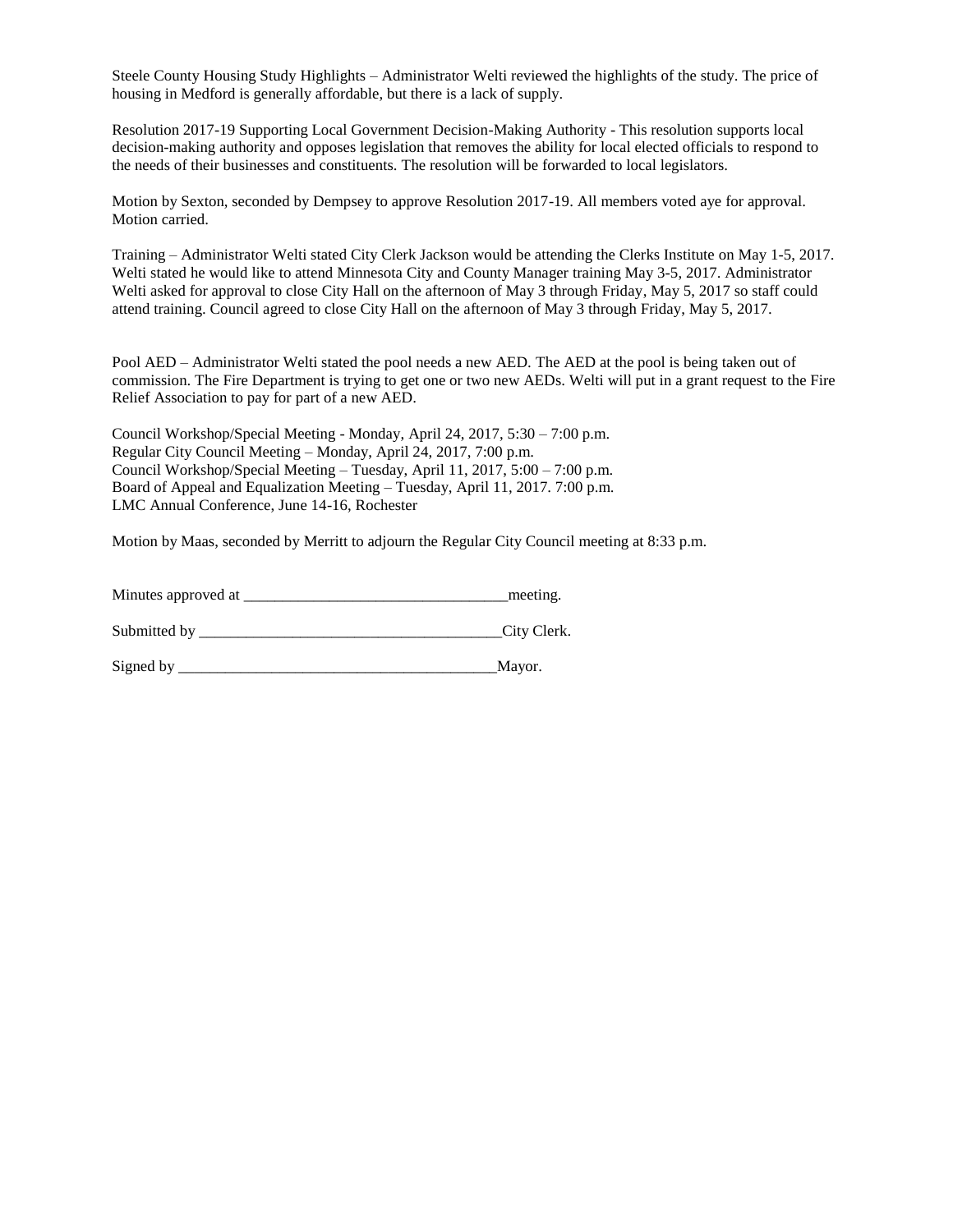Steele County Housing Study Highlights – Administrator Welti reviewed the highlights of the study. The price of housing in Medford is generally affordable, but there is a lack of supply.

Resolution 2017-19 Supporting Local Government Decision-Making Authority - This resolution supports local decision-making authority and opposes legislation that removes the ability for local elected officials to respond to the needs of their businesses and constituents. The resolution will be forwarded to local legislators.

Motion by Sexton, seconded by Dempsey to approve Resolution 2017-19. All members voted aye for approval. Motion carried.

Training – Administrator Welti stated City Clerk Jackson would be attending the Clerks Institute on May 1-5, 2017. Welti stated he would like to attend Minnesota City and County Manager training May 3-5, 2017. Administrator Welti asked for approval to close City Hall on the afternoon of May 3 through Friday, May 5, 2017 so staff could attend training. Council agreed to close City Hall on the afternoon of May 3 through Friday, May 5, 2017.

Pool AED – Administrator Welti stated the pool needs a new AED. The AED at the pool is being taken out of commission. The Fire Department is trying to get one or two new AEDs. Welti will put in a grant request to the Fire Relief Association to pay for part of a new AED.

Council Workshop/Special Meeting - Monday, April 24, 2017, 5:30 – 7:00 p.m. Regular City Council Meeting – Monday, April 24, 2017, 7:00 p.m. Council Workshop/Special Meeting – Tuesday, April 11, 2017, 5:00 – 7:00 p.m. Board of Appeal and Equalization Meeting – Tuesday, April 11, 2017. 7:00 p.m. LMC Annual Conference, June 14-16, Rochester

Motion by Maas, seconded by Merritt to adjourn the Regular City Council meeting at 8:33 p.m.

Minutes approved at  $\blacksquare$ 

Submitted by \_\_\_\_\_\_\_\_\_\_\_\_\_\_\_\_\_\_\_\_\_\_\_\_\_\_\_\_\_\_\_\_\_\_\_\_\_\_\_City Clerk.

Signed by \_\_\_\_\_\_\_\_\_\_\_\_\_\_\_\_\_\_\_\_\_\_\_\_\_\_\_\_\_\_\_\_\_\_\_\_\_\_\_\_\_Mayor.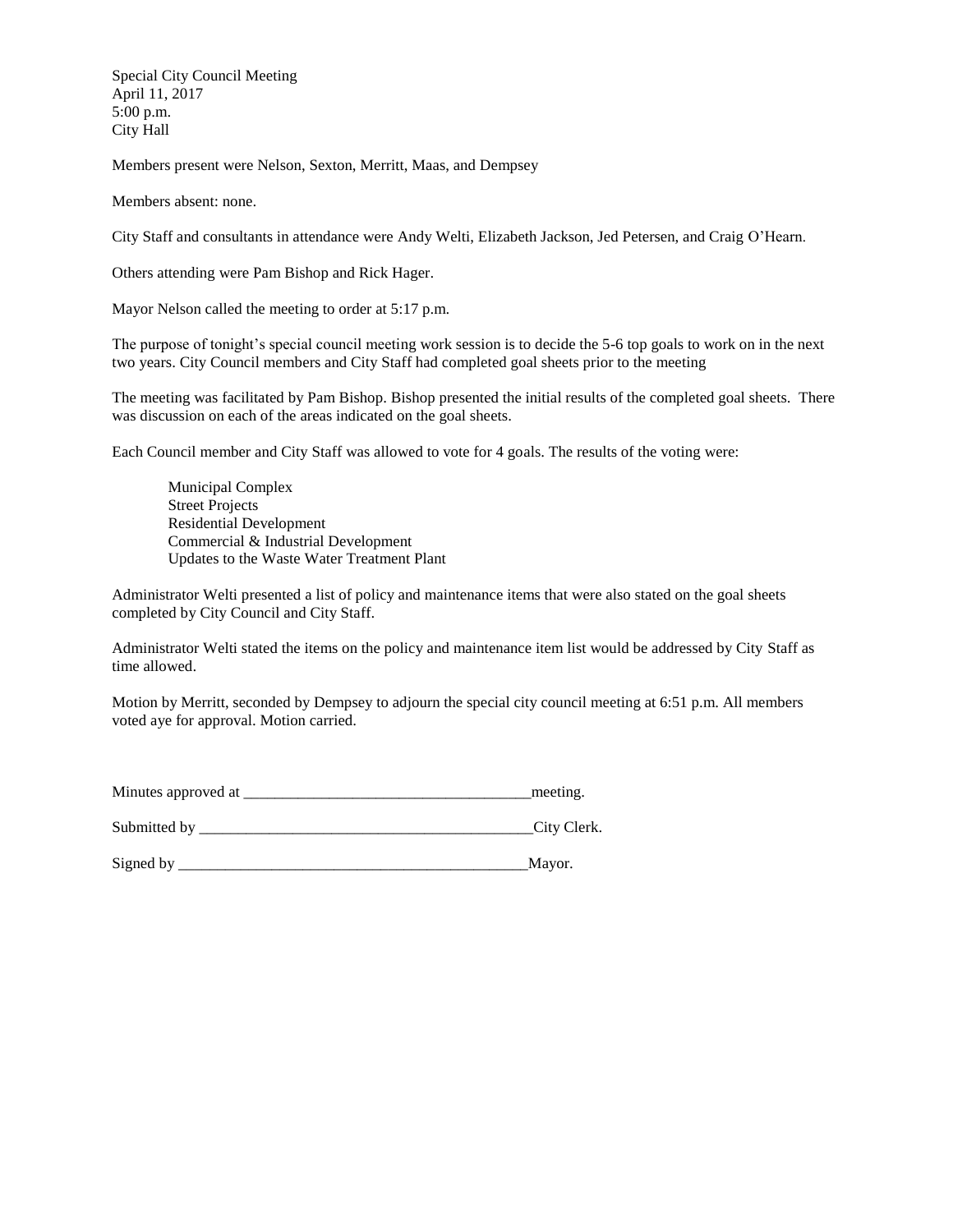Special City Council Meeting April 11, 2017 5:00 p.m. City Hall

Members present were Nelson, Sexton, Merritt, Maas, and Dempsey

Members absent: none.

City Staff and consultants in attendance were Andy Welti, Elizabeth Jackson, Jed Petersen, and Craig O'Hearn.

Others attending were Pam Bishop and Rick Hager.

Mayor Nelson called the meeting to order at 5:17 p.m.

The purpose of tonight's special council meeting work session is to decide the 5-6 top goals to work on in the next two years. City Council members and City Staff had completed goal sheets prior to the meeting

The meeting was facilitated by Pam Bishop. Bishop presented the initial results of the completed goal sheets. There was discussion on each of the areas indicated on the goal sheets.

Each Council member and City Staff was allowed to vote for 4 goals. The results of the voting were:

 Municipal Complex Street Projects Residential Development Commercial & Industrial Development Updates to the Waste Water Treatment Plant

Administrator Welti presented a list of policy and maintenance items that were also stated on the goal sheets completed by City Council and City Staff.

Administrator Welti stated the items on the policy and maintenance item list would be addressed by City Staff as time allowed.

Motion by Merritt, seconded by Dempsey to adjourn the special city council meeting at 6:51 p.m. All members voted aye for approval. Motion carried.

| Minutes approved at | meeting. |
|---------------------|----------|
|                     |          |

Submitted by \_\_\_\_\_\_\_\_\_\_\_\_\_\_\_\_\_\_\_\_\_\_\_\_\_\_\_\_\_\_\_\_\_\_\_\_\_\_\_\_\_\_\_City Clerk.

Signed by \_\_\_\_\_\_\_\_\_\_\_\_\_\_\_\_\_\_\_\_\_\_\_\_\_\_\_\_\_\_\_\_\_\_\_\_\_\_\_\_\_\_\_\_\_Mayor.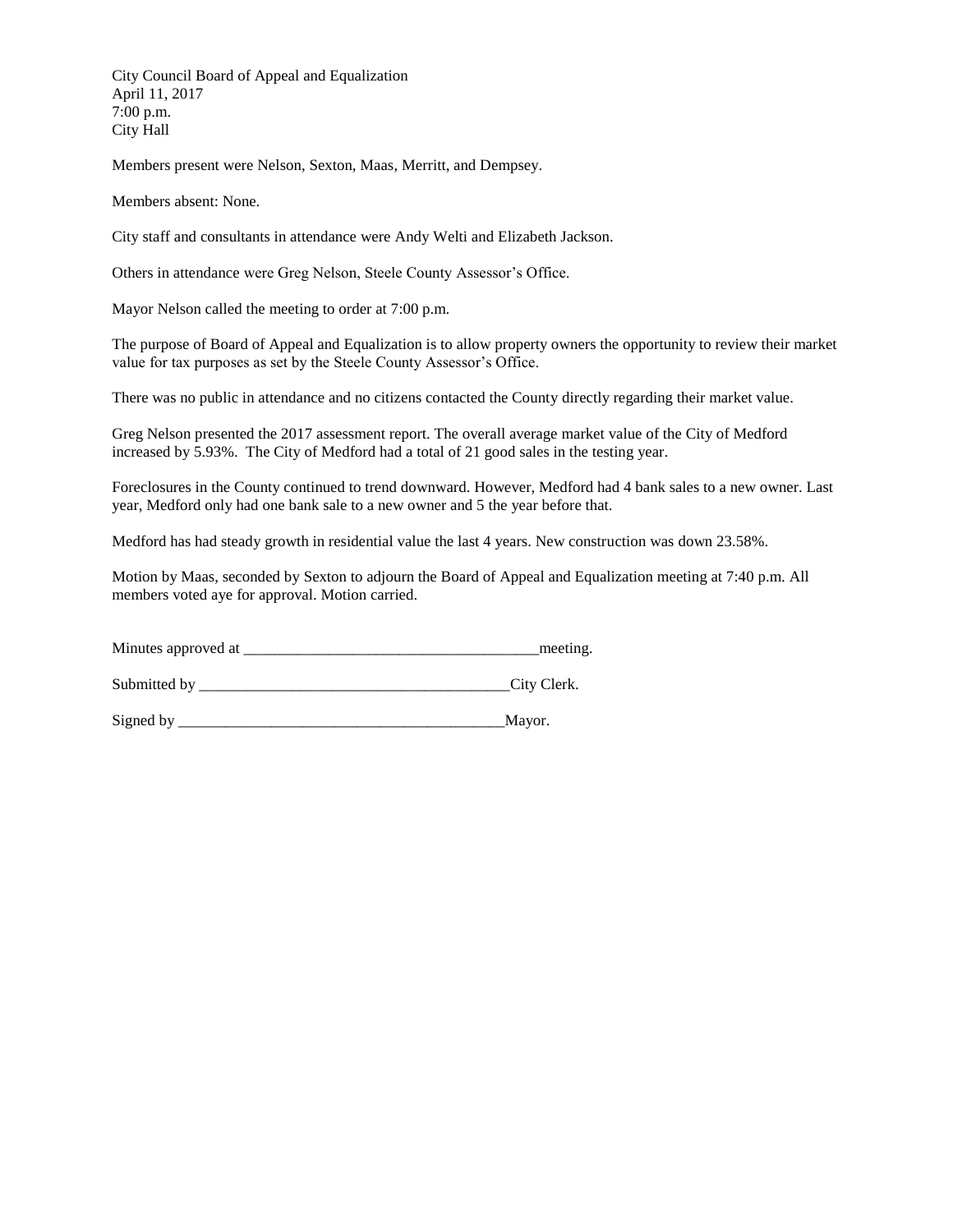City Council Board of Appeal and Equalization April 11, 2017 7:00 p.m. City Hall

Members present were Nelson, Sexton, Maas, Merritt, and Dempsey.

Members absent: None.

City staff and consultants in attendance were Andy Welti and Elizabeth Jackson.

Others in attendance were Greg Nelson, Steele County Assessor's Office.

Mayor Nelson called the meeting to order at 7:00 p.m.

The purpose of Board of Appeal and Equalization is to allow property owners the opportunity to review their market value for tax purposes as set by the Steele County Assessor's Office.

There was no public in attendance and no citizens contacted the County directly regarding their market value.

Greg Nelson presented the 2017 assessment report. The overall average market value of the City of Medford increased by 5.93%. The City of Medford had a total of 21 good sales in the testing year.

Foreclosures in the County continued to trend downward. However, Medford had 4 bank sales to a new owner. Last year, Medford only had one bank sale to a new owner and 5 the year before that.

Medford has had steady growth in residential value the last 4 years. New construction was down 23.58%.

Motion by Maas, seconded by Sexton to adjourn the Board of Appeal and Equalization meeting at 7:40 p.m. All members voted aye for approval. Motion carried.

Minutes approved at  $\blacksquare$ 

Submitted by \_\_\_\_\_\_\_\_\_\_\_\_\_\_\_\_\_\_\_\_\_\_\_\_\_\_\_\_\_\_\_\_\_\_\_\_\_\_\_\_City Clerk.

Signed by \_\_\_\_\_\_\_\_\_\_\_\_\_\_\_\_\_\_\_\_\_\_\_\_\_\_\_\_\_\_\_\_\_\_\_\_\_\_\_\_\_\_Mayor.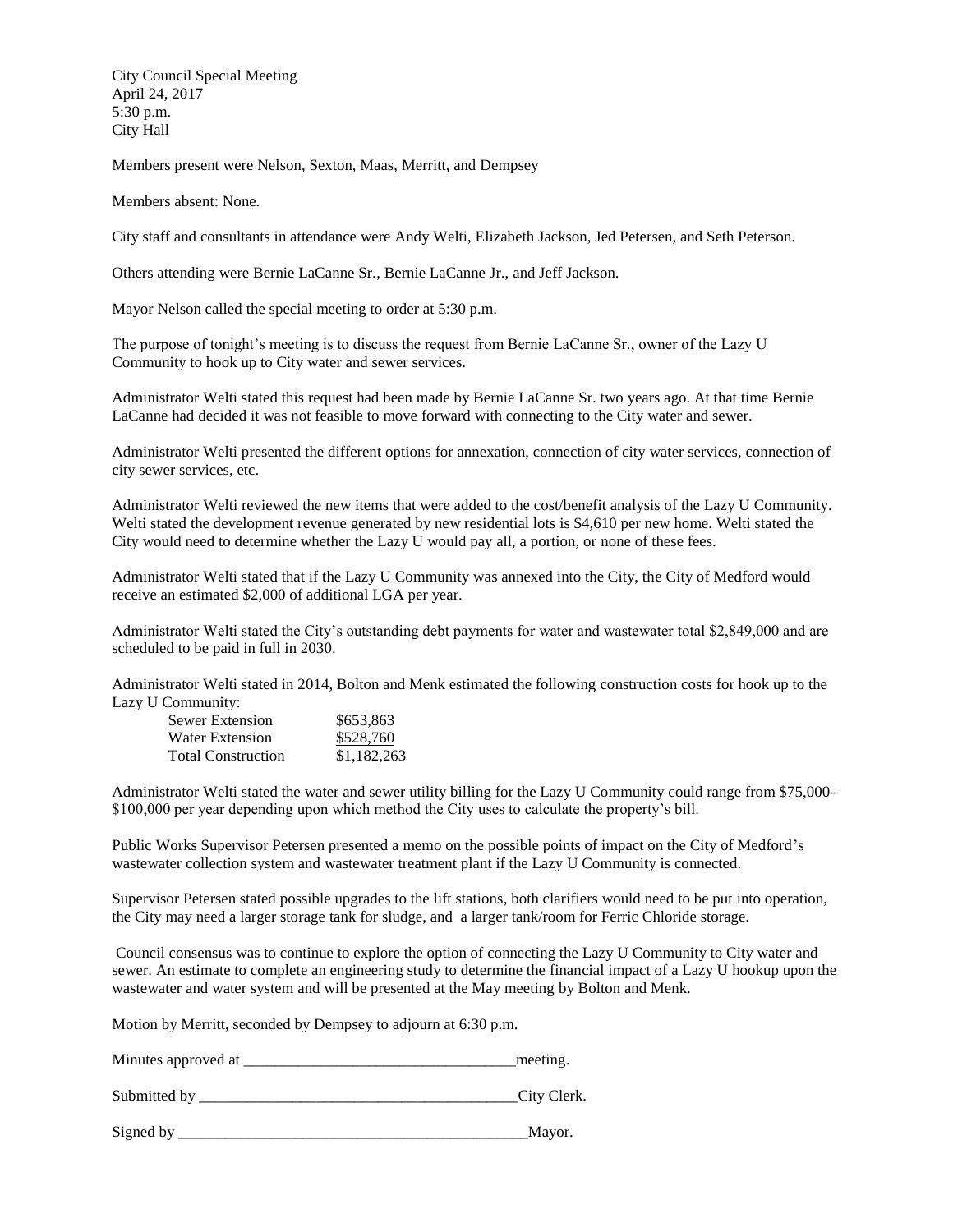City Council Special Meeting April 24, 2017 5:30 p.m. City Hall

Members present were Nelson, Sexton, Maas, Merritt, and Dempsey

Members absent: None.

City staff and consultants in attendance were Andy Welti, Elizabeth Jackson, Jed Petersen, and Seth Peterson.

Others attending were Bernie LaCanne Sr., Bernie LaCanne Jr., and Jeff Jackson.

Mayor Nelson called the special meeting to order at 5:30 p.m.

The purpose of tonight's meeting is to discuss the request from Bernie LaCanne Sr., owner of the Lazy U Community to hook up to City water and sewer services.

Administrator Welti stated this request had been made by Bernie LaCanne Sr. two years ago. At that time Bernie LaCanne had decided it was not feasible to move forward with connecting to the City water and sewer.

Administrator Welti presented the different options for annexation, connection of city water services, connection of city sewer services, etc.

Administrator Welti reviewed the new items that were added to the cost/benefit analysis of the Lazy U Community. Welti stated the development revenue generated by new residential lots is \$4,610 per new home. Welti stated the City would need to determine whether the Lazy U would pay all, a portion, or none of these fees.

Administrator Welti stated that if the Lazy U Community was annexed into the City, the City of Medford would receive an estimated \$2,000 of additional LGA per year.

Administrator Welti stated the City's outstanding debt payments for water and wastewater total \$2,849,000 and are scheduled to be paid in full in 2030.

Administrator Welti stated in 2014, Bolton and Menk estimated the following construction costs for hook up to the Lazy U Community:

| Sewer Extension           | \$653,863   |
|---------------------------|-------------|
| Water Extension           | \$528,760   |
| <b>Total Construction</b> | \$1,182,263 |

Administrator Welti stated the water and sewer utility billing for the Lazy U Community could range from \$75,000- \$100,000 per year depending upon which method the City uses to calculate the property's bill.

Public Works Supervisor Petersen presented a memo on the possible points of impact on the City of Medford's wastewater collection system and wastewater treatment plant if the Lazy U Community is connected.

Supervisor Petersen stated possible upgrades to the lift stations, both clarifiers would need to be put into operation, the City may need a larger storage tank for sludge, and a larger tank/room for Ferric Chloride storage.

Council consensus was to continue to explore the option of connecting the Lazy U Community to City water and sewer. An estimate to complete an engineering study to determine the financial impact of a Lazy U hookup upon the wastewater and water system and will be presented at the May meeting by Bolton and Menk.

Motion by Merritt, seconded by Dempsey to adjourn at 6:30 p.m.

Minutes approved at \_\_\_\_\_\_\_\_\_\_\_\_\_\_\_\_\_\_\_\_\_\_\_\_\_\_\_\_\_\_\_\_\_\_\_meeting.

Submitted by \_\_\_\_\_\_\_\_\_\_\_\_\_\_\_\_\_\_\_\_\_\_\_\_\_\_\_\_\_\_\_\_\_\_\_\_\_\_\_\_\_City Clerk.

Signed by \_\_\_\_\_\_\_\_\_\_\_\_\_\_\_\_\_\_\_\_\_\_\_\_\_\_\_\_\_\_\_\_\_\_\_\_\_\_\_\_\_\_\_\_\_Mayor.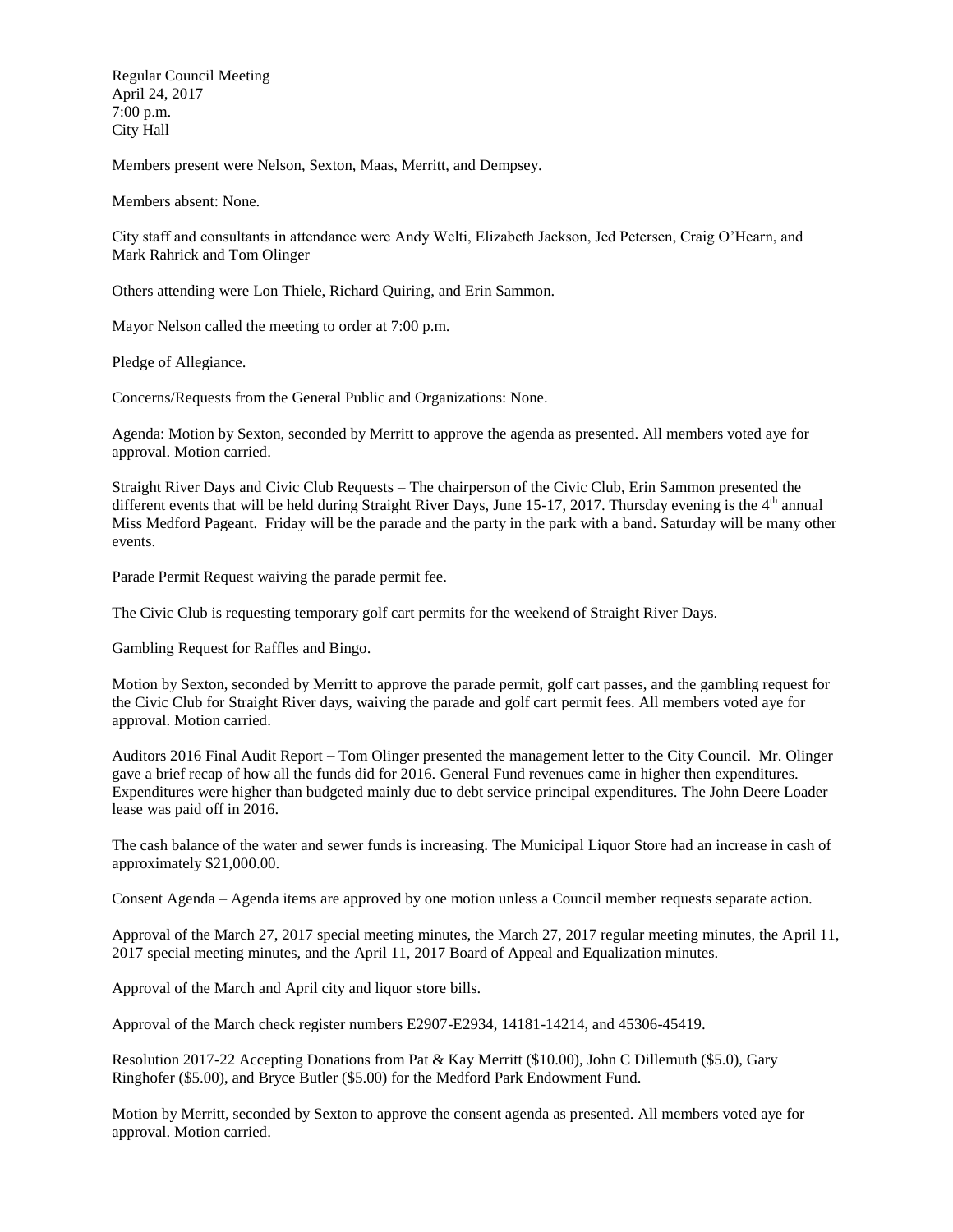Regular Council Meeting April 24, 2017 7:00 p.m. City Hall

Members present were Nelson, Sexton, Maas, Merritt, and Dempsey.

Members absent: None.

City staff and consultants in attendance were Andy Welti, Elizabeth Jackson, Jed Petersen, Craig O'Hearn, and Mark Rahrick and Tom Olinger

Others attending were Lon Thiele, Richard Quiring, and Erin Sammon.

Mayor Nelson called the meeting to order at 7:00 p.m.

Pledge of Allegiance.

Concerns/Requests from the General Public and Organizations: None.

Agenda: Motion by Sexton, seconded by Merritt to approve the agenda as presented. All members voted aye for approval. Motion carried.

Straight River Days and Civic Club Requests – The chairperson of the Civic Club, Erin Sammon presented the different events that will be held during Straight River Days, June 15-17, 2017. Thursday evening is the  $4<sup>th</sup>$  annual Miss Medford Pageant. Friday will be the parade and the party in the park with a band. Saturday will be many other events.

Parade Permit Request waiving the parade permit fee.

The Civic Club is requesting temporary golf cart permits for the weekend of Straight River Days.

Gambling Request for Raffles and Bingo.

Motion by Sexton, seconded by Merritt to approve the parade permit, golf cart passes, and the gambling request for the Civic Club for Straight River days, waiving the parade and golf cart permit fees. All members voted aye for approval. Motion carried.

Auditors 2016 Final Audit Report – Tom Olinger presented the management letter to the City Council. Mr. Olinger gave a brief recap of how all the funds did for 2016. General Fund revenues came in higher then expenditures. Expenditures were higher than budgeted mainly due to debt service principal expenditures. The John Deere Loader lease was paid off in 2016.

The cash balance of the water and sewer funds is increasing. The Municipal Liquor Store had an increase in cash of approximately \$21,000.00.

Consent Agenda – Agenda items are approved by one motion unless a Council member requests separate action.

Approval of the March 27, 2017 special meeting minutes, the March 27, 2017 regular meeting minutes, the April 11, 2017 special meeting minutes, and the April 11, 2017 Board of Appeal and Equalization minutes.

Approval of the March and April city and liquor store bills.

Approval of the March check register numbers E2907-E2934, 14181-14214, and 45306-45419.

Resolution 2017-22 Accepting Donations from Pat & Kay Merritt (\$10.00), John C Dillemuth (\$5.0), Gary Ringhofer (\$5.00), and Bryce Butler (\$5.00) for the Medford Park Endowment Fund.

Motion by Merritt, seconded by Sexton to approve the consent agenda as presented. All members voted aye for approval. Motion carried.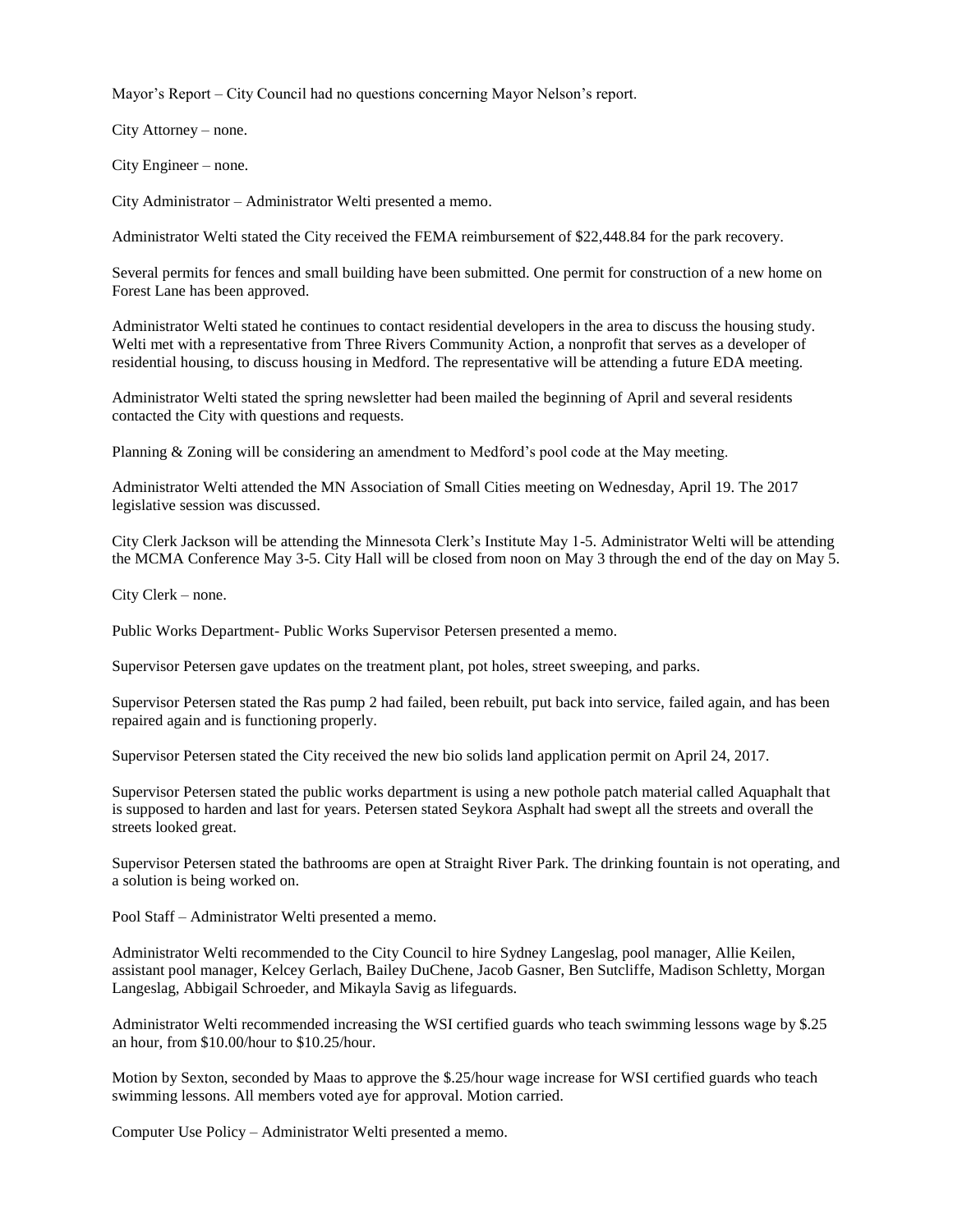Mayor's Report – City Council had no questions concerning Mayor Nelson's report.

City Attorney – none.

City Engineer – none.

City Administrator – Administrator Welti presented a memo.

Administrator Welti stated the City received the FEMA reimbursement of \$22,448.84 for the park recovery.

Several permits for fences and small building have been submitted. One permit for construction of a new home on Forest Lane has been approved.

Administrator Welti stated he continues to contact residential developers in the area to discuss the housing study. Welti met with a representative from Three Rivers Community Action, a nonprofit that serves as a developer of residential housing, to discuss housing in Medford. The representative will be attending a future EDA meeting.

Administrator Welti stated the spring newsletter had been mailed the beginning of April and several residents contacted the City with questions and requests.

Planning & Zoning will be considering an amendment to Medford's pool code at the May meeting.

Administrator Welti attended the MN Association of Small Cities meeting on Wednesday, April 19. The 2017 legislative session was discussed.

City Clerk Jackson will be attending the Minnesota Clerk's Institute May 1-5. Administrator Welti will be attending the MCMA Conference May 3-5. City Hall will be closed from noon on May 3 through the end of the day on May 5.

City Clerk – none.

Public Works Department- Public Works Supervisor Petersen presented a memo.

Supervisor Petersen gave updates on the treatment plant, pot holes, street sweeping, and parks.

Supervisor Petersen stated the Ras pump 2 had failed, been rebuilt, put back into service, failed again, and has been repaired again and is functioning properly.

Supervisor Petersen stated the City received the new bio solids land application permit on April 24, 2017.

Supervisor Petersen stated the public works department is using a new pothole patch material called Aquaphalt that is supposed to harden and last for years. Petersen stated Seykora Asphalt had swept all the streets and overall the streets looked great.

Supervisor Petersen stated the bathrooms are open at Straight River Park. The drinking fountain is not operating, and a solution is being worked on.

Pool Staff – Administrator Welti presented a memo.

Administrator Welti recommended to the City Council to hire Sydney Langeslag, pool manager, Allie Keilen, assistant pool manager, Kelcey Gerlach, Bailey DuChene, Jacob Gasner, Ben Sutcliffe, Madison Schletty, Morgan Langeslag, Abbigail Schroeder, and Mikayla Savig as lifeguards.

Administrator Welti recommended increasing the WSI certified guards who teach swimming lessons wage by \$.25 an hour, from \$10.00/hour to \$10.25/hour.

Motion by Sexton, seconded by Maas to approve the \$.25/hour wage increase for WSI certified guards who teach swimming lessons. All members voted aye for approval. Motion carried.

Computer Use Policy – Administrator Welti presented a memo.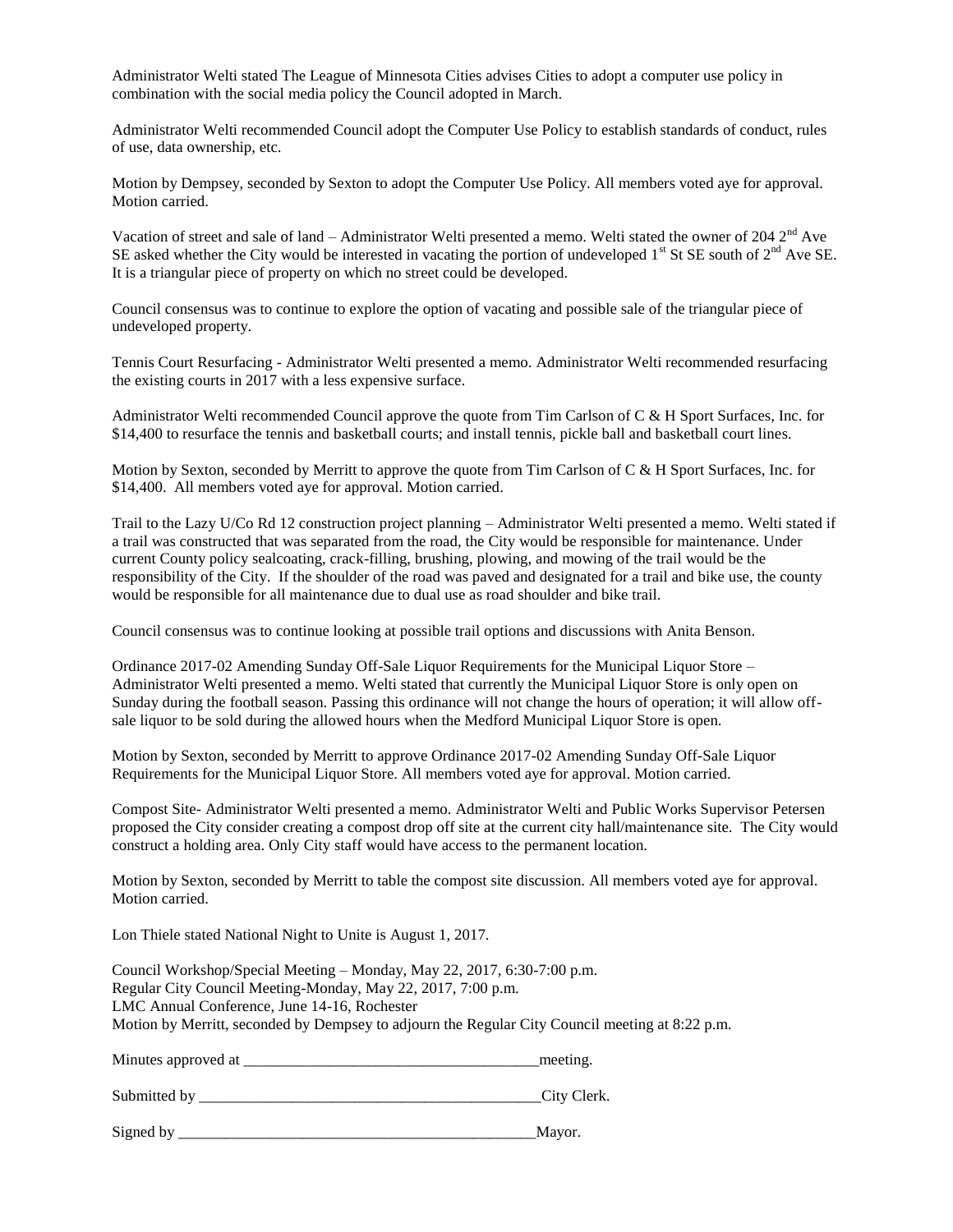Administrator Welti stated The League of Minnesota Cities advises Cities to adopt a computer use policy in combination with the social media policy the Council adopted in March.

Administrator Welti recommended Council adopt the Computer Use Policy to establish standards of conduct, rules of use, data ownership, etc.

Motion by Dempsey, seconded by Sexton to adopt the Computer Use Policy. All members voted aye for approval. Motion carried.

Vacation of street and sale of land – Administrator Welti presented a memo. Welti stated the owner of 204  $2<sup>nd</sup>$  Ave SE asked whether the City would be interested in vacating the portion of undeveloped  $1<sup>st</sup>$  St SE south of  $2<sup>nd</sup>$  Ave SE. It is a triangular piece of property on which no street could be developed.

Council consensus was to continue to explore the option of vacating and possible sale of the triangular piece of undeveloped property.

Tennis Court Resurfacing - Administrator Welti presented a memo. Administrator Welti recommended resurfacing the existing courts in 2017 with a less expensive surface.

Administrator Welti recommended Council approve the quote from Tim Carlson of C & H Sport Surfaces, Inc. for \$14,400 to resurface the tennis and basketball courts; and install tennis, pickle ball and basketball court lines.

Motion by Sexton, seconded by Merritt to approve the quote from Tim Carlson of C & H Sport Surfaces, Inc. for \$14,400. All members voted aye for approval. Motion carried.

Trail to the Lazy U/Co Rd 12 construction project planning – Administrator Welti presented a memo. Welti stated if a trail was constructed that was separated from the road, the City would be responsible for maintenance. Under current County policy sealcoating, crack-filling, brushing, plowing, and mowing of the trail would be the responsibility of the City. If the shoulder of the road was paved and designated for a trail and bike use, the county would be responsible for all maintenance due to dual use as road shoulder and bike trail.

Council consensus was to continue looking at possible trail options and discussions with Anita Benson.

Ordinance 2017-02 Amending Sunday Off-Sale Liquor Requirements for the Municipal Liquor Store – Administrator Welti presented a memo. Welti stated that currently the Municipal Liquor Store is only open on Sunday during the football season. Passing this ordinance will not change the hours of operation; it will allow offsale liquor to be sold during the allowed hours when the Medford Municipal Liquor Store is open.

Motion by Sexton, seconded by Merritt to approve Ordinance 2017-02 Amending Sunday Off-Sale Liquor Requirements for the Municipal Liquor Store. All members voted aye for approval. Motion carried.

Compost Site- Administrator Welti presented a memo. Administrator Welti and Public Works Supervisor Petersen proposed the City consider creating a compost drop off site at the current city hall/maintenance site. The City would construct a holding area. Only City staff would have access to the permanent location.

Motion by Sexton, seconded by Merritt to table the compost site discussion. All members voted aye for approval. Motion carried.

Lon Thiele stated National Night to Unite is August 1, 2017.

Council Workshop/Special Meeting – Monday, May 22, 2017, 6:30-7:00 p.m. Regular City Council Meeting-Monday, May 22, 2017, 7:00 p.m. LMC Annual Conference, June 14-16, Rochester Motion by Merritt, seconded by Dempsey to adjourn the Regular City Council meeting at 8:22 p.m.

Minutes approved at \_\_\_\_\_\_\_\_\_\_\_\_\_\_\_\_\_\_\_\_\_\_\_\_\_\_\_\_\_\_\_\_\_\_\_\_\_\_meeting.

Submitted by \_\_\_\_\_\_\_\_\_\_\_\_\_\_\_\_\_\_\_\_\_\_\_\_\_\_\_\_\_\_\_\_\_\_\_\_\_\_\_\_\_\_\_\_City Clerk.

Signed by \_\_\_\_\_\_\_\_\_\_\_\_\_\_\_\_\_\_\_\_\_\_\_\_\_\_\_\_\_\_\_\_\_\_\_\_\_\_\_\_\_\_\_\_\_\_Mayor.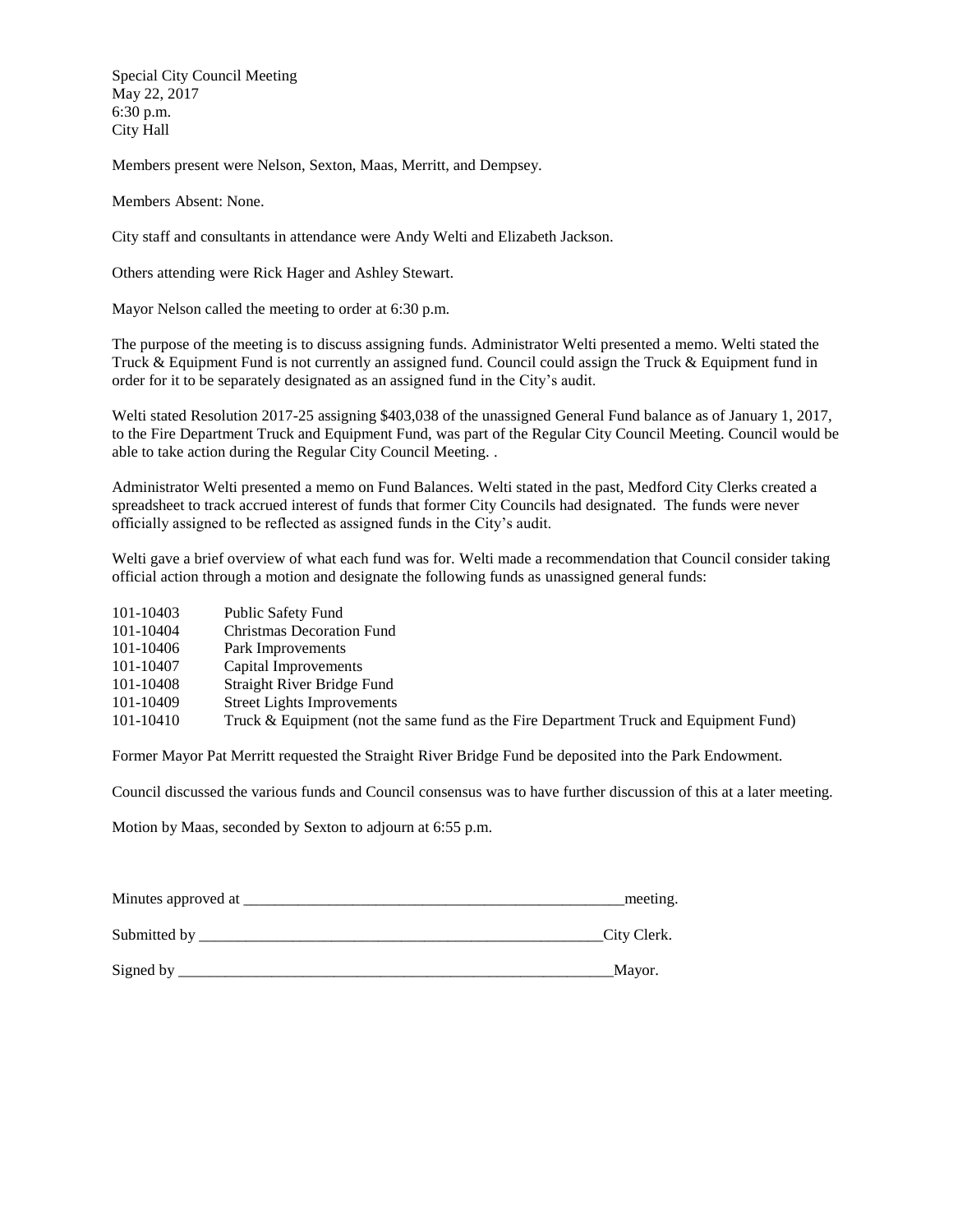Special City Council Meeting May 22, 2017 6:30 p.m. City Hall

Members present were Nelson, Sexton, Maas, Merritt, and Dempsey.

Members Absent: None.

City staff and consultants in attendance were Andy Welti and Elizabeth Jackson.

Others attending were Rick Hager and Ashley Stewart.

Mayor Nelson called the meeting to order at 6:30 p.m.

The purpose of the meeting is to discuss assigning funds. Administrator Welti presented a memo. Welti stated the Truck & Equipment Fund is not currently an assigned fund. Council could assign the Truck & Equipment fund in order for it to be separately designated as an assigned fund in the City's audit.

Welti stated Resolution 2017-25 assigning \$403,038 of the unassigned General Fund balance as of January 1, 2017, to the Fire Department Truck and Equipment Fund, was part of the Regular City Council Meeting. Council would be able to take action during the Regular City Council Meeting. .

Administrator Welti presented a memo on Fund Balances. Welti stated in the past, Medford City Clerks created a spreadsheet to track accrued interest of funds that former City Councils had designated. The funds were never officially assigned to be reflected as assigned funds in the City's audit.

Welti gave a brief overview of what each fund was for. Welti made a recommendation that Council consider taking official action through a motion and designate the following funds as unassigned general funds:

| 101-10403 | Public Safety Fund                                                                    |
|-----------|---------------------------------------------------------------------------------------|
| 101-10404 | <b>Christmas Decoration Fund</b>                                                      |
| 101-10406 | Park Improvements                                                                     |
| 101-10407 | Capital Improvements                                                                  |
| 101-10408 | Straight River Bridge Fund                                                            |
| 101-10409 | <b>Street Lights Improvements</b>                                                     |
| 101-10410 | Truck & Equipment (not the same fund as the Fire Department Truck and Equipment Fund) |

Former Mayor Pat Merritt requested the Straight River Bridge Fund be deposited into the Park Endowment.

Council discussed the various funds and Council consensus was to have further discussion of this at a later meeting.

Motion by Maas, seconded by Sexton to adjourn at 6:55 p.m.

| Minutes approved at | meeting.    |
|---------------------|-------------|
| Submitted by        | City Clerk. |
| Signed by           | Mayor.      |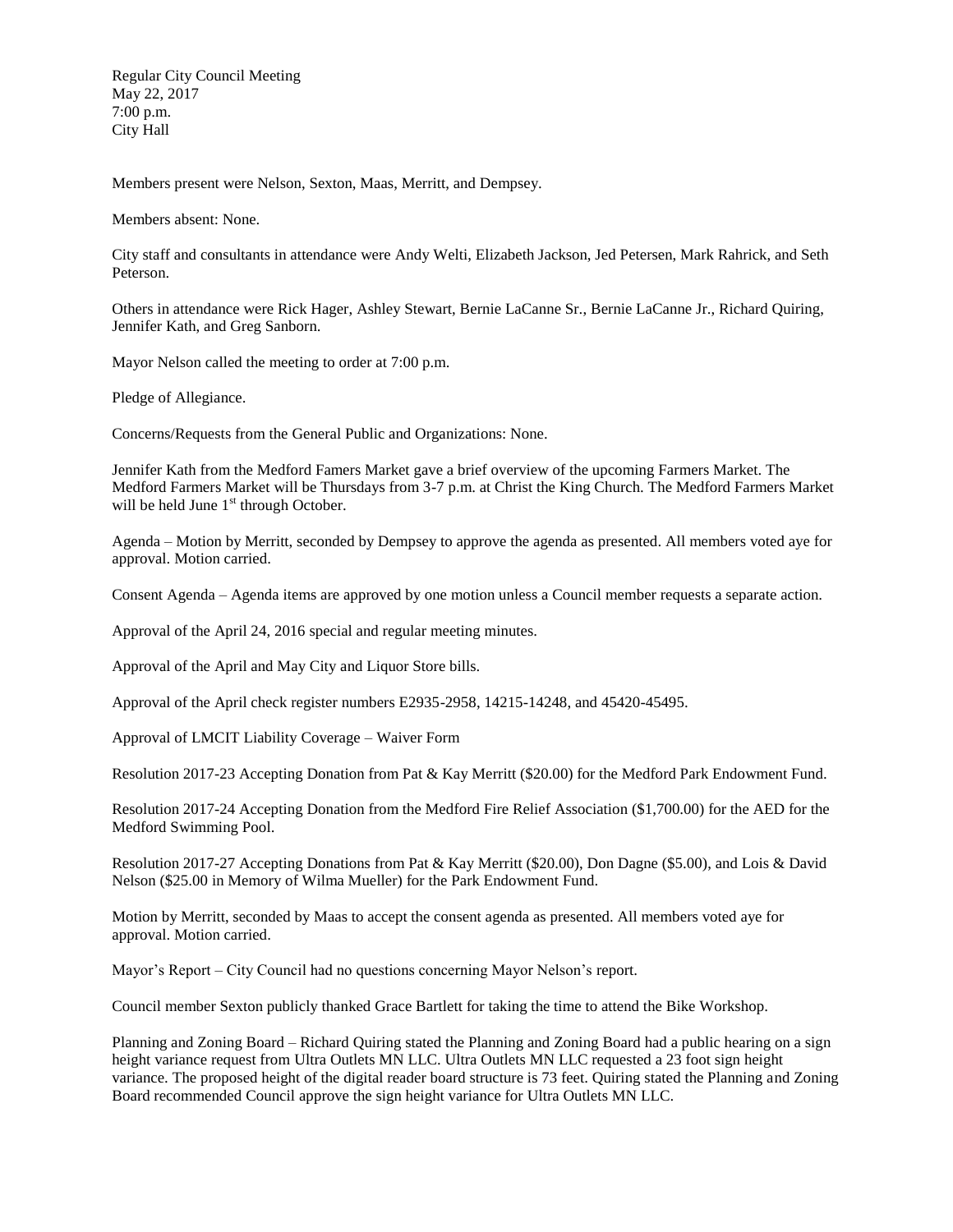Regular City Council Meeting May 22, 2017 7:00 p.m. City Hall

Members present were Nelson, Sexton, Maas, Merritt, and Dempsey.

Members absent: None.

City staff and consultants in attendance were Andy Welti, Elizabeth Jackson, Jed Petersen, Mark Rahrick, and Seth Peterson.

Others in attendance were Rick Hager, Ashley Stewart, Bernie LaCanne Sr., Bernie LaCanne Jr., Richard Quiring, Jennifer Kath, and Greg Sanborn.

Mayor Nelson called the meeting to order at 7:00 p.m.

Pledge of Allegiance.

Concerns/Requests from the General Public and Organizations: None.

Jennifer Kath from the Medford Famers Market gave a brief overview of the upcoming Farmers Market. The Medford Farmers Market will be Thursdays from 3-7 p.m. at Christ the King Church. The Medford Farmers Market will be held June  $1<sup>st</sup>$  through October.

Agenda – Motion by Merritt, seconded by Dempsey to approve the agenda as presented. All members voted aye for approval. Motion carried.

Consent Agenda – Agenda items are approved by one motion unless a Council member requests a separate action.

Approval of the April 24, 2016 special and regular meeting minutes.

Approval of the April and May City and Liquor Store bills.

Approval of the April check register numbers E2935-2958, 14215-14248, and 45420-45495.

Approval of LMCIT Liability Coverage – Waiver Form

Resolution 2017-23 Accepting Donation from Pat & Kay Merritt (\$20.00) for the Medford Park Endowment Fund.

Resolution 2017-24 Accepting Donation from the Medford Fire Relief Association (\$1,700.00) for the AED for the Medford Swimming Pool.

Resolution 2017-27 Accepting Donations from Pat & Kay Merritt (\$20.00), Don Dagne (\$5.00), and Lois & David Nelson (\$25.00 in Memory of Wilma Mueller) for the Park Endowment Fund.

Motion by Merritt, seconded by Maas to accept the consent agenda as presented. All members voted aye for approval. Motion carried.

Mayor's Report – City Council had no questions concerning Mayor Nelson's report.

Council member Sexton publicly thanked Grace Bartlett for taking the time to attend the Bike Workshop.

Planning and Zoning Board – Richard Quiring stated the Planning and Zoning Board had a public hearing on a sign height variance request from Ultra Outlets MN LLC. Ultra Outlets MN LLC requested a 23 foot sign height variance. The proposed height of the digital reader board structure is 73 feet. Quiring stated the Planning and Zoning Board recommended Council approve the sign height variance for Ultra Outlets MN LLC.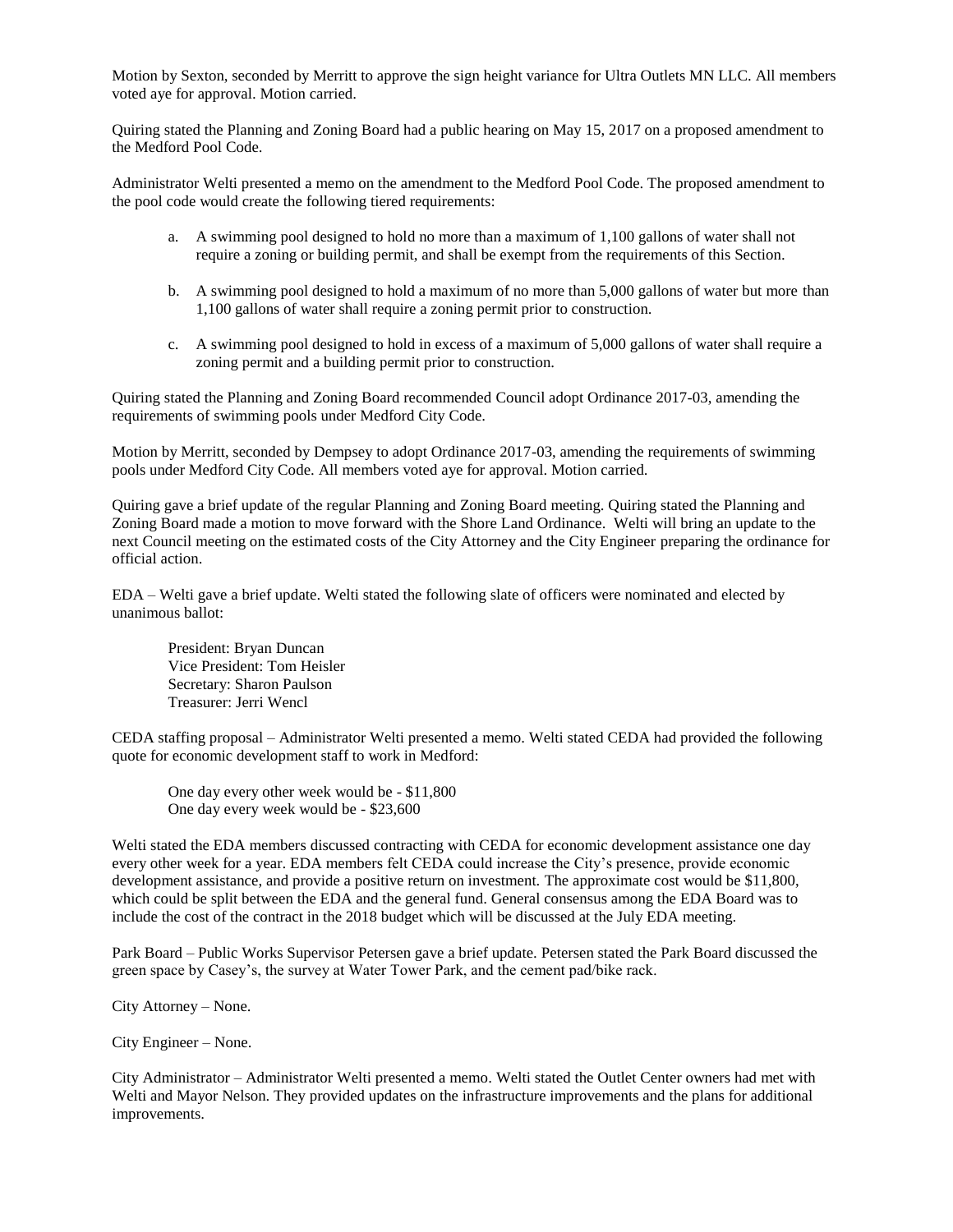Motion by Sexton, seconded by Merritt to approve the sign height variance for Ultra Outlets MN LLC. All members voted aye for approval. Motion carried.

Quiring stated the Planning and Zoning Board had a public hearing on May 15, 2017 on a proposed amendment to the Medford Pool Code.

Administrator Welti presented a memo on the amendment to the Medford Pool Code. The proposed amendment to the pool code would create the following tiered requirements:

- a. A swimming pool designed to hold no more than a maximum of 1,100 gallons of water shall not require a zoning or building permit, and shall be exempt from the requirements of this Section.
- b. A swimming pool designed to hold a maximum of no more than 5,000 gallons of water but more than 1,100 gallons of water shall require a zoning permit prior to construction.
- c. A swimming pool designed to hold in excess of a maximum of 5,000 gallons of water shall require a zoning permit and a building permit prior to construction.

Quiring stated the Planning and Zoning Board recommended Council adopt Ordinance 2017-03, amending the requirements of swimming pools under Medford City Code.

Motion by Merritt, seconded by Dempsey to adopt Ordinance 2017-03, amending the requirements of swimming pools under Medford City Code. All members voted aye for approval. Motion carried.

Quiring gave a brief update of the regular Planning and Zoning Board meeting. Quiring stated the Planning and Zoning Board made a motion to move forward with the Shore Land Ordinance. Welti will bring an update to the next Council meeting on the estimated costs of the City Attorney and the City Engineer preparing the ordinance for official action.

EDA – Welti gave a brief update. Welti stated the following slate of officers were nominated and elected by unanimous ballot:

President: Bryan Duncan Vice President: Tom Heisler Secretary: Sharon Paulson Treasurer: Jerri Wencl

CEDA staffing proposal – Administrator Welti presented a memo. Welti stated CEDA had provided the following quote for economic development staff to work in Medford:

One day every other week would be - \$11,800 One day every week would be - \$23,600

Welti stated the EDA members discussed contracting with CEDA for economic development assistance one day every other week for a year. EDA members felt CEDA could increase the City's presence, provide economic development assistance, and provide a positive return on investment. The approximate cost would be \$11,800, which could be split between the EDA and the general fund. General consensus among the EDA Board was to include the cost of the contract in the 2018 budget which will be discussed at the July EDA meeting.

Park Board – Public Works Supervisor Petersen gave a brief update. Petersen stated the Park Board discussed the green space by Casey's, the survey at Water Tower Park, and the cement pad/bike rack.

City Attorney – None.

City Engineer – None.

City Administrator – Administrator Welti presented a memo. Welti stated the Outlet Center owners had met with Welti and Mayor Nelson. They provided updates on the infrastructure improvements and the plans for additional improvements.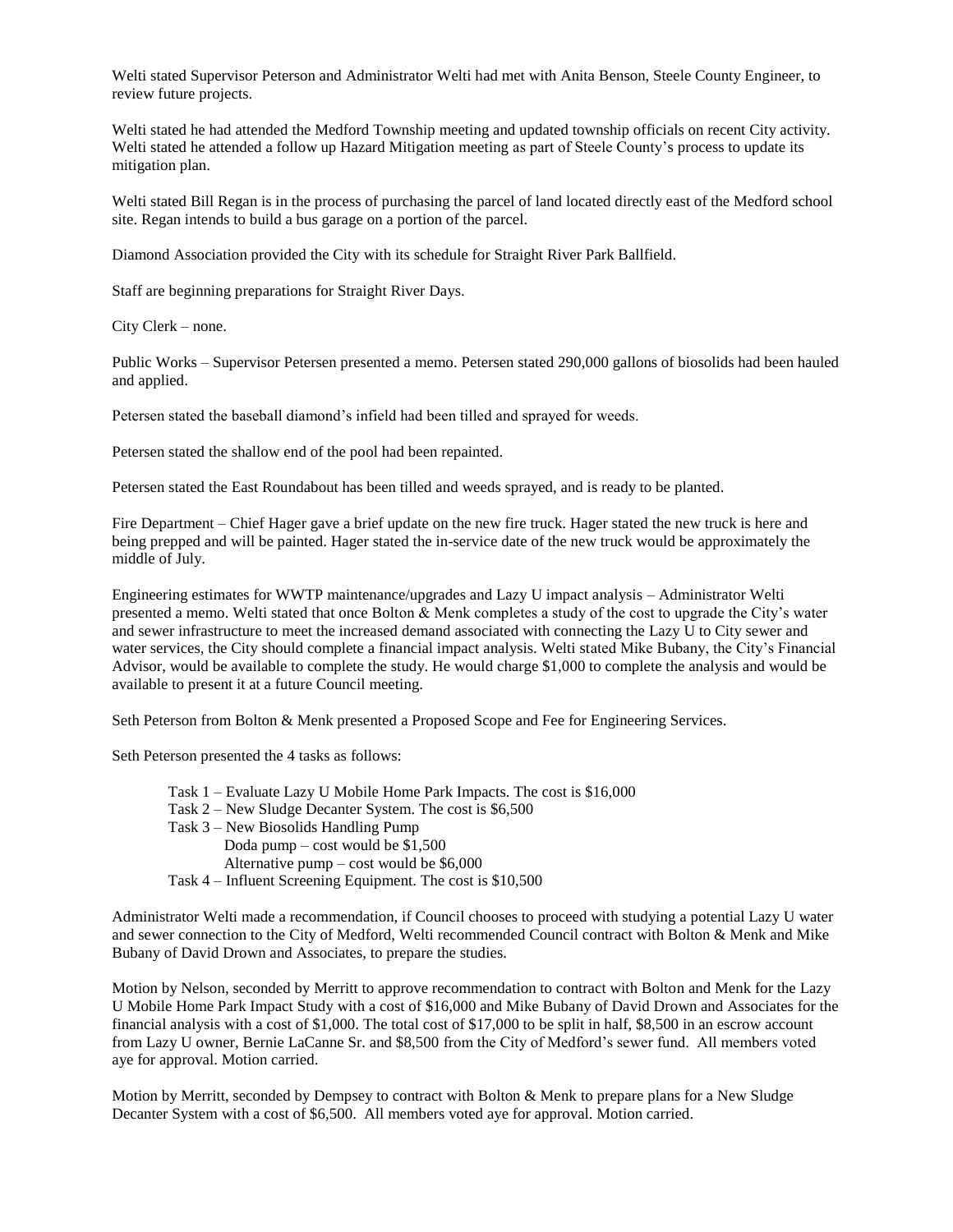Welti stated Supervisor Peterson and Administrator Welti had met with Anita Benson, Steele County Engineer, to review future projects.

Welti stated he had attended the Medford Township meeting and updated township officials on recent City activity. Welti stated he attended a follow up Hazard Mitigation meeting as part of Steele County's process to update its mitigation plan.

Welti stated Bill Regan is in the process of purchasing the parcel of land located directly east of the Medford school site. Regan intends to build a bus garage on a portion of the parcel.

Diamond Association provided the City with its schedule for Straight River Park Ballfield.

Staff are beginning preparations for Straight River Days.

City Clerk – none.

Public Works – Supervisor Petersen presented a memo. Petersen stated 290,000 gallons of biosolids had been hauled and applied.

Petersen stated the baseball diamond's infield had been tilled and sprayed for weeds.

Petersen stated the shallow end of the pool had been repainted.

Petersen stated the East Roundabout has been tilled and weeds sprayed, and is ready to be planted.

Fire Department – Chief Hager gave a brief update on the new fire truck. Hager stated the new truck is here and being prepped and will be painted. Hager stated the in-service date of the new truck would be approximately the middle of July.

Engineering estimates for WWTP maintenance/upgrades and Lazy U impact analysis – Administrator Welti presented a memo. Welti stated that once Bolton & Menk completes a study of the cost to upgrade the City's water and sewer infrastructure to meet the increased demand associated with connecting the Lazy U to City sewer and water services, the City should complete a financial impact analysis. Welti stated Mike Bubany, the City's Financial Advisor, would be available to complete the study. He would charge \$1,000 to complete the analysis and would be available to present it at a future Council meeting.

Seth Peterson from Bolton & Menk presented a Proposed Scope and Fee for Engineering Services.

Seth Peterson presented the 4 tasks as follows:

- Task 1 Evaluate Lazy U Mobile Home Park Impacts. The cost is \$16,000
- Task 2 New Sludge Decanter System. The cost is \$6,500
- Task 3 New Biosolids Handling Pump Doda pump – cost would be \$1,500 Alternative pump – cost would be \$6,000 Task 4 – Influent Screening Equipment. The cost is \$10,500

Administrator Welti made a recommendation, if Council chooses to proceed with studying a potential Lazy U water and sewer connection to the City of Medford, Welti recommended Council contract with Bolton & Menk and Mike Bubany of David Drown and Associates, to prepare the studies.

Motion by Nelson, seconded by Merritt to approve recommendation to contract with Bolton and Menk for the Lazy U Mobile Home Park Impact Study with a cost of \$16,000 and Mike Bubany of David Drown and Associates for the financial analysis with a cost of \$1,000. The total cost of \$17,000 to be split in half, \$8,500 in an escrow account from Lazy U owner, Bernie LaCanne Sr. and \$8,500 from the City of Medford's sewer fund. All members voted aye for approval. Motion carried.

Motion by Merritt, seconded by Dempsey to contract with Bolton & Menk to prepare plans for a New Sludge Decanter System with a cost of \$6,500. All members voted aye for approval. Motion carried.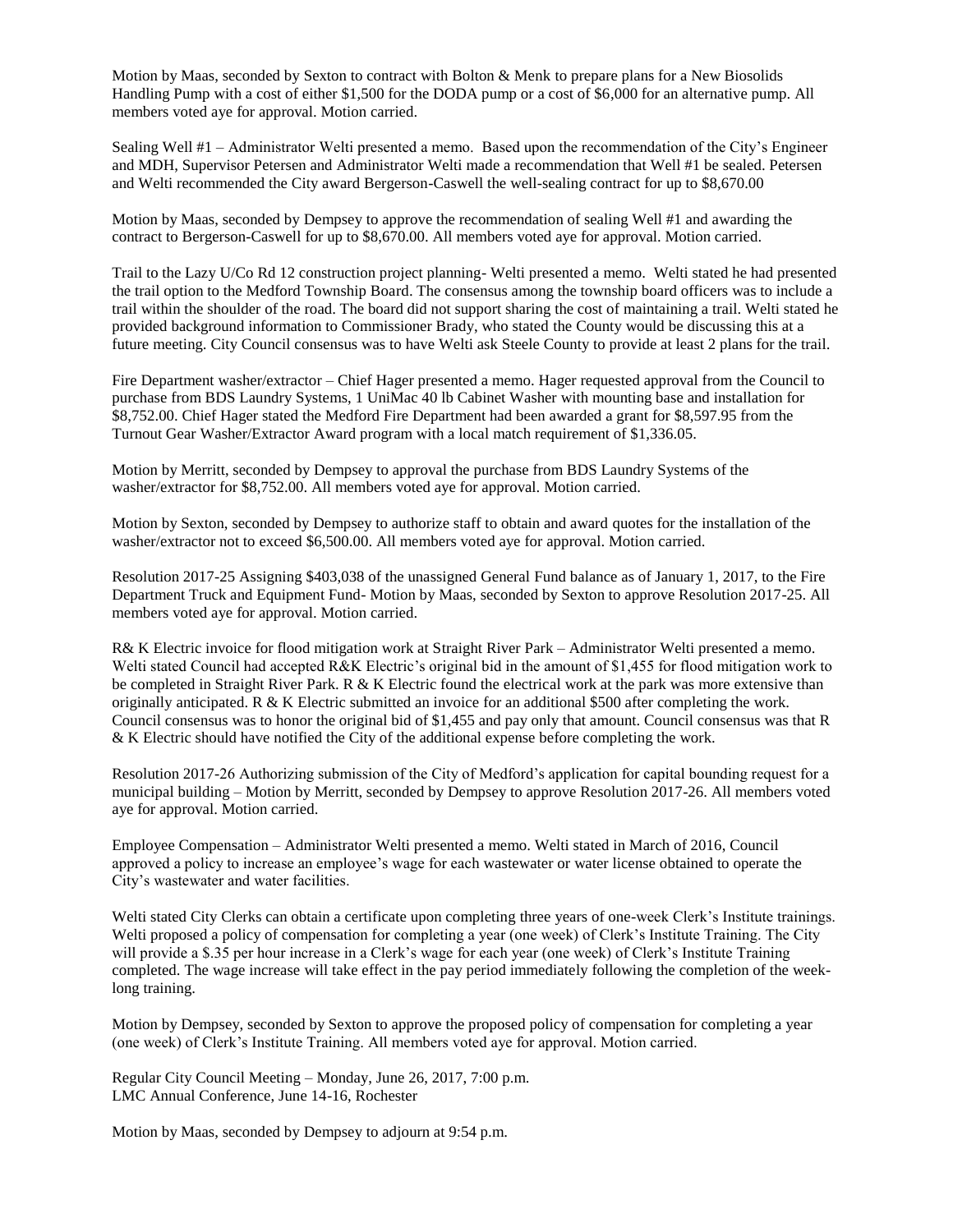Motion by Maas, seconded by Sexton to contract with Bolton & Menk to prepare plans for a New Biosolids Handling Pump with a cost of either \$1,500 for the DODA pump or a cost of \$6,000 for an alternative pump. All members voted aye for approval. Motion carried.

Sealing Well #1 – Administrator Welti presented a memo. Based upon the recommendation of the City's Engineer and MDH, Supervisor Petersen and Administrator Welti made a recommendation that Well #1 be sealed. Petersen and Welti recommended the City award Bergerson-Caswell the well-sealing contract for up to \$8,670.00

Motion by Maas, seconded by Dempsey to approve the recommendation of sealing Well #1 and awarding the contract to Bergerson-Caswell for up to \$8,670.00. All members voted aye for approval. Motion carried.

Trail to the Lazy U/Co Rd 12 construction project planning- Welti presented a memo. Welti stated he had presented the trail option to the Medford Township Board. The consensus among the township board officers was to include a trail within the shoulder of the road. The board did not support sharing the cost of maintaining a trail. Welti stated he provided background information to Commissioner Brady, who stated the County would be discussing this at a future meeting. City Council consensus was to have Welti ask Steele County to provide at least 2 plans for the trail.

Fire Department washer/extractor – Chief Hager presented a memo. Hager requested approval from the Council to purchase from BDS Laundry Systems, 1 UniMac 40 lb Cabinet Washer with mounting base and installation for \$8,752.00. Chief Hager stated the Medford Fire Department had been awarded a grant for \$8,597.95 from the Turnout Gear Washer/Extractor Award program with a local match requirement of \$1,336.05.

Motion by Merritt, seconded by Dempsey to approval the purchase from BDS Laundry Systems of the washer/extractor for \$8,752.00. All members voted aye for approval. Motion carried.

Motion by Sexton, seconded by Dempsey to authorize staff to obtain and award quotes for the installation of the washer/extractor not to exceed \$6,500.00. All members voted aye for approval. Motion carried.

Resolution 2017-25 Assigning \$403,038 of the unassigned General Fund balance as of January 1, 2017, to the Fire Department Truck and Equipment Fund- Motion by Maas, seconded by Sexton to approve Resolution 2017-25. All members voted aye for approval. Motion carried.

R& K Electric invoice for flood mitigation work at Straight River Park – Administrator Welti presented a memo. Welti stated Council had accepted R&K Electric's original bid in the amount of \$1,455 for flood mitigation work to be completed in Straight River Park. R & K Electric found the electrical work at the park was more extensive than originally anticipated. R & K Electric submitted an invoice for an additional \$500 after completing the work. Council consensus was to honor the original bid of \$1,455 and pay only that amount. Council consensus was that R & K Electric should have notified the City of the additional expense before completing the work.

Resolution 2017-26 Authorizing submission of the City of Medford's application for capital bounding request for a municipal building – Motion by Merritt, seconded by Dempsey to approve Resolution 2017-26. All members voted aye for approval. Motion carried.

Employee Compensation – Administrator Welti presented a memo. Welti stated in March of 2016, Council approved a policy to increase an employee's wage for each wastewater or water license obtained to operate the City's wastewater and water facilities.

Welti stated City Clerks can obtain a certificate upon completing three years of one-week Clerk's Institute trainings. Welti proposed a policy of compensation for completing a year (one week) of Clerk's Institute Training. The City will provide a \$.35 per hour increase in a Clerk's wage for each year (one week) of Clerk's Institute Training completed. The wage increase will take effect in the pay period immediately following the completion of the weeklong training.

Motion by Dempsey, seconded by Sexton to approve the proposed policy of compensation for completing a year (one week) of Clerk's Institute Training. All members voted aye for approval. Motion carried.

Regular City Council Meeting – Monday, June 26, 2017, 7:00 p.m. LMC Annual Conference, June 14-16, Rochester

Motion by Maas, seconded by Dempsey to adjourn at 9:54 p.m.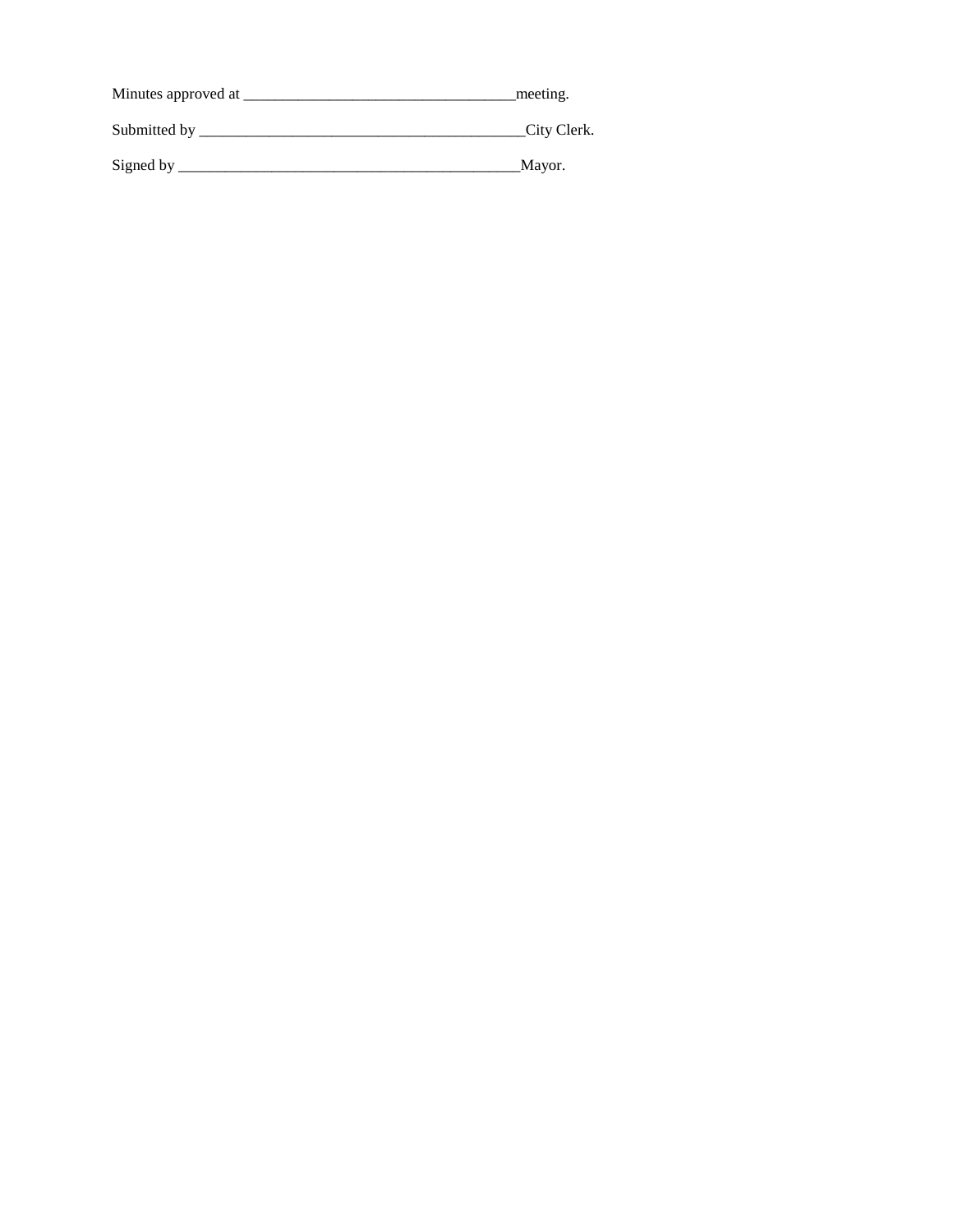| Minutes approved at | meeting.    |
|---------------------|-------------|
| Submitted by        | City Clerk. |
| Signed by           | Mayor.      |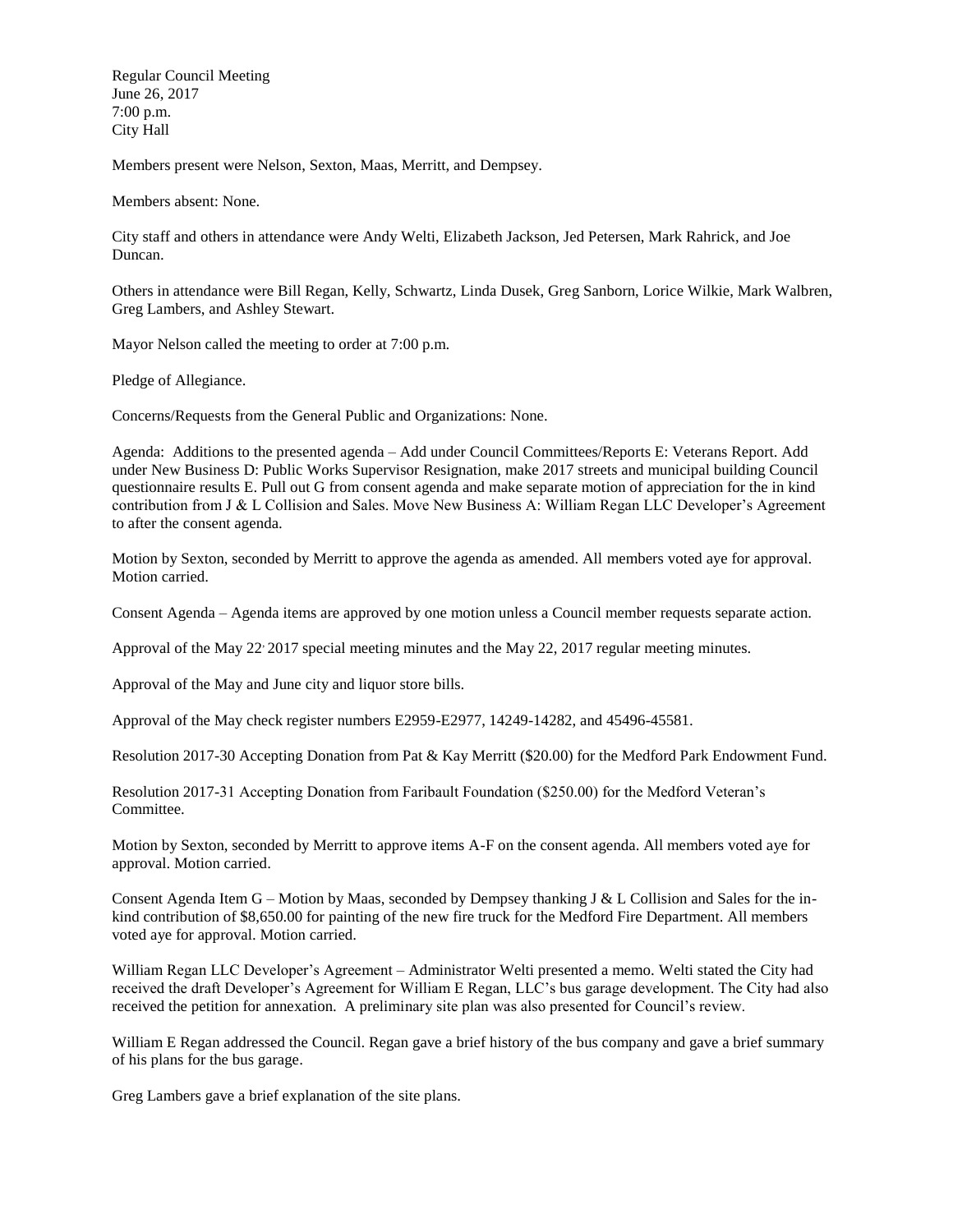Regular Council Meeting June 26, 2017 7:00 p.m. City Hall

Members present were Nelson, Sexton, Maas, Merritt, and Dempsey.

Members absent: None.

City staff and others in attendance were Andy Welti, Elizabeth Jackson, Jed Petersen, Mark Rahrick, and Joe Duncan.

Others in attendance were Bill Regan, Kelly, Schwartz, Linda Dusek, Greg Sanborn, Lorice Wilkie, Mark Walbren, Greg Lambers, and Ashley Stewart.

Mayor Nelson called the meeting to order at 7:00 p.m.

Pledge of Allegiance.

Concerns/Requests from the General Public and Organizations: None.

Agenda: Additions to the presented agenda – Add under Council Committees/Reports E: Veterans Report. Add under New Business D: Public Works Supervisor Resignation, make 2017 streets and municipal building Council questionnaire results E. Pull out G from consent agenda and make separate motion of appreciation for the in kind contribution from J & L Collision and Sales. Move New Business A: William Regan LLC Developer's Agreement to after the consent agenda.

Motion by Sexton, seconded by Merritt to approve the agenda as amended. All members voted aye for approval. Motion carried.

Consent Agenda – Agenda items are approved by one motion unless a Council member requests separate action.

Approval of the May 22 2017 special meeting minutes and the May 22, 2017 regular meeting minutes.

Approval of the May and June city and liquor store bills.

Approval of the May check register numbers E2959-E2977, 14249-14282, and 45496-45581.

Resolution 2017-30 Accepting Donation from Pat & Kay Merritt (\$20.00) for the Medford Park Endowment Fund.

Resolution 2017-31 Accepting Donation from Faribault Foundation (\$250.00) for the Medford Veteran's Committee.

Motion by Sexton, seconded by Merritt to approve items A-F on the consent agenda. All members voted aye for approval. Motion carried.

Consent Agenda Item  $G$  – Motion by Maas, seconded by Dempsey thanking J & L Collision and Sales for the inkind contribution of \$8,650.00 for painting of the new fire truck for the Medford Fire Department. All members voted aye for approval. Motion carried.

William Regan LLC Developer's Agreement – Administrator Welti presented a memo. Welti stated the City had received the draft Developer's Agreement for William E Regan, LLC's bus garage development. The City had also received the petition for annexation. A preliminary site plan was also presented for Council's review.

William E Regan addressed the Council. Regan gave a brief history of the bus company and gave a brief summary of his plans for the bus garage.

Greg Lambers gave a brief explanation of the site plans.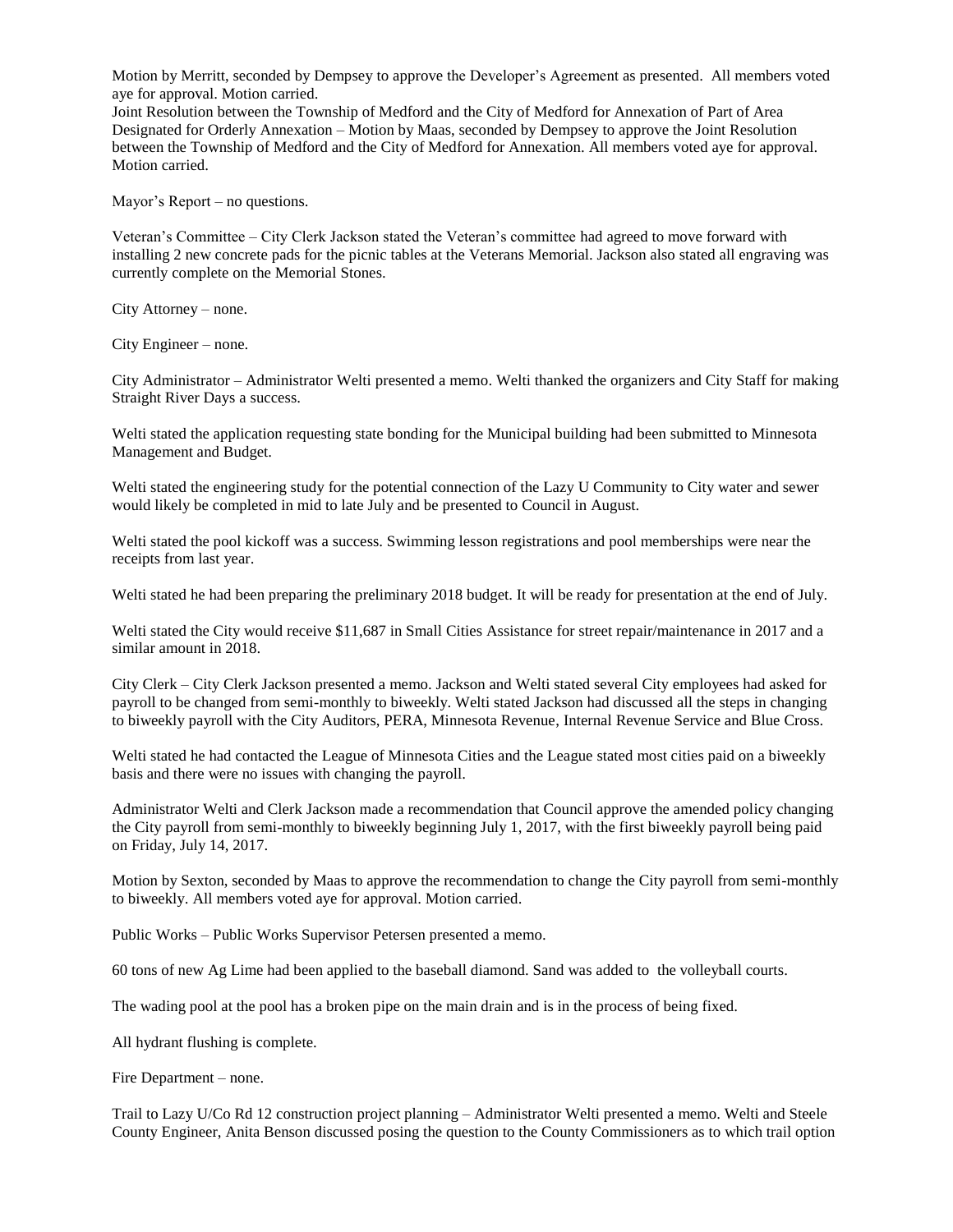Motion by Merritt, seconded by Dempsey to approve the Developer's Agreement as presented. All members voted aye for approval. Motion carried.

Joint Resolution between the Township of Medford and the City of Medford for Annexation of Part of Area Designated for Orderly Annexation – Motion by Maas, seconded by Dempsey to approve the Joint Resolution between the Township of Medford and the City of Medford for Annexation. All members voted aye for approval. Motion carried.

Mayor's Report – no questions.

Veteran's Committee – City Clerk Jackson stated the Veteran's committee had agreed to move forward with installing 2 new concrete pads for the picnic tables at the Veterans Memorial. Jackson also stated all engraving was currently complete on the Memorial Stones.

City Attorney – none.

City Engineer – none.

City Administrator – Administrator Welti presented a memo. Welti thanked the organizers and City Staff for making Straight River Days a success.

Welti stated the application requesting state bonding for the Municipal building had been submitted to Minnesota Management and Budget.

Welti stated the engineering study for the potential connection of the Lazy U Community to City water and sewer would likely be completed in mid to late July and be presented to Council in August.

Welti stated the pool kickoff was a success. Swimming lesson registrations and pool memberships were near the receipts from last year.

Welti stated he had been preparing the preliminary 2018 budget. It will be ready for presentation at the end of July.

Welti stated the City would receive \$11,687 in Small Cities Assistance for street repair/maintenance in 2017 and a similar amount in 2018.

City Clerk – City Clerk Jackson presented a memo. Jackson and Welti stated several City employees had asked for payroll to be changed from semi-monthly to biweekly. Welti stated Jackson had discussed all the steps in changing to biweekly payroll with the City Auditors, PERA, Minnesota Revenue, Internal Revenue Service and Blue Cross.

Welti stated he had contacted the League of Minnesota Cities and the League stated most cities paid on a biweekly basis and there were no issues with changing the payroll.

Administrator Welti and Clerk Jackson made a recommendation that Council approve the amended policy changing the City payroll from semi-monthly to biweekly beginning July 1, 2017, with the first biweekly payroll being paid on Friday, July 14, 2017.

Motion by Sexton, seconded by Maas to approve the recommendation to change the City payroll from semi-monthly to biweekly. All members voted aye for approval. Motion carried.

Public Works – Public Works Supervisor Petersen presented a memo.

60 tons of new Ag Lime had been applied to the baseball diamond. Sand was added to the volleyball courts.

The wading pool at the pool has a broken pipe on the main drain and is in the process of being fixed.

All hydrant flushing is complete.

Fire Department – none.

Trail to Lazy U/Co Rd 12 construction project planning – Administrator Welti presented a memo. Welti and Steele County Engineer, Anita Benson discussed posing the question to the County Commissioners as to which trail option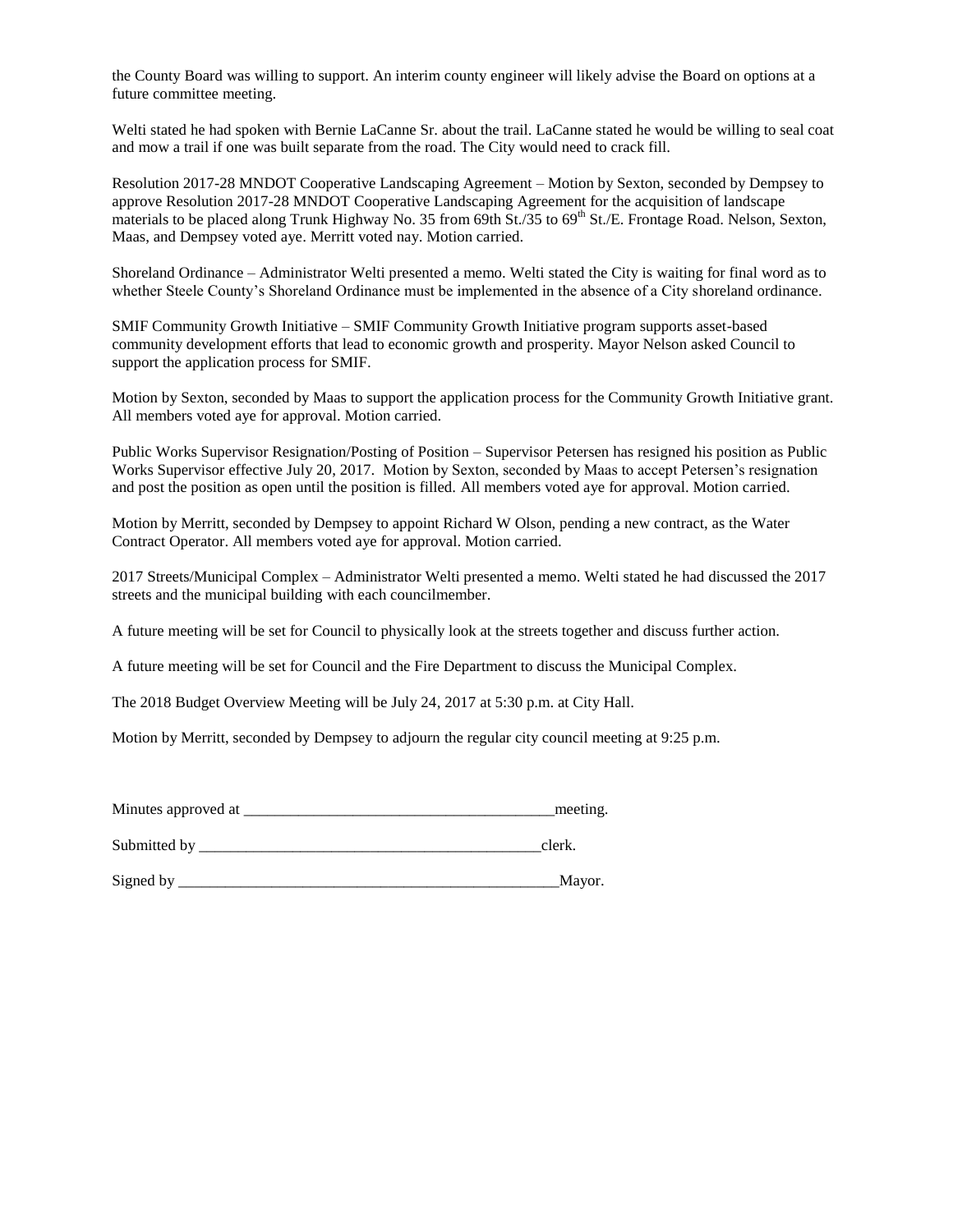the County Board was willing to support. An interim county engineer will likely advise the Board on options at a future committee meeting.

Welti stated he had spoken with Bernie LaCanne Sr. about the trail. LaCanne stated he would be willing to seal coat and mow a trail if one was built separate from the road. The City would need to crack fill.

Resolution 2017-28 MNDOT Cooperative Landscaping Agreement – Motion by Sexton, seconded by Dempsey to approve Resolution 2017-28 MNDOT Cooperative Landscaping Agreement for the acquisition of landscape materials to be placed along Trunk Highway No. 35 from 69th St./35 to  $69<sup>th</sup>$  St./E. Frontage Road. Nelson, Sexton, Maas, and Dempsey voted aye. Merritt voted nay. Motion carried.

Shoreland Ordinance – Administrator Welti presented a memo. Welti stated the City is waiting for final word as to whether Steele County's Shoreland Ordinance must be implemented in the absence of a City shoreland ordinance.

SMIF Community Growth Initiative – SMIF Community Growth Initiative program supports asset-based community development efforts that lead to economic growth and prosperity. Mayor Nelson asked Council to support the application process for SMIF.

Motion by Sexton, seconded by Maas to support the application process for the Community Growth Initiative grant. All members voted aye for approval. Motion carried.

Public Works Supervisor Resignation/Posting of Position – Supervisor Petersen has resigned his position as Public Works Supervisor effective July 20, 2017. Motion by Sexton, seconded by Maas to accept Petersen's resignation and post the position as open until the position is filled. All members voted aye for approval. Motion carried.

Motion by Merritt, seconded by Dempsey to appoint Richard W Olson, pending a new contract, as the Water Contract Operator. All members voted aye for approval. Motion carried.

2017 Streets/Municipal Complex – Administrator Welti presented a memo. Welti stated he had discussed the 2017 streets and the municipal building with each councilmember.

A future meeting will be set for Council to physically look at the streets together and discuss further action.

A future meeting will be set for Council and the Fire Department to discuss the Municipal Complex.

The 2018 Budget Overview Meeting will be July 24, 2017 at 5:30 p.m. at City Hall.

Motion by Merritt, seconded by Dempsey to adjourn the regular city council meeting at 9:25 p.m.

| Minutes approved at | meeting. |
|---------------------|----------|
|                     |          |

Submitted by clerk.

Signed by \_\_\_\_\_\_\_\_\_\_\_\_\_\_\_\_\_\_\_\_\_\_\_\_\_\_\_\_\_\_\_\_\_\_\_\_\_\_\_\_\_\_\_\_\_\_\_\_\_Mayor.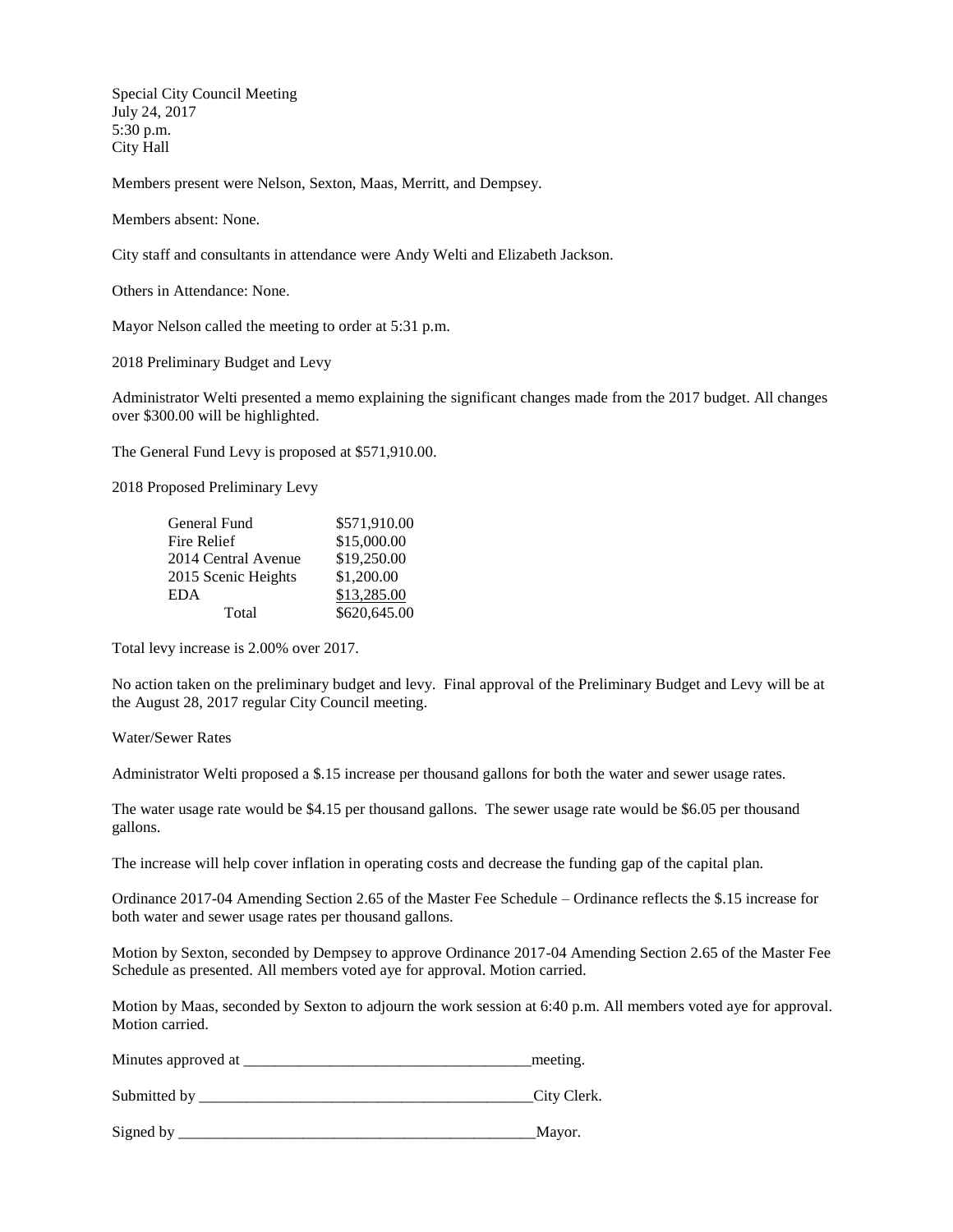Special City Council Meeting July 24, 2017 5:30 p.m. City Hall

Members present were Nelson, Sexton, Maas, Merritt, and Dempsey.

Members absent: None.

City staff and consultants in attendance were Andy Welti and Elizabeth Jackson.

Others in Attendance: None.

Mayor Nelson called the meeting to order at 5:31 p.m.

2018 Preliminary Budget and Levy

Administrator Welti presented a memo explaining the significant changes made from the 2017 budget. All changes over \$300.00 will be highlighted.

The General Fund Levy is proposed at \$571,910.00.

2018 Proposed Preliminary Levy

| General Fund        | \$571,910.00 |
|---------------------|--------------|
| Fire Relief         | \$15,000.00  |
| 2014 Central Avenue | \$19,250.00  |
| 2015 Scenic Heights | \$1,200.00   |
| <b>EDA</b>          | \$13,285.00  |
| Total               | \$620,645.00 |

Total levy increase is 2.00% over 2017.

No action taken on the preliminary budget and levy. Final approval of the Preliminary Budget and Levy will be at the August 28, 2017 regular City Council meeting.

Water/Sewer Rates

Administrator Welti proposed a \$.15 increase per thousand gallons for both the water and sewer usage rates.

The water usage rate would be \$4.15 per thousand gallons. The sewer usage rate would be \$6.05 per thousand gallons.

The increase will help cover inflation in operating costs and decrease the funding gap of the capital plan.

Ordinance 2017-04 Amending Section 2.65 of the Master Fee Schedule – Ordinance reflects the \$.15 increase for both water and sewer usage rates per thousand gallons.

Motion by Sexton, seconded by Dempsey to approve Ordinance 2017-04 Amending Section 2.65 of the Master Fee Schedule as presented. All members voted aye for approval. Motion carried.

Motion by Maas, seconded by Sexton to adjourn the work session at 6:40 p.m. All members voted aye for approval. Motion carried.

Minutes approved at \_\_\_\_\_\_\_\_\_\_\_\_\_\_\_\_\_\_\_\_\_\_\_\_\_\_\_\_\_\_\_\_\_\_\_\_\_meeting.

Submitted by \_\_\_\_\_\_\_\_\_\_\_\_\_\_\_\_\_\_\_\_\_\_\_\_\_\_\_\_\_\_\_\_\_\_\_\_\_\_\_\_\_\_\_City Clerk.

Signed by \_\_\_\_\_\_\_\_\_\_\_\_\_\_\_\_\_\_\_\_\_\_\_\_\_\_\_\_\_\_\_\_\_\_\_\_\_\_\_\_\_\_\_\_\_\_Mayor.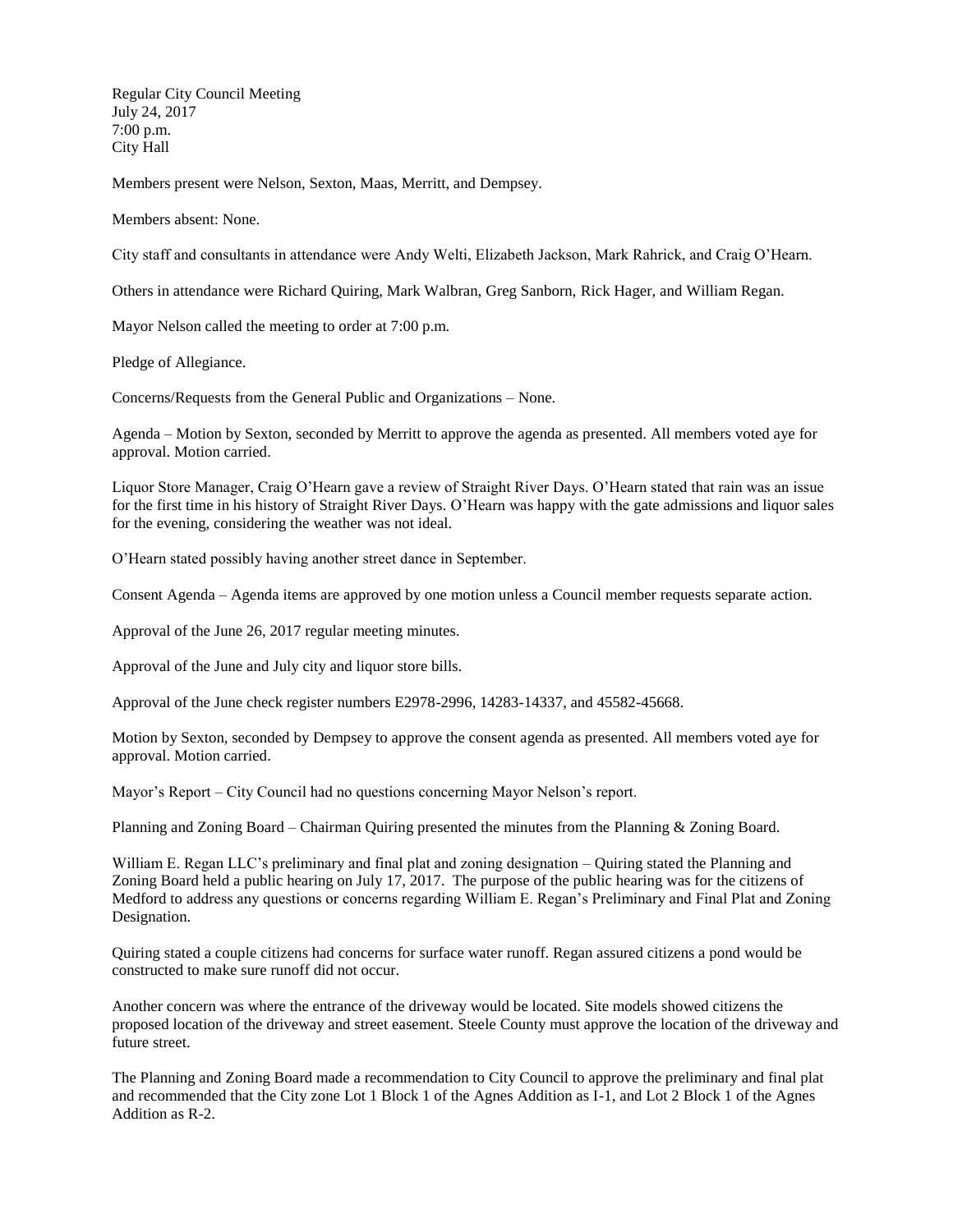Regular City Council Meeting July 24, 2017 7:00 p.m. City Hall

Members present were Nelson, Sexton, Maas, Merritt, and Dempsey.

Members absent: None.

City staff and consultants in attendance were Andy Welti, Elizabeth Jackson, Mark Rahrick, and Craig O'Hearn.

Others in attendance were Richard Quiring, Mark Walbran, Greg Sanborn, Rick Hager, and William Regan.

Mayor Nelson called the meeting to order at 7:00 p.m.

Pledge of Allegiance.

Concerns/Requests from the General Public and Organizations – None.

Agenda – Motion by Sexton, seconded by Merritt to approve the agenda as presented. All members voted aye for approval. Motion carried.

Liquor Store Manager, Craig O'Hearn gave a review of Straight River Days. O'Hearn stated that rain was an issue for the first time in his history of Straight River Days. O'Hearn was happy with the gate admissions and liquor sales for the evening, considering the weather was not ideal.

O'Hearn stated possibly having another street dance in September.

Consent Agenda – Agenda items are approved by one motion unless a Council member requests separate action.

Approval of the June 26, 2017 regular meeting minutes.

Approval of the June and July city and liquor store bills.

Approval of the June check register numbers E2978-2996, 14283-14337, and 45582-45668.

Motion by Sexton, seconded by Dempsey to approve the consent agenda as presented. All members voted aye for approval. Motion carried.

Mayor's Report – City Council had no questions concerning Mayor Nelson's report.

Planning and Zoning Board – Chairman Quiring presented the minutes from the Planning & Zoning Board.

William E. Regan LLC's preliminary and final plat and zoning designation – Quiring stated the Planning and Zoning Board held a public hearing on July 17, 2017. The purpose of the public hearing was for the citizens of Medford to address any questions or concerns regarding William E. Regan's Preliminary and Final Plat and Zoning Designation.

Quiring stated a couple citizens had concerns for surface water runoff. Regan assured citizens a pond would be constructed to make sure runoff did not occur.

Another concern was where the entrance of the driveway would be located. Site models showed citizens the proposed location of the driveway and street easement. Steele County must approve the location of the driveway and future street.

The Planning and Zoning Board made a recommendation to City Council to approve the preliminary and final plat and recommended that the City zone Lot 1 Block 1 of the Agnes Addition as I-1, and Lot 2 Block 1 of the Agnes Addition as R-2.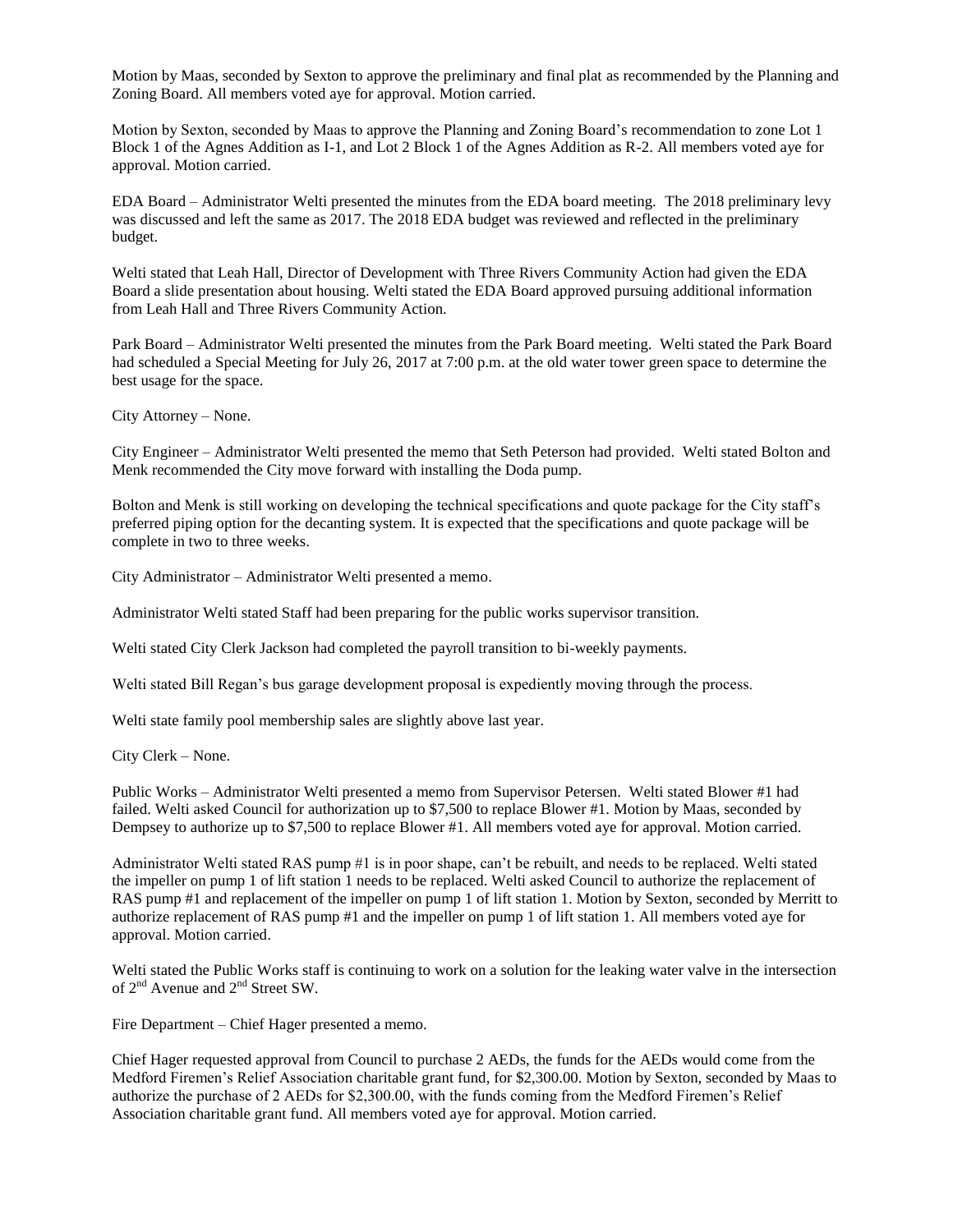Motion by Maas, seconded by Sexton to approve the preliminary and final plat as recommended by the Planning and Zoning Board. All members voted aye for approval. Motion carried.

Motion by Sexton, seconded by Maas to approve the Planning and Zoning Board's recommendation to zone Lot 1 Block 1 of the Agnes Addition as I-1, and Lot 2 Block 1 of the Agnes Addition as R-2. All members voted aye for approval. Motion carried.

EDA Board – Administrator Welti presented the minutes from the EDA board meeting. The 2018 preliminary levy was discussed and left the same as 2017. The 2018 EDA budget was reviewed and reflected in the preliminary budget.

Welti stated that Leah Hall, Director of Development with Three Rivers Community Action had given the EDA Board a slide presentation about housing. Welti stated the EDA Board approved pursuing additional information from Leah Hall and Three Rivers Community Action.

Park Board – Administrator Welti presented the minutes from the Park Board meeting. Welti stated the Park Board had scheduled a Special Meeting for July 26, 2017 at 7:00 p.m. at the old water tower green space to determine the best usage for the space.

City Attorney – None.

City Engineer – Administrator Welti presented the memo that Seth Peterson had provided. Welti stated Bolton and Menk recommended the City move forward with installing the Doda pump.

Bolton and Menk is still working on developing the technical specifications and quote package for the City staff's preferred piping option for the decanting system. It is expected that the specifications and quote package will be complete in two to three weeks.

City Administrator – Administrator Welti presented a memo.

Administrator Welti stated Staff had been preparing for the public works supervisor transition.

Welti stated City Clerk Jackson had completed the payroll transition to bi-weekly payments.

Welti stated Bill Regan's bus garage development proposal is expediently moving through the process.

Welti state family pool membership sales are slightly above last year.

City Clerk – None.

Public Works – Administrator Welti presented a memo from Supervisor Petersen. Welti stated Blower #1 had failed. Welti asked Council for authorization up to \$7,500 to replace Blower #1. Motion by Maas, seconded by Dempsey to authorize up to \$7,500 to replace Blower #1. All members voted aye for approval. Motion carried.

Administrator Welti stated RAS pump #1 is in poor shape, can't be rebuilt, and needs to be replaced. Welti stated the impeller on pump 1 of lift station 1 needs to be replaced. Welti asked Council to authorize the replacement of RAS pump #1 and replacement of the impeller on pump 1 of lift station 1. Motion by Sexton, seconded by Merritt to authorize replacement of RAS pump #1 and the impeller on pump 1 of lift station 1. All members voted aye for approval. Motion carried.

Welti stated the Public Works staff is continuing to work on a solution for the leaking water valve in the intersection of 2<sup>nd</sup> Avenue and 2<sup>nd</sup> Street SW.

Fire Department – Chief Hager presented a memo.

Chief Hager requested approval from Council to purchase 2 AEDs, the funds for the AEDs would come from the Medford Firemen's Relief Association charitable grant fund, for \$2,300.00. Motion by Sexton, seconded by Maas to authorize the purchase of 2 AEDs for \$2,300.00, with the funds coming from the Medford Firemen's Relief Association charitable grant fund. All members voted aye for approval. Motion carried.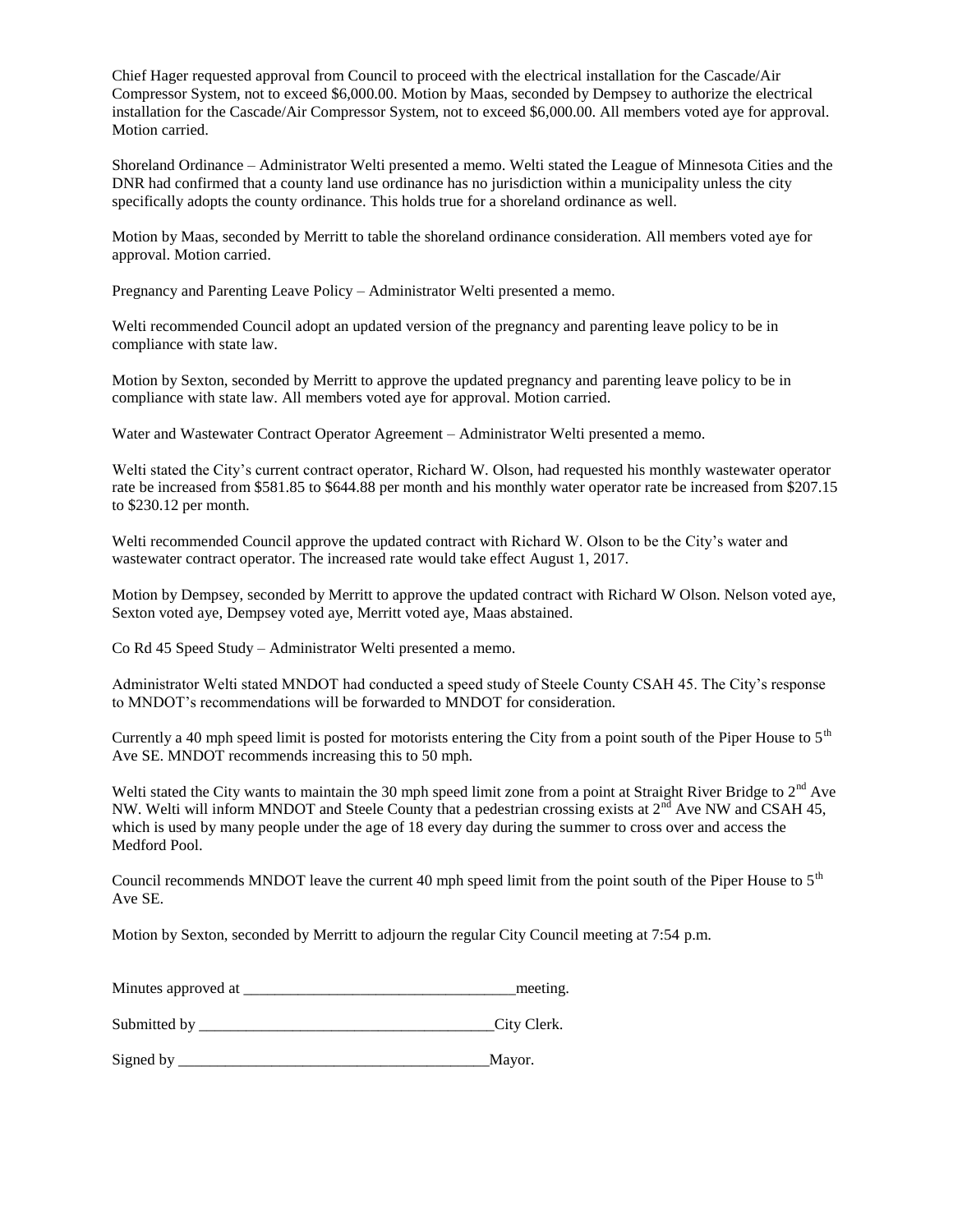Chief Hager requested approval from Council to proceed with the electrical installation for the Cascade/Air Compressor System, not to exceed \$6,000.00. Motion by Maas, seconded by Dempsey to authorize the electrical installation for the Cascade/Air Compressor System, not to exceed \$6,000.00. All members voted aye for approval. Motion carried.

Shoreland Ordinance – Administrator Welti presented a memo. Welti stated the League of Minnesota Cities and the DNR had confirmed that a county land use ordinance has no jurisdiction within a municipality unless the city specifically adopts the county ordinance. This holds true for a shoreland ordinance as well.

Motion by Maas, seconded by Merritt to table the shoreland ordinance consideration. All members voted aye for approval. Motion carried.

Pregnancy and Parenting Leave Policy – Administrator Welti presented a memo.

Welti recommended Council adopt an updated version of the pregnancy and parenting leave policy to be in compliance with state law.

Motion by Sexton, seconded by Merritt to approve the updated pregnancy and parenting leave policy to be in compliance with state law. All members voted aye for approval. Motion carried.

Water and Wastewater Contract Operator Agreement – Administrator Welti presented a memo.

Welti stated the City's current contract operator, Richard W. Olson, had requested his monthly wastewater operator rate be increased from \$581.85 to \$644.88 per month and his monthly water operator rate be increased from \$207.15 to \$230.12 per month.

Welti recommended Council approve the updated contract with Richard W. Olson to be the City's water and wastewater contract operator. The increased rate would take effect August 1, 2017.

Motion by Dempsey, seconded by Merritt to approve the updated contract with Richard W Olson. Nelson voted aye, Sexton voted aye, Dempsey voted aye, Merritt voted aye, Maas abstained.

Co Rd 45 Speed Study – Administrator Welti presented a memo.

Administrator Welti stated MNDOT had conducted a speed study of Steele County CSAH 45. The City's response to MNDOT's recommendations will be forwarded to MNDOT for consideration.

Currently a 40 mph speed limit is posted for motorists entering the City from a point south of the Piper House to  $5<sup>th</sup>$ Ave SE. MNDOT recommends increasing this to 50 mph.

Welti stated the City wants to maintain the 30 mph speed limit zone from a point at Straight River Bridge to  $2<sup>nd</sup>$  Ave NW. Welti will inform MNDOT and Steele County that a pedestrian crossing exists at  $2<sup>nd</sup>$  Ave NW and CSAH 45, which is used by many people under the age of 18 every day during the summer to cross over and access the Medford Pool.

Council recommends MNDOT leave the current 40 mph speed limit from the point south of the Piper House to  $5<sup>th</sup>$ Ave SE.

Motion by Sexton, seconded by Merritt to adjourn the regular City Council meeting at 7:54 p.m.

| Minutes approved at |  | meeting. |
|---------------------|--|----------|
|---------------------|--|----------|

Submitted by \_\_\_\_\_\_\_\_\_\_\_\_\_\_\_\_\_\_\_\_\_\_\_\_\_\_\_\_\_\_\_\_\_\_\_\_\_\_City Clerk.

Signed by \_\_\_\_\_\_\_\_\_\_\_\_\_\_\_\_\_\_\_\_\_\_\_\_\_\_\_\_\_\_\_\_\_\_\_\_\_\_\_\_Mayor.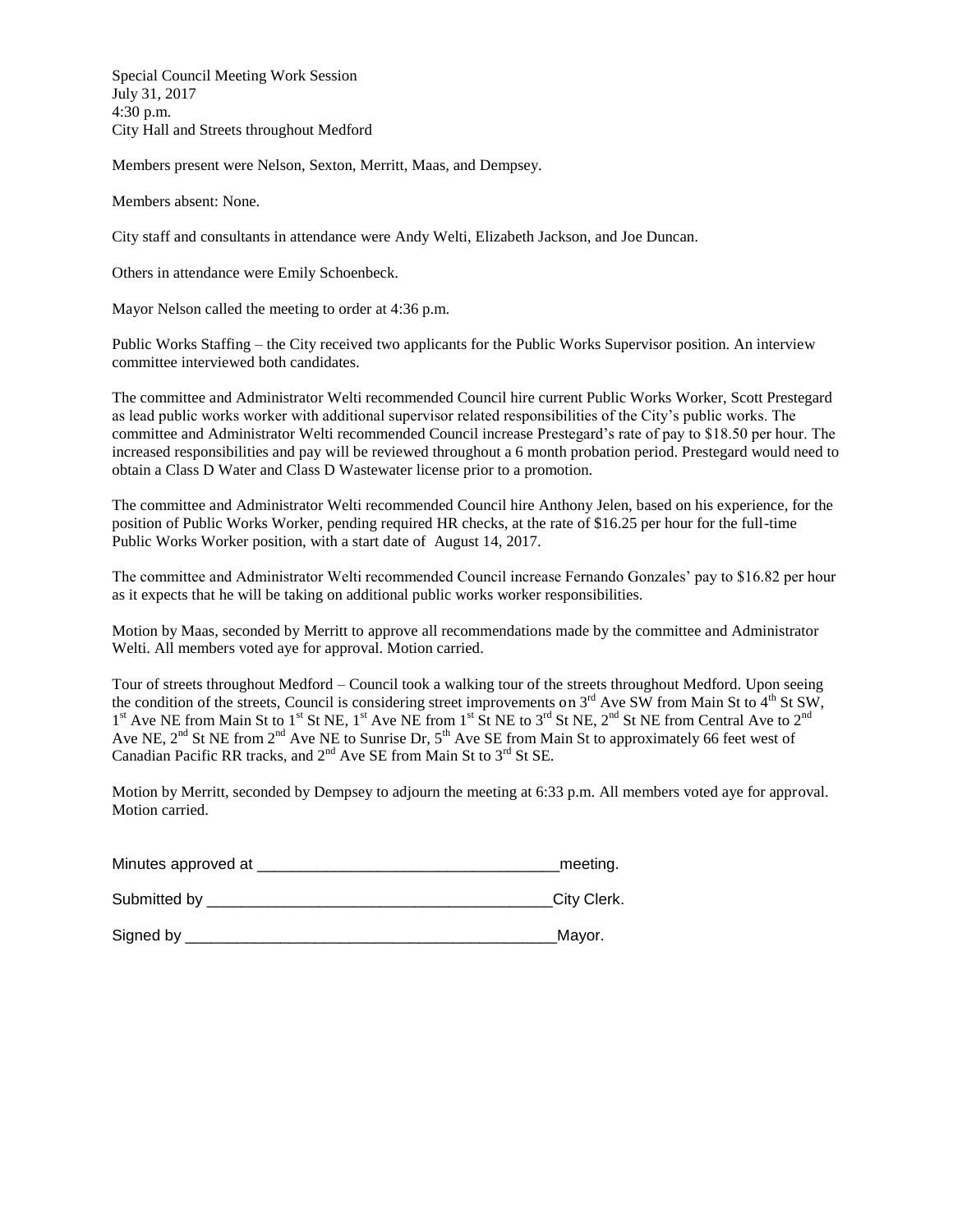Special Council Meeting Work Session July 31, 2017 4:30 p.m. City Hall and Streets throughout Medford

Members present were Nelson, Sexton, Merritt, Maas, and Dempsey.

Members absent: None.

City staff and consultants in attendance were Andy Welti, Elizabeth Jackson, and Joe Duncan.

Others in attendance were Emily Schoenbeck.

Mayor Nelson called the meeting to order at 4:36 p.m.

Public Works Staffing – the City received two applicants for the Public Works Supervisor position. An interview committee interviewed both candidates.

The committee and Administrator Welti recommended Council hire current Public Works Worker, Scott Prestegard as lead public works worker with additional supervisor related responsibilities of the City's public works. The committee and Administrator Welti recommended Council increase Prestegard's rate of pay to \$18.50 per hour. The increased responsibilities and pay will be reviewed throughout a 6 month probation period. Prestegard would need to obtain a Class D Water and Class D Wastewater license prior to a promotion.

The committee and Administrator Welti recommended Council hire Anthony Jelen, based on his experience, for the position of Public Works Worker, pending required HR checks, at the rate of \$16.25 per hour for the full-time Public Works Worker position, with a start date of August 14, 2017.

The committee and Administrator Welti recommended Council increase Fernando Gonzales' pay to \$16.82 per hour as it expects that he will be taking on additional public works worker responsibilities.

Motion by Maas, seconded by Merritt to approve all recommendations made by the committee and Administrator Welti. All members voted aye for approval. Motion carried.

Tour of streets throughout Medford – Council took a walking tour of the streets throughout Medford. Upon seeing the condition of the streets, Council is considering street improvements on  $3<sup>rd</sup>$  Ave SW from Main St to  $4<sup>th</sup>$  St SW, 1<sup>st</sup> Ave NE from Main St to 1<sup>st</sup> St NE, 1<sup>st</sup> Ave NE from 1<sup>st</sup> St NE to 3<sup>rd</sup> St NE, 2<sup>nd</sup> St NE from Central Ave to 2<sup>nd</sup> Ave NE,  $2^{nd}$  St NE from  $2^{nd}$  Ave NE to Sunrise Dr,  $5^{th}$  Ave SE from Main St to approximately 66 feet west of Canadian Pacific RR tracks, and  $2<sup>nd</sup>$  Ave SE from Main St to  $3<sup>rd</sup>$  St SE.

Motion by Merritt, seconded by Dempsey to adjourn the meeting at 6:33 p.m. All members voted aye for approval. Motion carried.

| Minutes approved at | _meeting.   |
|---------------------|-------------|
| Submitted by        | City Clerk. |
| Signed by           | Mayor.      |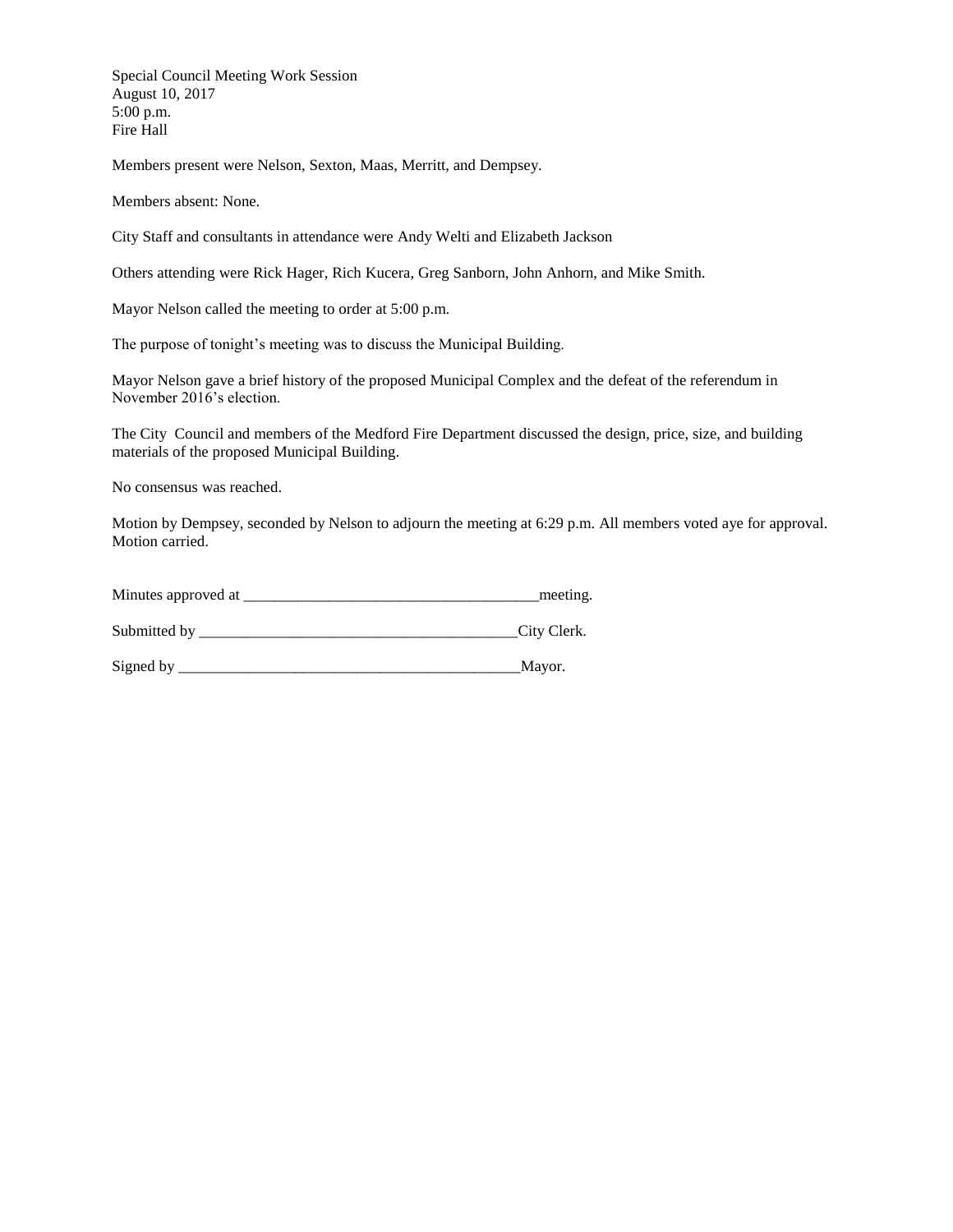Special Council Meeting Work Session August 10, 2017 5:00 p.m. Fire Hall

Members present were Nelson, Sexton, Maas, Merritt, and Dempsey.

Members absent: None.

City Staff and consultants in attendance were Andy Welti and Elizabeth Jackson

Others attending were Rick Hager, Rich Kucera, Greg Sanborn, John Anhorn, and Mike Smith.

Mayor Nelson called the meeting to order at 5:00 p.m.

The purpose of tonight's meeting was to discuss the Municipal Building.

Mayor Nelson gave a brief history of the proposed Municipal Complex and the defeat of the referendum in November 2016's election.

The City Council and members of the Medford Fire Department discussed the design, price, size, and building materials of the proposed Municipal Building.

No consensus was reached.

Motion by Dempsey, seconded by Nelson to adjourn the meeting at 6:29 p.m. All members voted aye for approval. Motion carried.

| Minutes approved at | meeting. |
|---------------------|----------|
|---------------------|----------|

Submitted by \_\_\_\_\_\_\_\_\_\_\_\_\_\_\_\_\_\_\_\_\_\_\_\_\_\_\_\_\_\_\_\_\_\_\_\_\_\_\_\_\_City Clerk.

Signed by \_\_\_\_\_\_\_\_\_\_\_\_\_\_\_\_\_\_\_\_\_\_\_\_\_\_\_\_\_\_\_\_\_\_\_\_\_\_\_\_\_\_\_\_Mayor.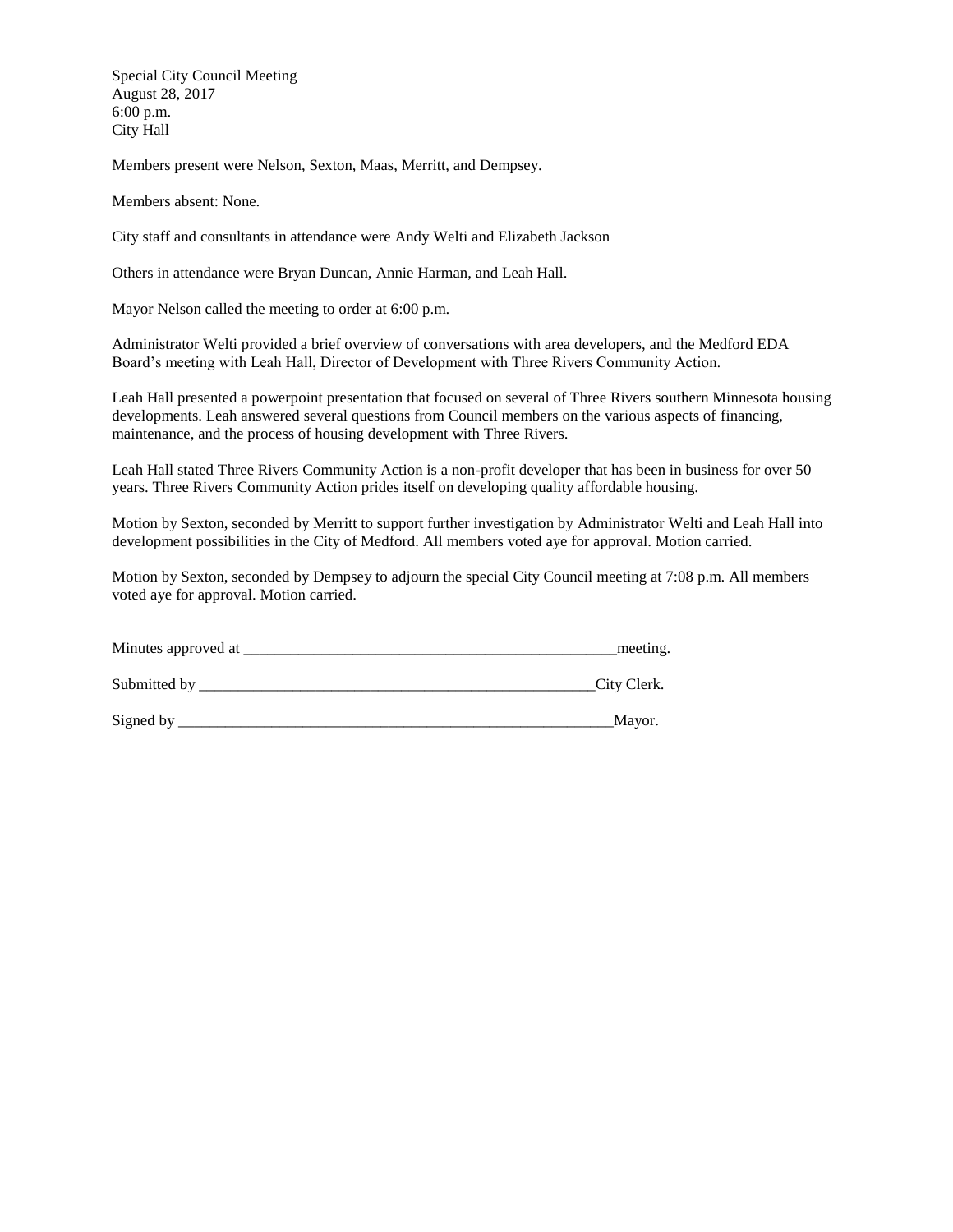Special City Council Meeting August 28, 2017 6:00 p.m. City Hall

Members present were Nelson, Sexton, Maas, Merritt, and Dempsey.

Members absent: None.

City staff and consultants in attendance were Andy Welti and Elizabeth Jackson

Others in attendance were Bryan Duncan, Annie Harman, and Leah Hall.

Mayor Nelson called the meeting to order at 6:00 p.m.

Administrator Welti provided a brief overview of conversations with area developers, and the Medford EDA Board's meeting with Leah Hall, Director of Development with Three Rivers Community Action.

Leah Hall presented a powerpoint presentation that focused on several of Three Rivers southern Minnesota housing developments. Leah answered several questions from Council members on the various aspects of financing, maintenance, and the process of housing development with Three Rivers.

Leah Hall stated Three Rivers Community Action is a non-profit developer that has been in business for over 50 years. Three Rivers Community Action prides itself on developing quality affordable housing.

Motion by Sexton, seconded by Merritt to support further investigation by Administrator Welti and Leah Hall into development possibilities in the City of Medford. All members voted aye for approval. Motion carried.

Motion by Sexton, seconded by Dempsey to adjourn the special City Council meeting at 7:08 p.m. All members voted aye for approval. Motion carried.

| Minutes approved at | meeting.    |
|---------------------|-------------|
| Submitted by        | City Clerk. |
| Signed by           | Mayor.      |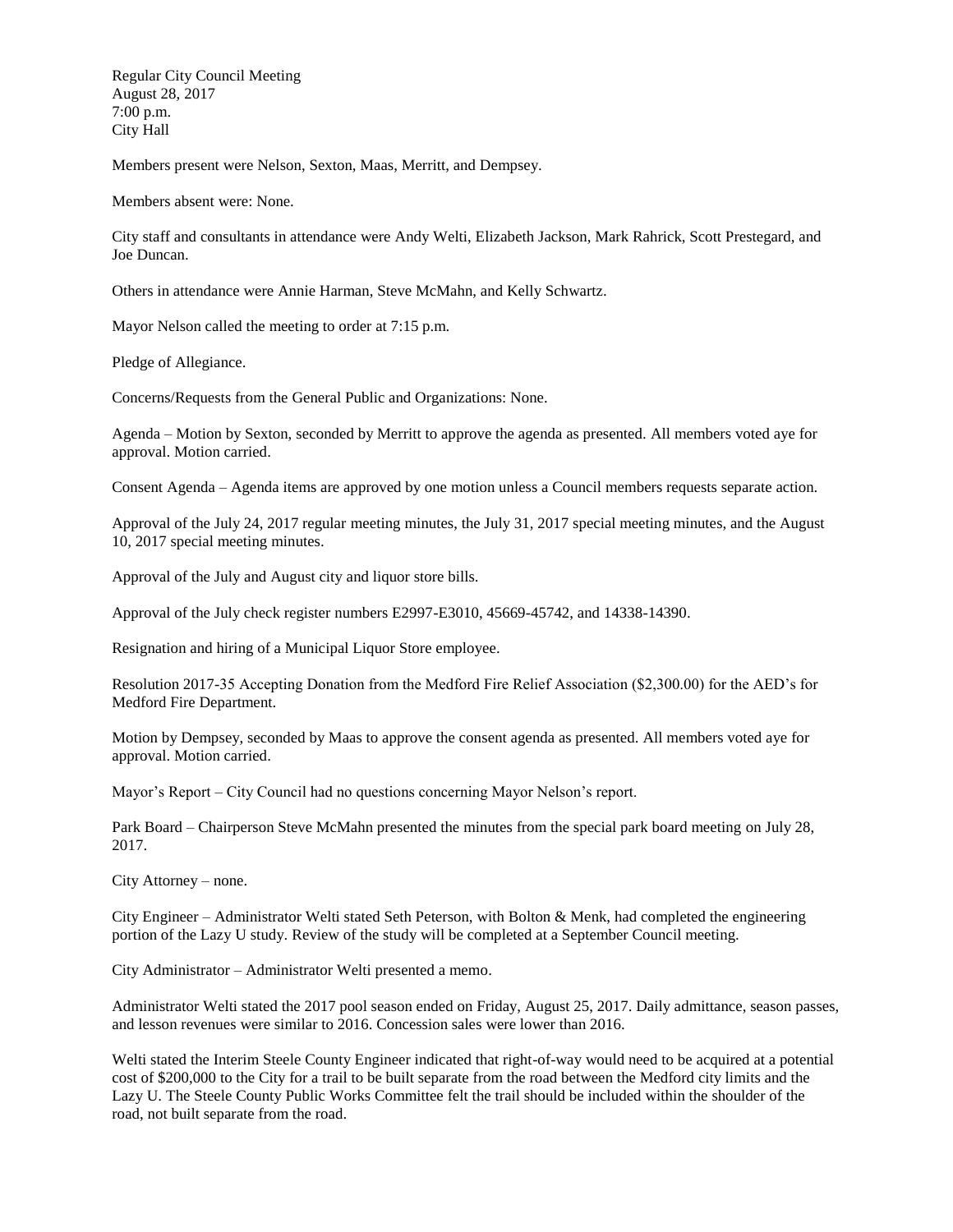Regular City Council Meeting August 28, 2017 7:00 p.m. City Hall

Members present were Nelson, Sexton, Maas, Merritt, and Dempsey.

Members absent were: None.

City staff and consultants in attendance were Andy Welti, Elizabeth Jackson, Mark Rahrick, Scott Prestegard, and Joe Duncan.

Others in attendance were Annie Harman, Steve McMahn, and Kelly Schwartz.

Mayor Nelson called the meeting to order at 7:15 p.m.

Pledge of Allegiance.

Concerns/Requests from the General Public and Organizations: None.

Agenda – Motion by Sexton, seconded by Merritt to approve the agenda as presented. All members voted aye for approval. Motion carried.

Consent Agenda – Agenda items are approved by one motion unless a Council members requests separate action.

Approval of the July 24, 2017 regular meeting minutes, the July 31, 2017 special meeting minutes, and the August 10, 2017 special meeting minutes.

Approval of the July and August city and liquor store bills.

Approval of the July check register numbers E2997-E3010, 45669-45742, and 14338-14390.

Resignation and hiring of a Municipal Liquor Store employee.

Resolution 2017-35 Accepting Donation from the Medford Fire Relief Association (\$2,300.00) for the AED's for Medford Fire Department.

Motion by Dempsey, seconded by Maas to approve the consent agenda as presented. All members voted aye for approval. Motion carried.

Mayor's Report – City Council had no questions concerning Mayor Nelson's report.

Park Board – Chairperson Steve McMahn presented the minutes from the special park board meeting on July 28, 2017.

City Attorney – none.

City Engineer – Administrator Welti stated Seth Peterson, with Bolton & Menk, had completed the engineering portion of the Lazy U study. Review of the study will be completed at a September Council meeting.

City Administrator – Administrator Welti presented a memo.

Administrator Welti stated the 2017 pool season ended on Friday, August 25, 2017. Daily admittance, season passes, and lesson revenues were similar to 2016. Concession sales were lower than 2016.

Welti stated the Interim Steele County Engineer indicated that right-of-way would need to be acquired at a potential cost of \$200,000 to the City for a trail to be built separate from the road between the Medford city limits and the Lazy U. The Steele County Public Works Committee felt the trail should be included within the shoulder of the road, not built separate from the road.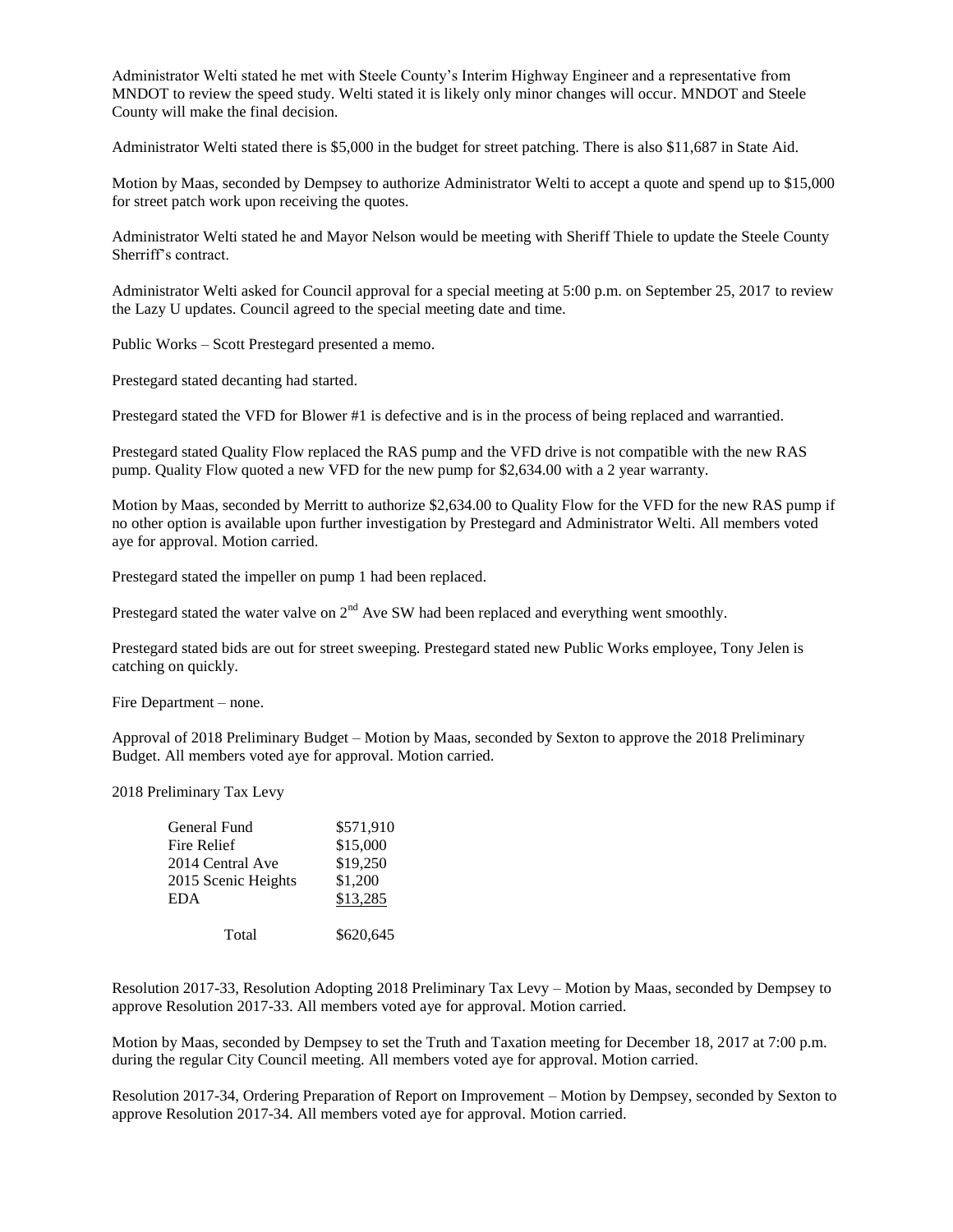Administrator Welti stated he met with Steele County's Interim Highway Engineer and a representative from MNDOT to review the speed study. Welti stated it is likely only minor changes will occur. MNDOT and Steele County will make the final decision.

Administrator Welti stated there is \$5,000 in the budget for street patching. There is also \$11,687 in State Aid.

Motion by Maas, seconded by Dempsey to authorize Administrator Welti to accept a quote and spend up to \$15,000 for street patch work upon receiving the quotes.

Administrator Welti stated he and Mayor Nelson would be meeting with Sheriff Thiele to update the Steele County Sherriff's contract.

Administrator Welti asked for Council approval for a special meeting at 5:00 p.m. on September 25, 2017 to review the Lazy U updates. Council agreed to the special meeting date and time.

Public Works – Scott Prestegard presented a memo.

Prestegard stated decanting had started.

Prestegard stated the VFD for Blower #1 is defective and is in the process of being replaced and warrantied.

Prestegard stated Quality Flow replaced the RAS pump and the VFD drive is not compatible with the new RAS pump. Quality Flow quoted a new VFD for the new pump for \$2,634.00 with a 2 year warranty.

Motion by Maas, seconded by Merritt to authorize \$2,634.00 to Quality Flow for the VFD for the new RAS pump if no other option is available upon further investigation by Prestegard and Administrator Welti. All members voted aye for approval. Motion carried.

Prestegard stated the impeller on pump 1 had been replaced.

Prestegard stated the water valve on  $2<sup>nd</sup>$  Ave SW had been replaced and everything went smoothly.

Prestegard stated bids are out for street sweeping. Prestegard stated new Public Works employee, Tony Jelen is catching on quickly.

Fire Department – none.

Approval of 2018 Preliminary Budget – Motion by Maas, seconded by Sexton to approve the 2018 Preliminary Budget. All members voted aye for approval. Motion carried.

2018 Preliminary Tax Levy

| General Fund        | \$571,910 |
|---------------------|-----------|
| Fire Relief         | \$15,000  |
| 2014 Central Ave    | \$19,250  |
| 2015 Scenic Heights | \$1,200   |
| <b>EDA</b>          | \$13,285  |
| Total               | \$620,645 |
|                     |           |

Resolution 2017-33, Resolution Adopting 2018 Preliminary Tax Levy – Motion by Maas, seconded by Dempsey to approve Resolution 2017-33. All members voted aye for approval. Motion carried.

Motion by Maas, seconded by Dempsey to set the Truth and Taxation meeting for December 18, 2017 at 7:00 p.m. during the regular City Council meeting. All members voted aye for approval. Motion carried.

Resolution 2017-34, Ordering Preparation of Report on Improvement – Motion by Dempsey, seconded by Sexton to approve Resolution 2017-34. All members voted aye for approval. Motion carried.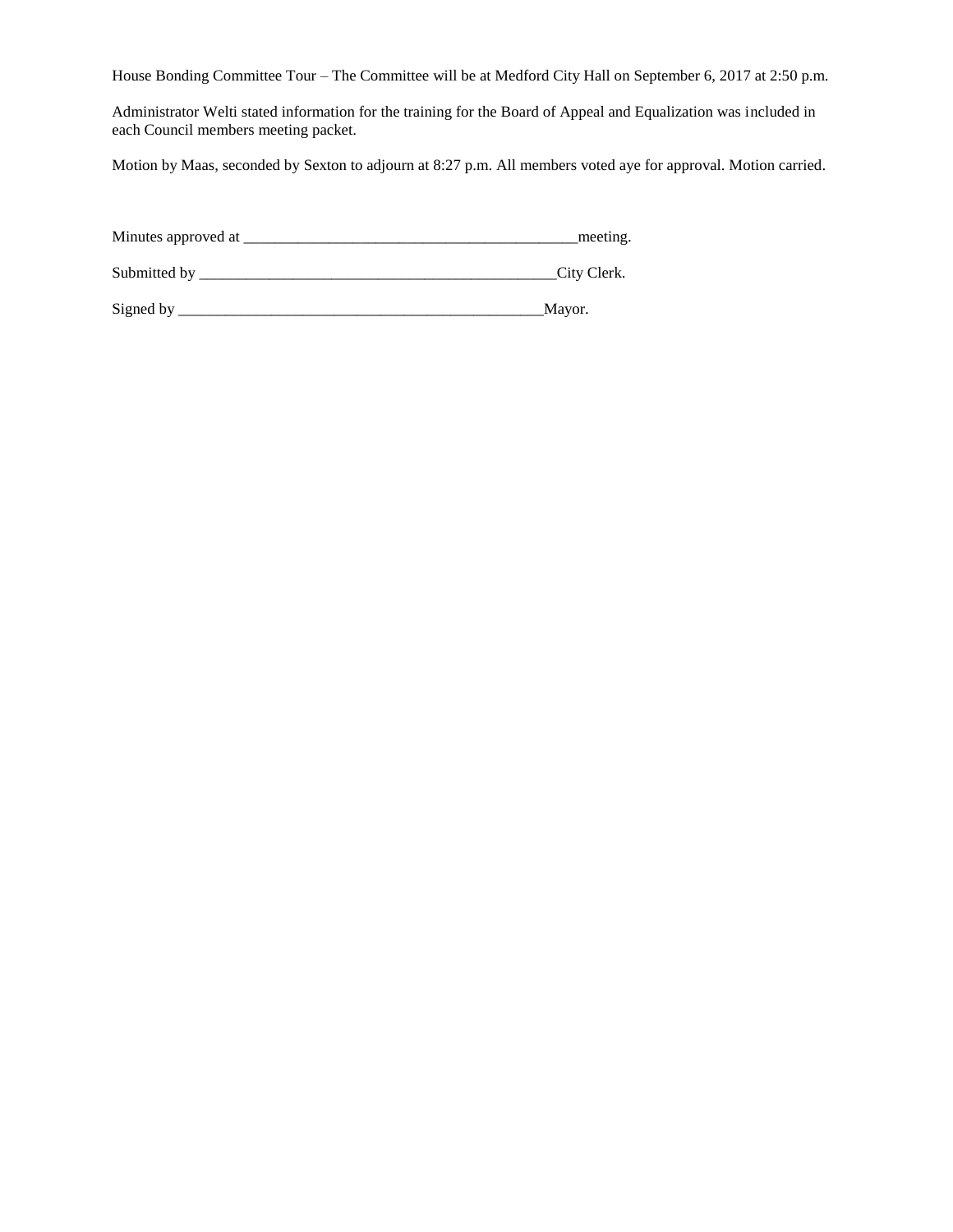House Bonding Committee Tour – The Committee will be at Medford City Hall on September 6, 2017 at 2:50 p.m.

Administrator Welti stated information for the training for the Board of Appeal and Equalization was included in each Council members meeting packet.

Motion by Maas, seconded by Sexton to adjourn at 8:27 p.m. All members voted aye for approval. Motion carried.

| Minutes approved at | meeting.    |
|---------------------|-------------|
| Submitted by        | City Clerk. |
| Signed by           | Mayor.      |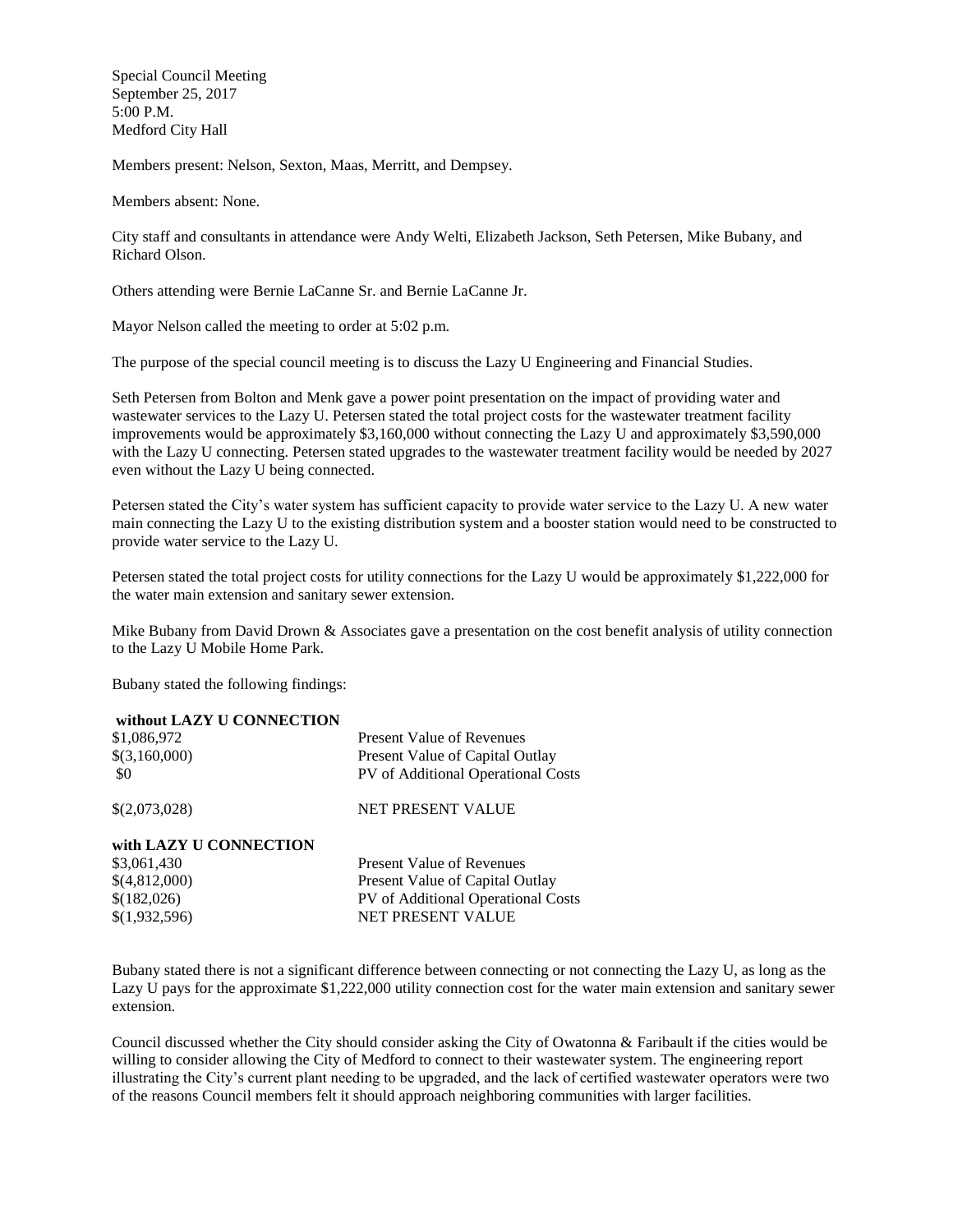Special Council Meeting September 25, 2017 5:00 P.M. Medford City Hall

Members present: Nelson, Sexton, Maas, Merritt, and Dempsey.

Members absent: None.

City staff and consultants in attendance were Andy Welti, Elizabeth Jackson, Seth Petersen, Mike Bubany, and Richard Olson.

Others attending were Bernie LaCanne Sr. and Bernie LaCanne Jr.

Mayor Nelson called the meeting to order at 5:02 p.m.

The purpose of the special council meeting is to discuss the Lazy U Engineering and Financial Studies.

Seth Petersen from Bolton and Menk gave a power point presentation on the impact of providing water and wastewater services to the Lazy U. Petersen stated the total project costs for the wastewater treatment facility improvements would be approximately \$3,160,000 without connecting the Lazy U and approximately \$3,590,000 with the Lazy U connecting. Petersen stated upgrades to the wastewater treatment facility would be needed by 2027 even without the Lazy U being connected.

Petersen stated the City's water system has sufficient capacity to provide water service to the Lazy U. A new water main connecting the Lazy U to the existing distribution system and a booster station would need to be constructed to provide water service to the Lazy U.

Petersen stated the total project costs for utility connections for the Lazy U would be approximately \$1,222,000 for the water main extension and sanitary sewer extension.

Mike Bubany from David Drown & Associates gave a presentation on the cost benefit analysis of utility connection to the Lazy U Mobile Home Park.

Bubany stated the following findings:

| without LAZY U CONNECTION |                                    |
|---------------------------|------------------------------------|
| \$1,086,972               | <b>Present Value of Revenues</b>   |
| \$(3,160,000)             | Present Value of Capital Outlay    |
| \$0                       | PV of Additional Operational Costs |
| \$(2,073,028)             | NET PRESENT VALUE                  |
| with LAZY U CONNECTION    |                                    |
| \$3,061,430               | <b>Present Value of Revenues</b>   |
| \$(4,812,000)             | Present Value of Capital Outlay    |
| \$(182,026)               | PV of Additional Operational Costs |
| \$(1,932,596)             | NET PRESENT VALUE                  |

Bubany stated there is not a significant difference between connecting or not connecting the Lazy U, as long as the Lazy U pays for the approximate \$1,222,000 utility connection cost for the water main extension and sanitary sewer extension.

Council discussed whether the City should consider asking the City of Owatonna & Faribault if the cities would be willing to consider allowing the City of Medford to connect to their wastewater system. The engineering report illustrating the City's current plant needing to be upgraded, and the lack of certified wastewater operators were two of the reasons Council members felt it should approach neighboring communities with larger facilities.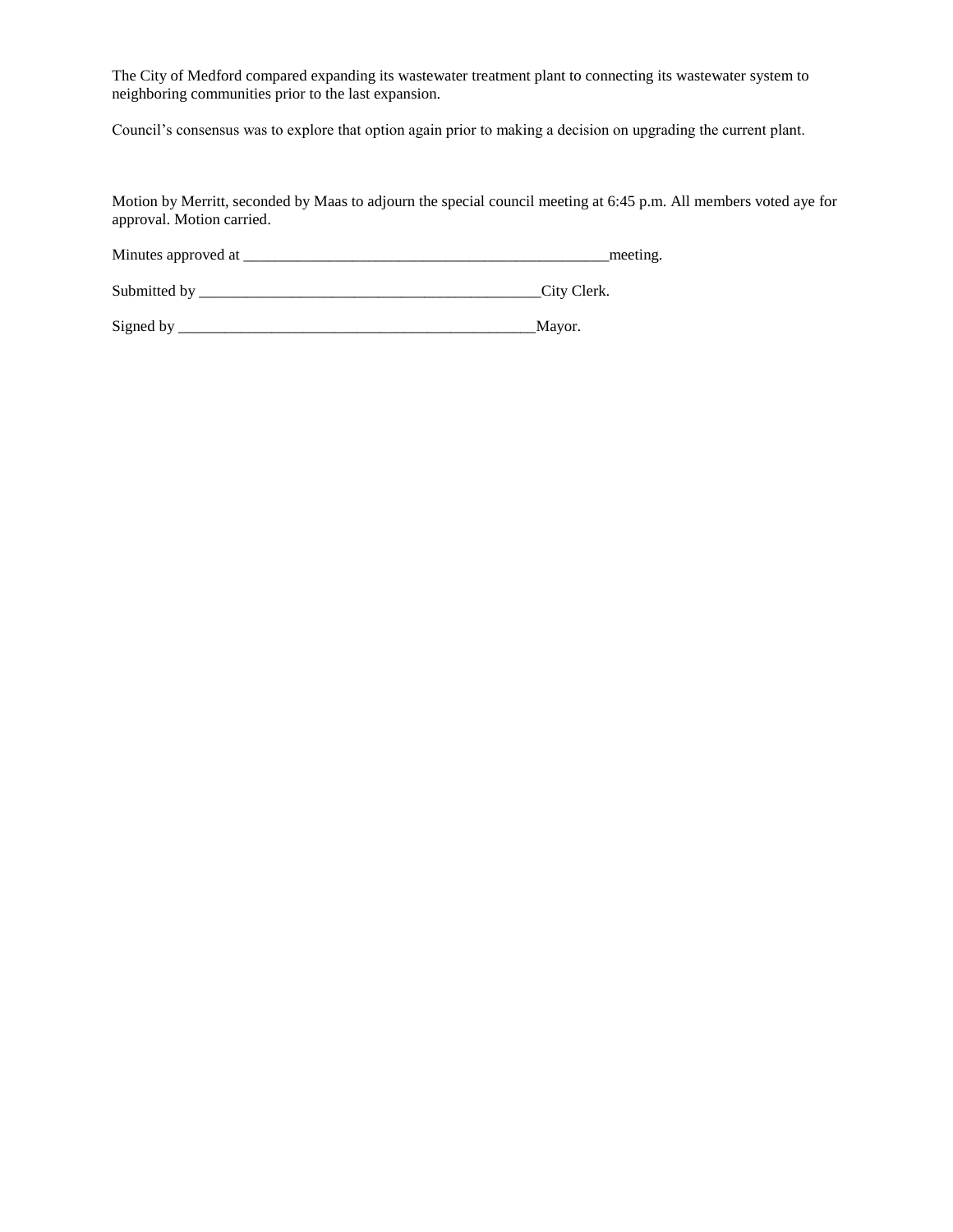The City of Medford compared expanding its wastewater treatment plant to connecting its wastewater system to neighboring communities prior to the last expansion.

Council's consensus was to explore that option again prior to making a decision on upgrading the current plant.

Motion by Merritt, seconded by Maas to adjourn the special council meeting at 6:45 p.m. All members voted aye for approval. Motion carried.

Minutes approved at \_\_\_\_\_\_\_\_\_\_\_\_\_\_\_\_\_\_\_\_\_\_\_\_\_\_\_\_\_\_\_\_\_\_\_\_\_\_\_\_\_\_\_\_\_\_\_meeting.

Submitted by \_\_\_\_\_\_\_\_\_\_\_\_\_\_\_\_\_\_\_\_\_\_\_\_\_\_\_\_\_\_\_\_\_\_\_\_\_\_\_\_\_\_\_\_City Clerk.

Signed by \_\_\_\_\_\_\_\_\_\_\_\_\_\_\_\_\_\_\_\_\_\_\_\_\_\_\_\_\_\_\_\_\_\_\_\_\_\_\_\_\_\_\_\_\_\_Mayor.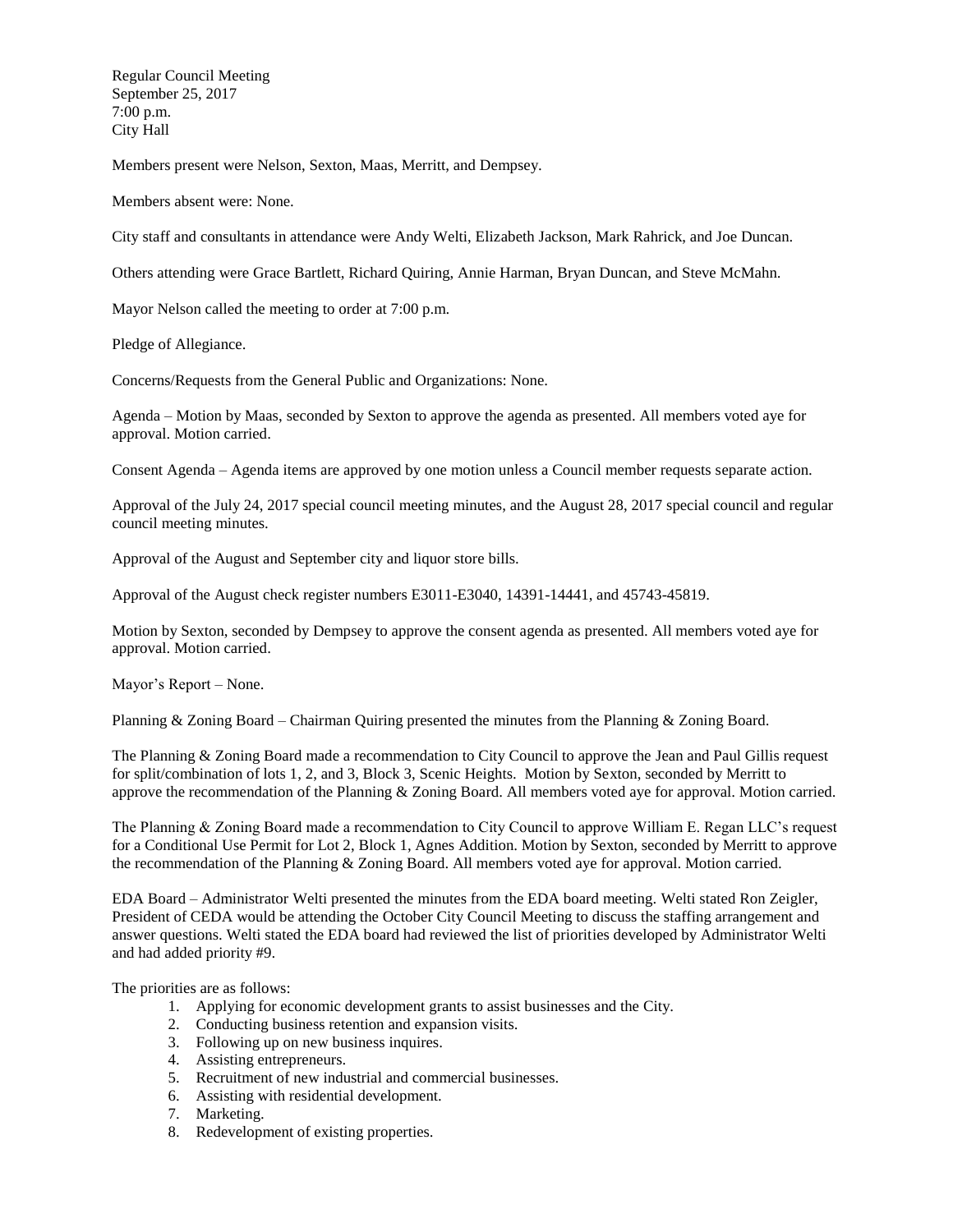Regular Council Meeting September 25, 2017 7:00 p.m. City Hall

Members present were Nelson, Sexton, Maas, Merritt, and Dempsey.

Members absent were: None.

City staff and consultants in attendance were Andy Welti, Elizabeth Jackson, Mark Rahrick, and Joe Duncan.

Others attending were Grace Bartlett, Richard Quiring, Annie Harman, Bryan Duncan, and Steve McMahn.

Mayor Nelson called the meeting to order at 7:00 p.m.

Pledge of Allegiance.

Concerns/Requests from the General Public and Organizations: None.

Agenda – Motion by Maas, seconded by Sexton to approve the agenda as presented. All members voted aye for approval. Motion carried.

Consent Agenda – Agenda items are approved by one motion unless a Council member requests separate action.

Approval of the July 24, 2017 special council meeting minutes, and the August 28, 2017 special council and regular council meeting minutes.

Approval of the August and September city and liquor store bills.

Approval of the August check register numbers E3011-E3040, 14391-14441, and 45743-45819.

Motion by Sexton, seconded by Dempsey to approve the consent agenda as presented. All members voted aye for approval. Motion carried.

Mayor's Report – None.

Planning & Zoning Board – Chairman Quiring presented the minutes from the Planning & Zoning Board.

The Planning & Zoning Board made a recommendation to City Council to approve the Jean and Paul Gillis request for split/combination of lots 1, 2, and 3, Block 3, Scenic Heights. Motion by Sexton, seconded by Merritt to approve the recommendation of the Planning & Zoning Board. All members voted aye for approval. Motion carried.

The Planning & Zoning Board made a recommendation to City Council to approve William E. Regan LLC's request for a Conditional Use Permit for Lot 2, Block 1, Agnes Addition. Motion by Sexton, seconded by Merritt to approve the recommendation of the Planning & Zoning Board. All members voted aye for approval. Motion carried.

EDA Board – Administrator Welti presented the minutes from the EDA board meeting. Welti stated Ron Zeigler, President of CEDA would be attending the October City Council Meeting to discuss the staffing arrangement and answer questions. Welti stated the EDA board had reviewed the list of priorities developed by Administrator Welti and had added priority #9.

The priorities are as follows:

- 1. Applying for economic development grants to assist businesses and the City.
- 2. Conducting business retention and expansion visits.
- 3. Following up on new business inquires.
- 4. Assisting entrepreneurs.
- 5. Recruitment of new industrial and commercial businesses.
- 6. Assisting with residential development.
- 7. Marketing.
- 8. Redevelopment of existing properties.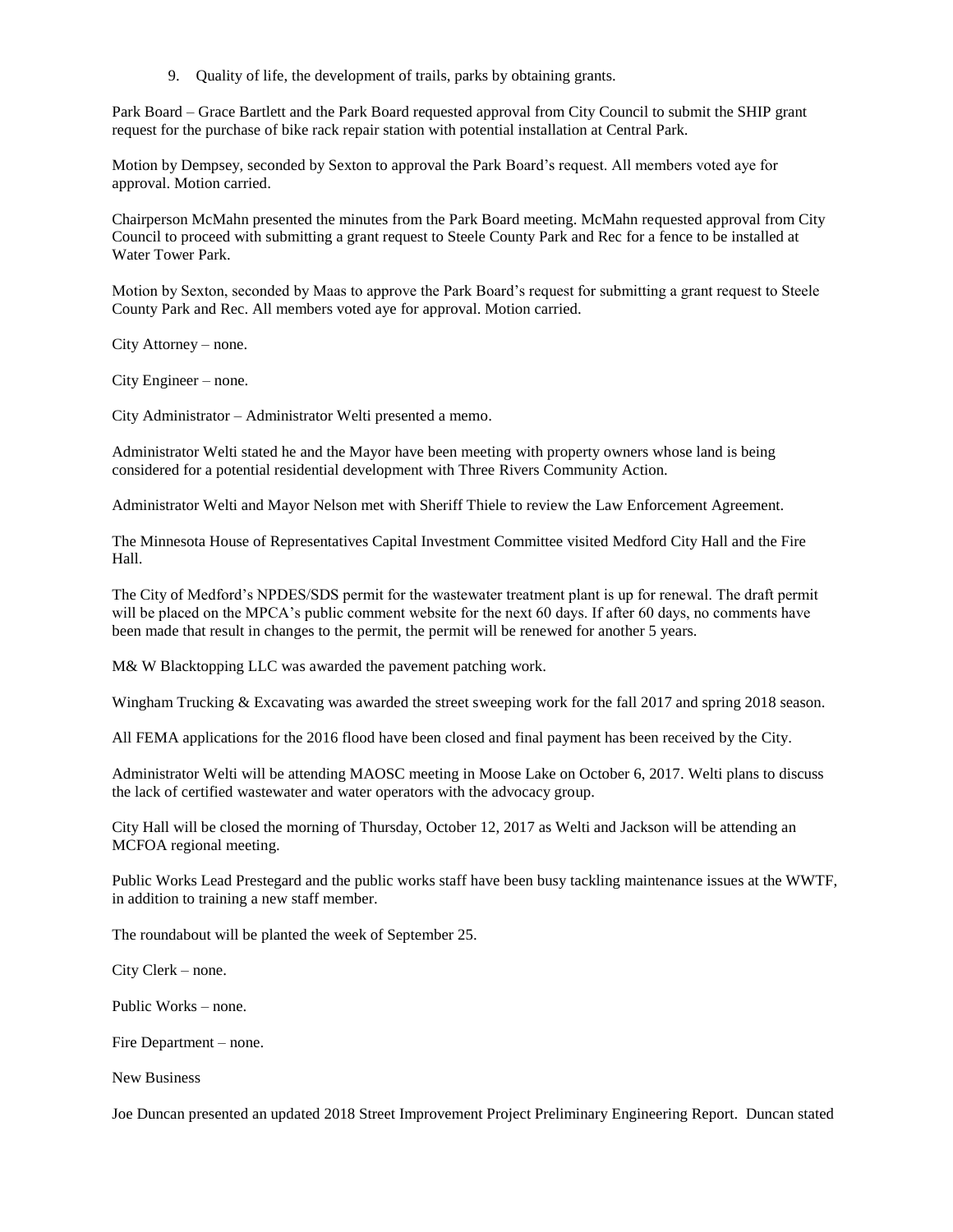9. Quality of life, the development of trails, parks by obtaining grants.

Park Board – Grace Bartlett and the Park Board requested approval from City Council to submit the SHIP grant request for the purchase of bike rack repair station with potential installation at Central Park.

Motion by Dempsey, seconded by Sexton to approval the Park Board's request. All members voted aye for approval. Motion carried.

Chairperson McMahn presented the minutes from the Park Board meeting. McMahn requested approval from City Council to proceed with submitting a grant request to Steele County Park and Rec for a fence to be installed at Water Tower Park.

Motion by Sexton, seconded by Maas to approve the Park Board's request for submitting a grant request to Steele County Park and Rec. All members voted aye for approval. Motion carried.

City Attorney – none.

City Engineer – none.

City Administrator – Administrator Welti presented a memo.

Administrator Welti stated he and the Mayor have been meeting with property owners whose land is being considered for a potential residential development with Three Rivers Community Action.

Administrator Welti and Mayor Nelson met with Sheriff Thiele to review the Law Enforcement Agreement.

The Minnesota House of Representatives Capital Investment Committee visited Medford City Hall and the Fire Hall.

The City of Medford's NPDES/SDS permit for the wastewater treatment plant is up for renewal. The draft permit will be placed on the MPCA's public comment website for the next 60 days. If after 60 days, no comments have been made that result in changes to the permit, the permit will be renewed for another 5 years.

M& W Blacktopping LLC was awarded the pavement patching work.

Wingham Trucking & Excavating was awarded the street sweeping work for the fall 2017 and spring 2018 season.

All FEMA applications for the 2016 flood have been closed and final payment has been received by the City.

Administrator Welti will be attending MAOSC meeting in Moose Lake on October 6, 2017. Welti plans to discuss the lack of certified wastewater and water operators with the advocacy group.

City Hall will be closed the morning of Thursday, October 12, 2017 as Welti and Jackson will be attending an MCFOA regional meeting.

Public Works Lead Prestegard and the public works staff have been busy tackling maintenance issues at the WWTF, in addition to training a new staff member.

The roundabout will be planted the week of September 25.

City Clerk – none.

Public Works – none.

Fire Department – none.

New Business

Joe Duncan presented an updated 2018 Street Improvement Project Preliminary Engineering Report. Duncan stated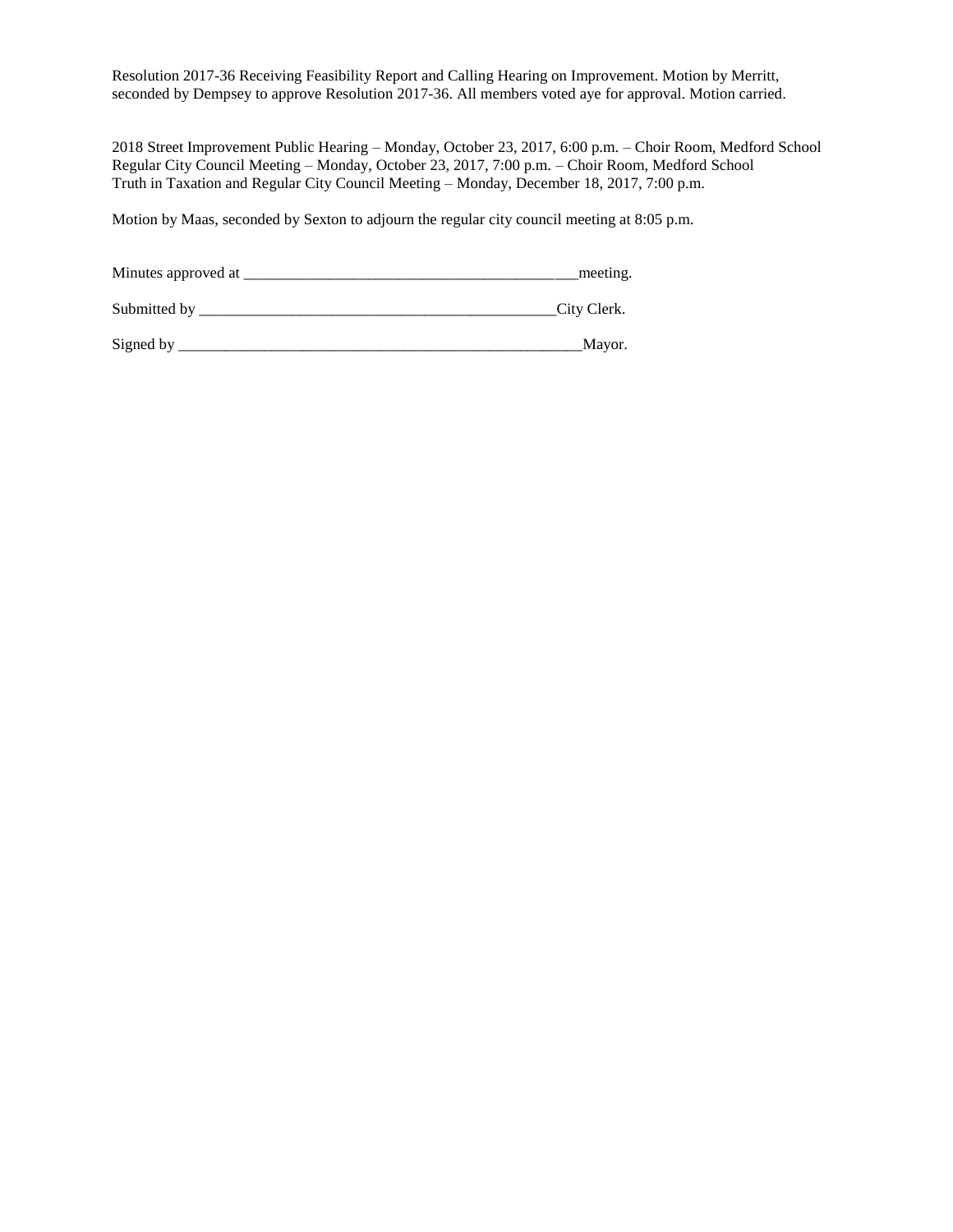Resolution 2017-36 Receiving Feasibility Report and Calling Hearing on Improvement. Motion by Merritt, seconded by Dempsey to approve Resolution 2017-36. All members voted aye for approval. Motion carried.

2018 Street Improvement Public Hearing – Monday, October 23, 2017, 6:00 p.m. – Choir Room, Medford School Regular City Council Meeting – Monday, October 23, 2017, 7:00 p.m. – Choir Room, Medford School Truth in Taxation and Regular City Council Meeting – Monday, December 18, 2017, 7:00 p.m.

Motion by Maas, seconded by Sexton to adjourn the regular city council meeting at 8:05 p.m.

| Minutes approved at | meeting.    |
|---------------------|-------------|
| Submitted by        | City Clerk. |

Signed by \_\_\_\_\_\_\_\_\_\_\_\_\_\_\_\_\_\_\_\_\_\_\_\_\_\_\_\_\_\_\_\_\_\_\_\_\_\_\_\_\_\_\_\_\_\_\_\_\_\_\_\_Mayor.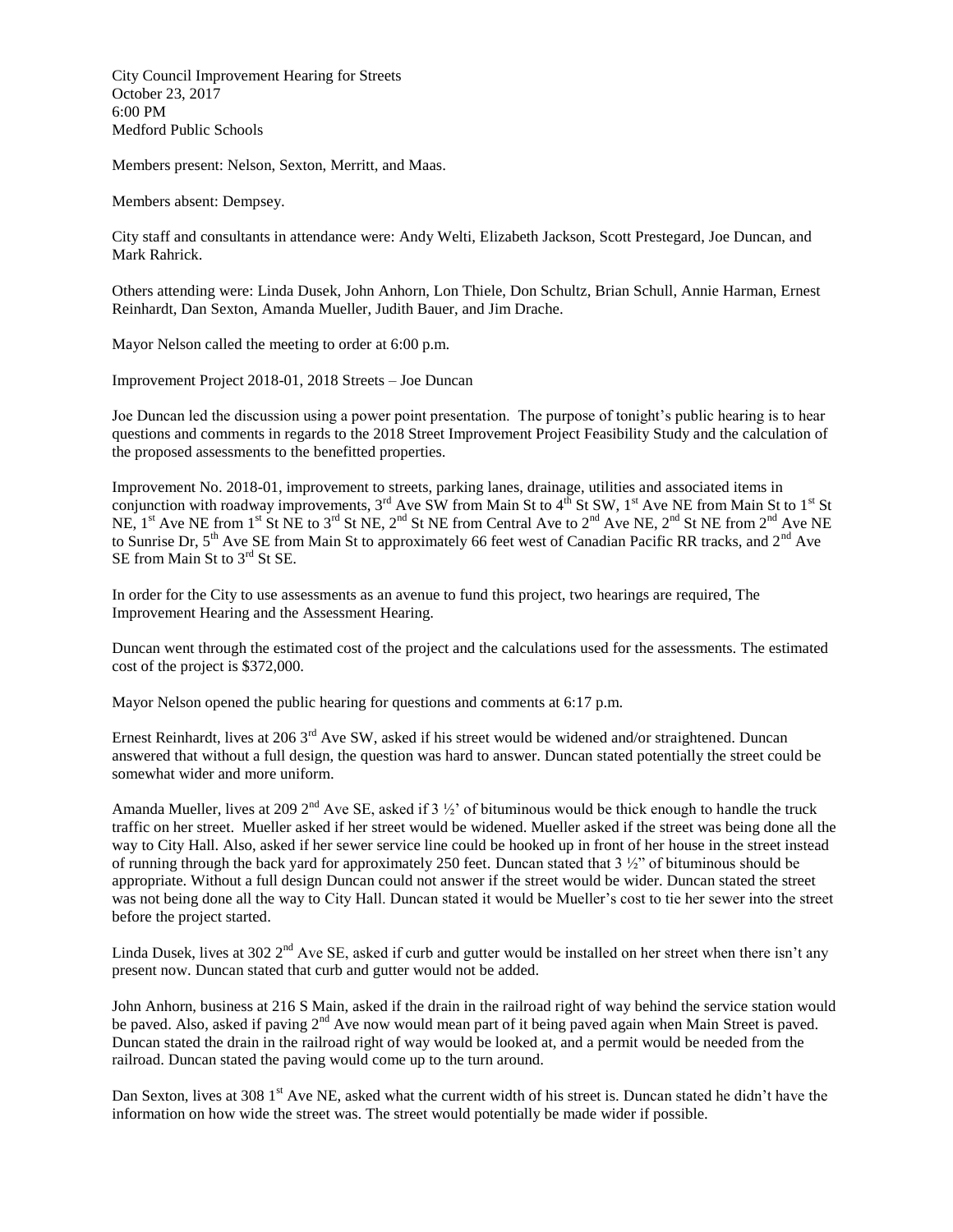City Council Improvement Hearing for Streets October 23, 2017 6:00 PM Medford Public Schools

Members present: Nelson, Sexton, Merritt, and Maas.

Members absent: Dempsey.

City staff and consultants in attendance were: Andy Welti, Elizabeth Jackson, Scott Prestegard, Joe Duncan, and Mark Rahrick.

Others attending were: Linda Dusek, John Anhorn, Lon Thiele, Don Schultz, Brian Schull, Annie Harman, Ernest Reinhardt, Dan Sexton, Amanda Mueller, Judith Bauer, and Jim Drache.

Mayor Nelson called the meeting to order at 6:00 p.m.

Improvement Project 2018-01, 2018 Streets – Joe Duncan

Joe Duncan led the discussion using a power point presentation. The purpose of tonight's public hearing is to hear questions and comments in regards to the 2018 Street Improvement Project Feasibility Study and the calculation of the proposed assessments to the benefitted properties.

Improvement No. 2018-01, improvement to streets, parking lanes, drainage, utilities and associated items in conjunction with roadway improvements,  $3^{rd}$  Ave SW from Main St to  $4^{th}$  St SW,  $1^{st}$  Ave NE from Main St to  $1^{st}$  St NE,  $1^{st}$  Ave NE from  $1^{st}$  St NE to  $3^{rd}$  St NE,  $2^{nd}$  St NE from Central Ave to  $2^{nd}$  Ave NE,  $2^{nd}$  St NE from  $2^{nd}$  Ave NE to Sunrise Dr, 5<sup>th</sup> Ave SE from Main St to approximately 66 feet west of Canadian Pacific RR tracks, and 2<sup>nd</sup> Ave SE from Main St to 3<sup>rd</sup> St SE.

In order for the City to use assessments as an avenue to fund this project, two hearings are required, The Improvement Hearing and the Assessment Hearing.

Duncan went through the estimated cost of the project and the calculations used for the assessments. The estimated cost of the project is \$372,000.

Mayor Nelson opened the public hearing for questions and comments at 6:17 p.m.

Ernest Reinhardt, lives at 206 3<sup>rd</sup> Ave SW, asked if his street would be widened and/or straightened. Duncan answered that without a full design, the question was hard to answer. Duncan stated potentially the street could be somewhat wider and more uniform.

Amanda Mueller, lives at 209  $2<sup>nd</sup>$  Ave SE, asked if 3  $\frac{1}{2}$  of bituminous would be thick enough to handle the truck traffic on her street. Mueller asked if her street would be widened. Mueller asked if the street was being done all the way to City Hall. Also, asked if her sewer service line could be hooked up in front of her house in the street instead of running through the back yard for approximately 250 feet. Duncan stated that 3 ½" of bituminous should be appropriate. Without a full design Duncan could not answer if the street would be wider. Duncan stated the street was not being done all the way to City Hall. Duncan stated it would be Mueller's cost to tie her sewer into the street before the project started.

Linda Dusek, lives at 302  $2<sup>nd</sup>$  Ave SE, asked if curb and gutter would be installed on her street when there isn't any present now. Duncan stated that curb and gutter would not be added.

John Anhorn, business at 216 S Main, asked if the drain in the railroad right of way behind the service station would be paved. Also, asked if paving 2<sup>nd</sup> Ave now would mean part of it being paved again when Main Street is paved. Duncan stated the drain in the railroad right of way would be looked at, and a permit would be needed from the railroad. Duncan stated the paving would come up to the turn around.

Dan Sexton, lives at 308 1<sup>st</sup> Ave NE, asked what the current width of his street is. Duncan stated he didn't have the information on how wide the street was. The street would potentially be made wider if possible.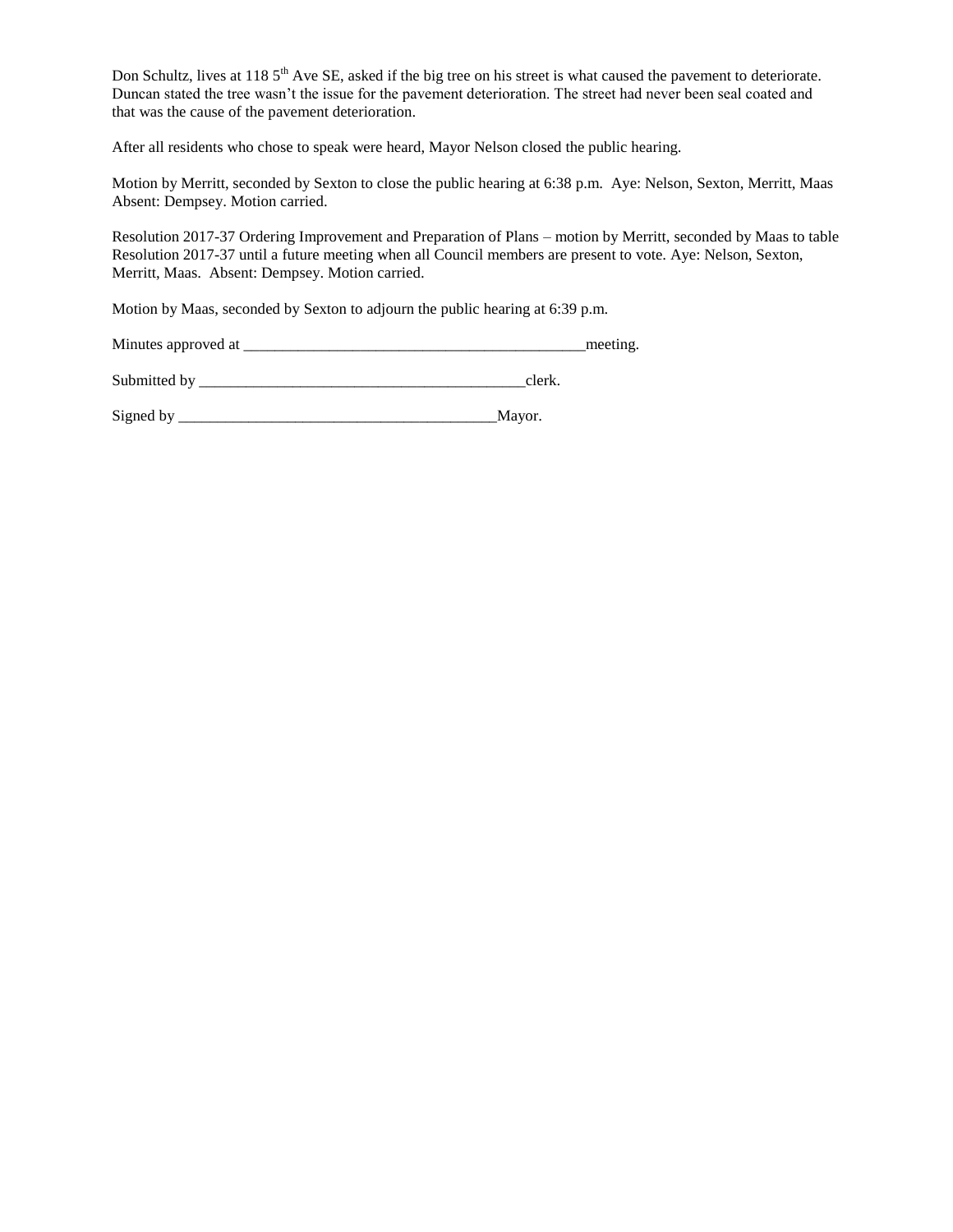Don Schultz, lives at 118 5<sup>th</sup> Ave SE, asked if the big tree on his street is what caused the pavement to deteriorate. Duncan stated the tree wasn't the issue for the pavement deterioration. The street had never been seal coated and that was the cause of the pavement deterioration.

After all residents who chose to speak were heard, Mayor Nelson closed the public hearing.

Motion by Merritt, seconded by Sexton to close the public hearing at 6:38 p.m. Aye: Nelson, Sexton, Merritt, Maas Absent: Dempsey. Motion carried.

Resolution 2017-37 Ordering Improvement and Preparation of Plans – motion by Merritt, seconded by Maas to table Resolution 2017-37 until a future meeting when all Council members are present to vote. Aye: Nelson, Sexton, Merritt, Maas. Absent: Dempsey. Motion carried.

Motion by Maas, seconded by Sexton to adjourn the public hearing at 6:39 p.m.

| Minutes approved at |
|---------------------|
|---------------------|

Submitted by \_\_\_\_\_\_\_\_\_\_\_\_\_\_\_\_\_\_\_\_\_\_\_\_\_\_\_\_\_\_\_\_\_\_\_\_\_\_\_\_\_\_clerk.

Signed by \_\_\_\_\_\_\_\_\_\_\_\_\_\_\_\_\_\_\_\_\_\_\_\_\_\_\_\_\_\_\_\_\_\_\_\_\_\_\_\_\_Mayor.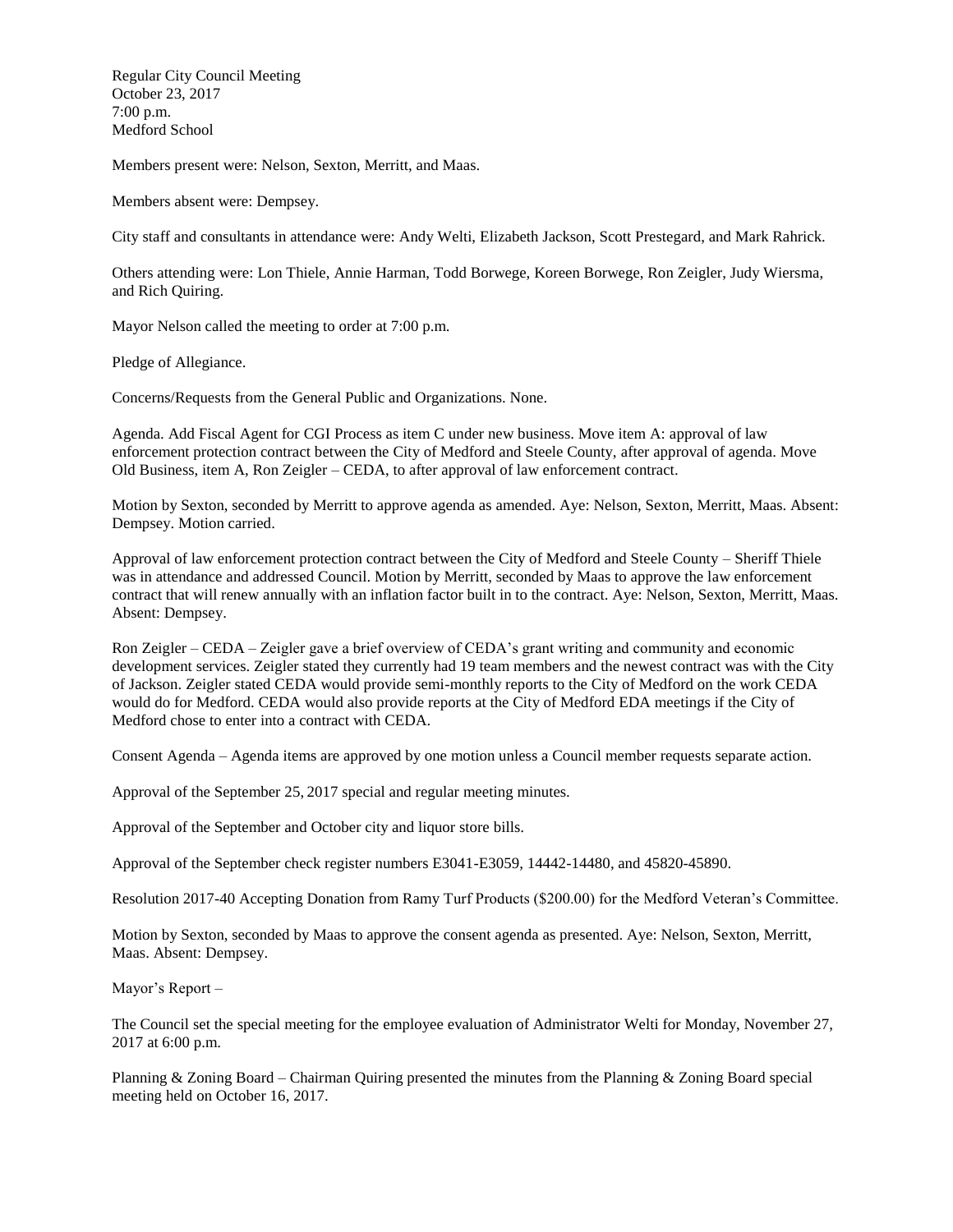Regular City Council Meeting October 23, 2017 7:00 p.m. Medford School

Members present were: Nelson, Sexton, Merritt, and Maas.

Members absent were: Dempsey.

City staff and consultants in attendance were: Andy Welti, Elizabeth Jackson, Scott Prestegard, and Mark Rahrick.

Others attending were: Lon Thiele, Annie Harman, Todd Borwege, Koreen Borwege, Ron Zeigler, Judy Wiersma, and Rich Quiring.

Mayor Nelson called the meeting to order at 7:00 p.m.

Pledge of Allegiance.

Concerns/Requests from the General Public and Organizations. None.

Agenda. Add Fiscal Agent for CGI Process as item C under new business. Move item A: approval of law enforcement protection contract between the City of Medford and Steele County, after approval of agenda. Move Old Business, item A, Ron Zeigler – CEDA, to after approval of law enforcement contract.

Motion by Sexton, seconded by Merritt to approve agenda as amended. Aye: Nelson, Sexton, Merritt, Maas. Absent: Dempsey. Motion carried.

Approval of law enforcement protection contract between the City of Medford and Steele County – Sheriff Thiele was in attendance and addressed Council. Motion by Merritt, seconded by Maas to approve the law enforcement contract that will renew annually with an inflation factor built in to the contract. Aye: Nelson, Sexton, Merritt, Maas. Absent: Dempsey.

Ron Zeigler – CEDA – Zeigler gave a brief overview of CEDA's grant writing and community and economic development services. Zeigler stated they currently had 19 team members and the newest contract was with the City of Jackson. Zeigler stated CEDA would provide semi-monthly reports to the City of Medford on the work CEDA would do for Medford. CEDA would also provide reports at the City of Medford EDA meetings if the City of Medford chose to enter into a contract with CEDA.

Consent Agenda – Agenda items are approved by one motion unless a Council member requests separate action.

Approval of the September 25, 2017 special and regular meeting minutes.

Approval of the September and October city and liquor store bills.

Approval of the September check register numbers E3041-E3059, 14442-14480, and 45820-45890.

Resolution 2017-40 Accepting Donation from Ramy Turf Products (\$200.00) for the Medford Veteran's Committee.

Motion by Sexton, seconded by Maas to approve the consent agenda as presented. Aye: Nelson, Sexton, Merritt, Maas. Absent: Dempsey.

Mayor's Report –

The Council set the special meeting for the employee evaluation of Administrator Welti for Monday, November 27, 2017 at 6:00 p.m.

Planning & Zoning Board – Chairman Quiring presented the minutes from the Planning & Zoning Board special meeting held on October 16, 2017.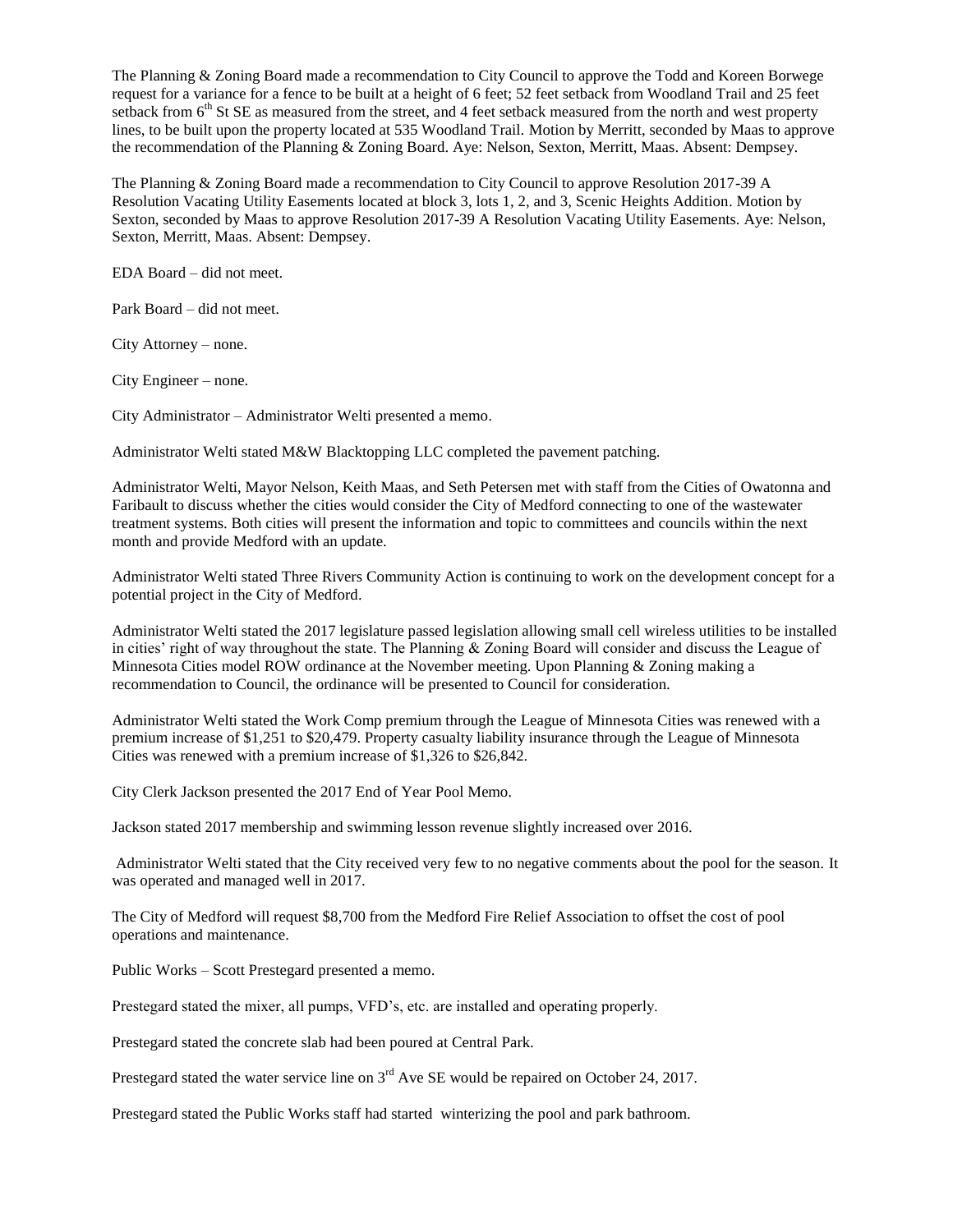The Planning & Zoning Board made a recommendation to City Council to approve the Todd and Koreen Borwege request for a variance for a fence to be built at a height of 6 feet; 52 feet setback from Woodland Trail and 25 feet setback from  $6<sup>th</sup>$  St SE as measured from the street, and 4 feet setback measured from the north and west property lines, to be built upon the property located at 535 Woodland Trail. Motion by Merritt, seconded by Maas to approve the recommendation of the Planning & Zoning Board. Aye: Nelson, Sexton, Merritt, Maas. Absent: Dempsey.

The Planning & Zoning Board made a recommendation to City Council to approve Resolution 2017-39 A Resolution Vacating Utility Easements located at block 3, lots 1, 2, and 3, Scenic Heights Addition. Motion by Sexton, seconded by Maas to approve Resolution 2017-39 A Resolution Vacating Utility Easements. Aye: Nelson, Sexton, Merritt, Maas. Absent: Dempsey.

EDA Board – did not meet.

Park Board – did not meet.

City Attorney – none.

City Engineer – none.

City Administrator – Administrator Welti presented a memo.

Administrator Welti stated M&W Blacktopping LLC completed the pavement patching.

Administrator Welti, Mayor Nelson, Keith Maas, and Seth Petersen met with staff from the Cities of Owatonna and Faribault to discuss whether the cities would consider the City of Medford connecting to one of the wastewater treatment systems. Both cities will present the information and topic to committees and councils within the next month and provide Medford with an update.

Administrator Welti stated Three Rivers Community Action is continuing to work on the development concept for a potential project in the City of Medford.

Administrator Welti stated the 2017 legislature passed legislation allowing small cell wireless utilities to be installed in cities' right of way throughout the state. The Planning & Zoning Board will consider and discuss the League of Minnesota Cities model ROW ordinance at the November meeting. Upon Planning & Zoning making a recommendation to Council, the ordinance will be presented to Council for consideration.

Administrator Welti stated the Work Comp premium through the League of Minnesota Cities was renewed with a premium increase of \$1,251 to \$20,479. Property casualty liability insurance through the League of Minnesota Cities was renewed with a premium increase of \$1,326 to \$26,842.

City Clerk Jackson presented the 2017 End of Year Pool Memo.

Jackson stated 2017 membership and swimming lesson revenue slightly increased over 2016.

Administrator Welti stated that the City received very few to no negative comments about the pool for the season. It was operated and managed well in 2017.

The City of Medford will request \$8,700 from the Medford Fire Relief Association to offset the cost of pool operations and maintenance.

Public Works – Scott Prestegard presented a memo.

Prestegard stated the mixer, all pumps, VFD's, etc. are installed and operating properly.

Prestegard stated the concrete slab had been poured at Central Park.

Prestegard stated the water service line on 3<sup>rd</sup> Ave SE would be repaired on October 24, 2017.

Prestegard stated the Public Works staff had started winterizing the pool and park bathroom.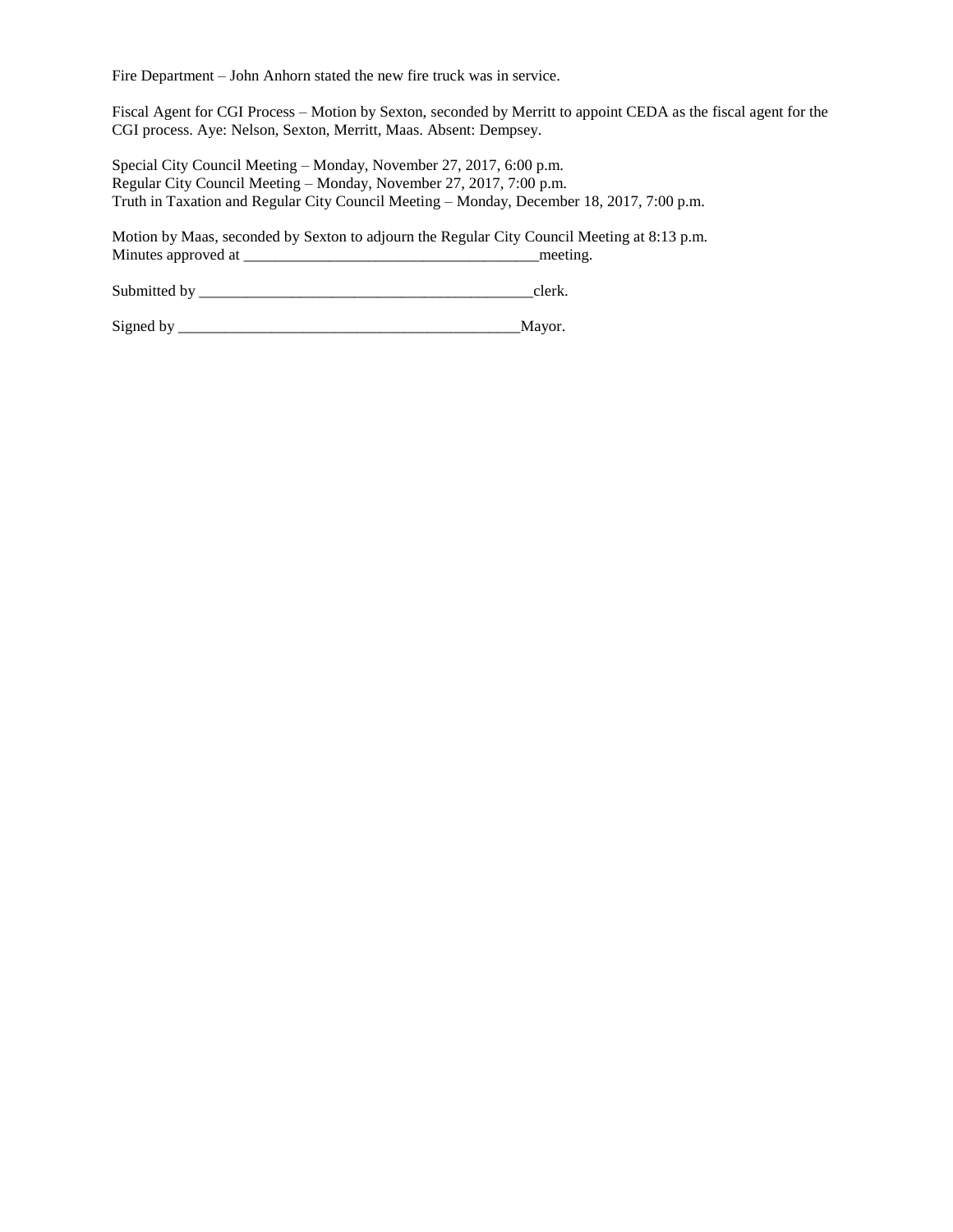Fire Department – John Anhorn stated the new fire truck was in service.

Fiscal Agent for CGI Process – Motion by Sexton, seconded by Merritt to appoint CEDA as the fiscal agent for the CGI process. Aye: Nelson, Sexton, Merritt, Maas. Absent: Dempsey.

Special City Council Meeting – Monday, November 27, 2017, 6:00 p.m. Regular City Council Meeting – Monday, November 27, 2017, 7:00 p.m. Truth in Taxation and Regular City Council Meeting – Monday, December 18, 2017, 7:00 p.m.

Motion by Maas, seconded by Sexton to adjourn the Regular City Council Meeting at 8:13 p.m. Minutes approved at \_\_\_\_\_\_\_\_\_\_\_\_\_\_\_\_\_\_\_\_\_\_\_\_\_\_\_\_\_\_\_\_\_\_\_\_\_\_meeting.

Submitted by \_\_\_\_\_\_\_\_\_\_\_\_\_\_\_\_\_\_\_\_\_\_\_\_\_\_\_\_\_\_\_\_\_\_\_\_\_\_\_\_\_\_\_clerk.

Signed by \_\_\_\_\_\_\_\_\_\_\_\_\_\_\_\_\_\_\_\_\_\_\_\_\_\_\_\_\_\_\_\_\_\_\_\_\_\_\_\_\_\_\_\_Mayor.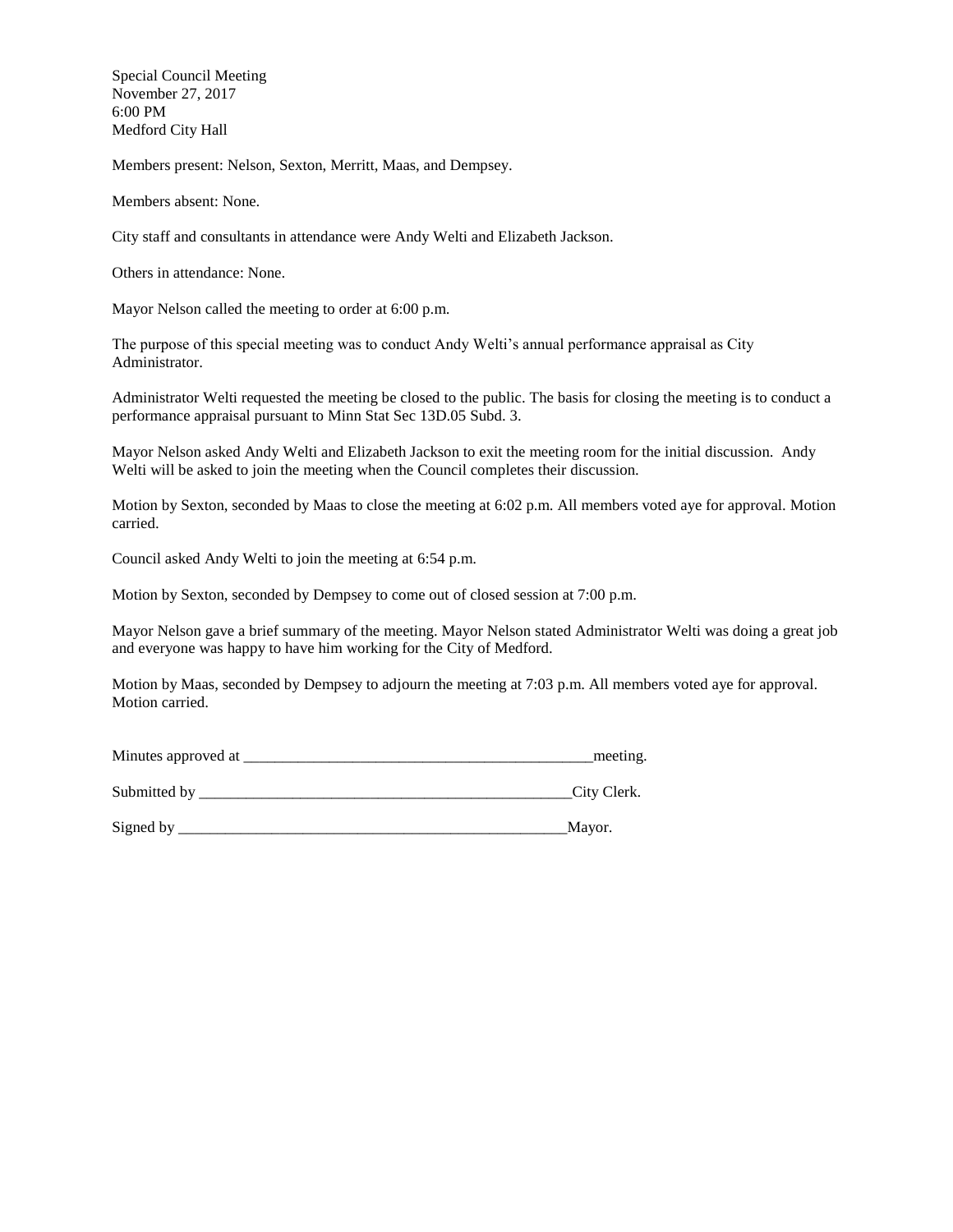Special Council Meeting November 27, 2017 6:00 PM Medford City Hall

Members present: Nelson, Sexton, Merritt, Maas, and Dempsey.

Members absent: None.

City staff and consultants in attendance were Andy Welti and Elizabeth Jackson.

Others in attendance: None.

Mayor Nelson called the meeting to order at 6:00 p.m.

The purpose of this special meeting was to conduct Andy Welti's annual performance appraisal as City Administrator.

Administrator Welti requested the meeting be closed to the public. The basis for closing the meeting is to conduct a performance appraisal pursuant to Minn Stat Sec 13D.05 Subd. 3.

Mayor Nelson asked Andy Welti and Elizabeth Jackson to exit the meeting room for the initial discussion. Andy Welti will be asked to join the meeting when the Council completes their discussion.

Motion by Sexton, seconded by Maas to close the meeting at 6:02 p.m. All members voted aye for approval. Motion carried.

Council asked Andy Welti to join the meeting at 6:54 p.m.

Motion by Sexton, seconded by Dempsey to come out of closed session at 7:00 p.m.

Mayor Nelson gave a brief summary of the meeting. Mayor Nelson stated Administrator Welti was doing a great job and everyone was happy to have him working for the City of Medford.

Motion by Maas, seconded by Dempsey to adjourn the meeting at 7:03 p.m. All members voted aye for approval. Motion carried.

| Minutes approved at | meeting. |
|---------------------|----------|
|                     |          |

Submitted by  $\qquad \qquad \text{City Clark}.$ 

Signed by \_\_\_\_\_\_\_\_\_\_\_\_\_\_\_\_\_\_\_\_\_\_\_\_\_\_\_\_\_\_\_\_\_\_\_\_\_\_\_\_\_\_\_\_\_\_\_\_\_\_Mayor.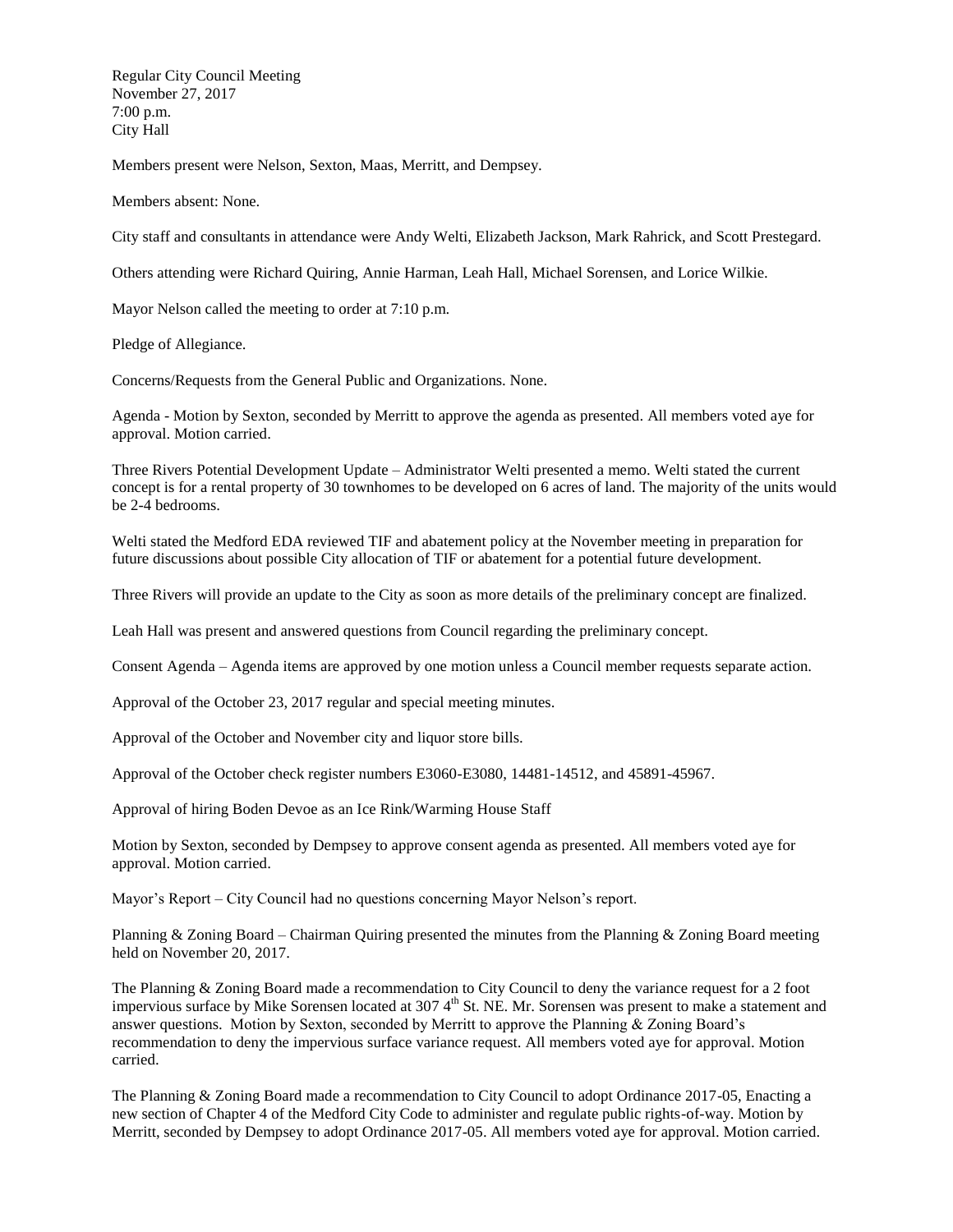Regular City Council Meeting November 27, 2017 7:00 p.m. City Hall

Members present were Nelson, Sexton, Maas, Merritt, and Dempsey.

Members absent: None.

City staff and consultants in attendance were Andy Welti, Elizabeth Jackson, Mark Rahrick, and Scott Prestegard.

Others attending were Richard Quiring, Annie Harman, Leah Hall, Michael Sorensen, and Lorice Wilkie.

Mayor Nelson called the meeting to order at 7:10 p.m.

Pledge of Allegiance.

Concerns/Requests from the General Public and Organizations. None.

Agenda - Motion by Sexton, seconded by Merritt to approve the agenda as presented. All members voted aye for approval. Motion carried.

Three Rivers Potential Development Update – Administrator Welti presented a memo. Welti stated the current concept is for a rental property of 30 townhomes to be developed on 6 acres of land. The majority of the units would be 2-4 bedrooms.

Welti stated the Medford EDA reviewed TIF and abatement policy at the November meeting in preparation for future discussions about possible City allocation of TIF or abatement for a potential future development.

Three Rivers will provide an update to the City as soon as more details of the preliminary concept are finalized.

Leah Hall was present and answered questions from Council regarding the preliminary concept.

Consent Agenda – Agenda items are approved by one motion unless a Council member requests separate action.

Approval of the October 23, 2017 regular and special meeting minutes.

Approval of the October and November city and liquor store bills.

Approval of the October check register numbers E3060-E3080, 14481-14512, and 45891-45967.

Approval of hiring Boden Devoe as an Ice Rink/Warming House Staff

Motion by Sexton, seconded by Dempsey to approve consent agenda as presented. All members voted aye for approval. Motion carried.

Mayor's Report – City Council had no questions concerning Mayor Nelson's report.

Planning & Zoning Board – Chairman Quiring presented the minutes from the Planning & Zoning Board meeting held on November 20, 2017.

The Planning & Zoning Board made a recommendation to City Council to deny the variance request for a 2 foot impervious surface by Mike Sorensen located at  $3074<sup>th</sup>$  St. NE. Mr. Sorensen was present to make a statement and answer questions. Motion by Sexton, seconded by Merritt to approve the Planning & Zoning Board's recommendation to deny the impervious surface variance request. All members voted aye for approval. Motion carried.

The Planning & Zoning Board made a recommendation to City Council to adopt Ordinance 2017-05, Enacting a new section of Chapter 4 of the Medford City Code to administer and regulate public rights-of-way. Motion by Merritt, seconded by Dempsey to adopt Ordinance 2017-05. All members voted aye for approval. Motion carried.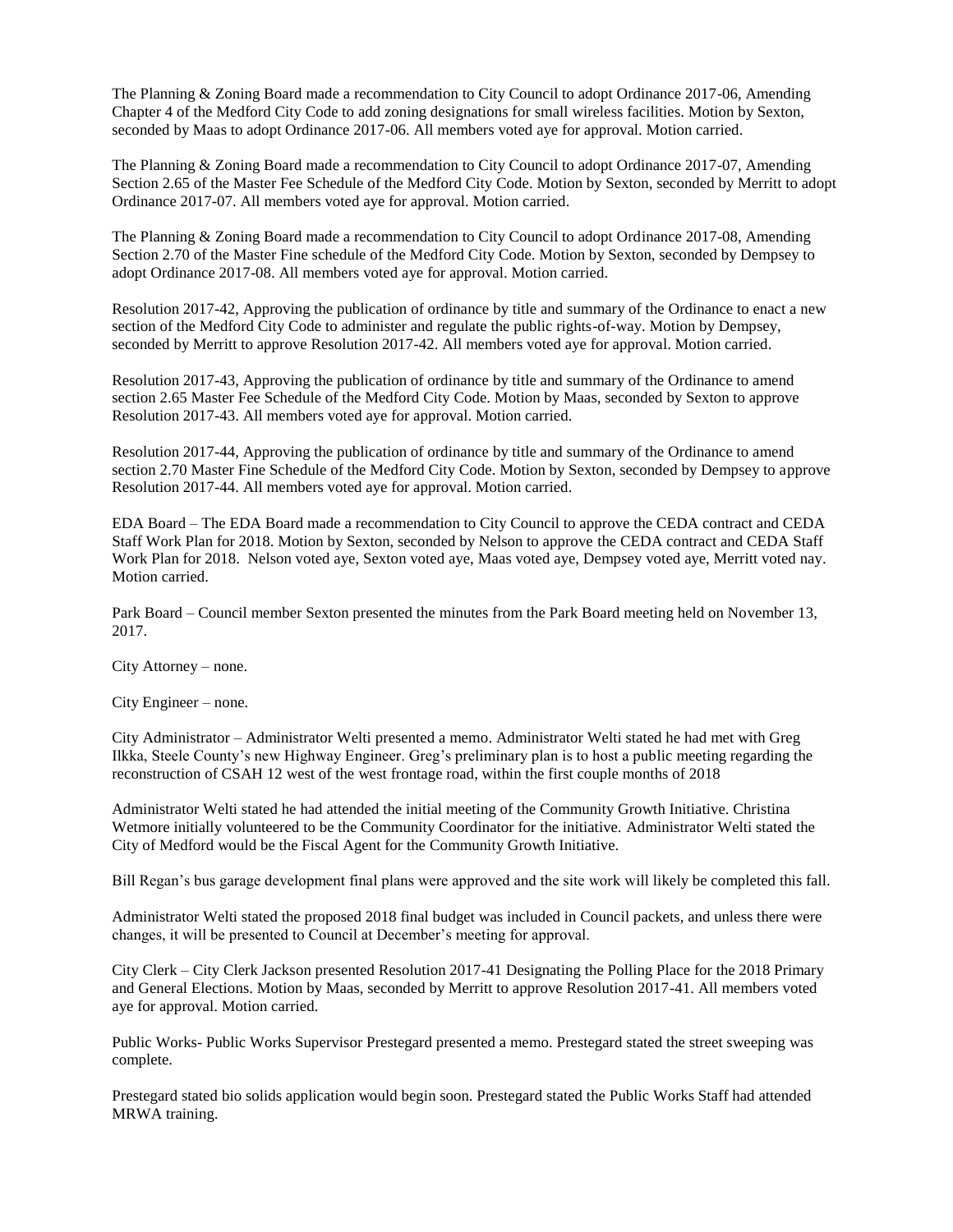The Planning & Zoning Board made a recommendation to City Council to adopt Ordinance 2017-06, Amending Chapter 4 of the Medford City Code to add zoning designations for small wireless facilities. Motion by Sexton, seconded by Maas to adopt Ordinance 2017-06. All members voted aye for approval. Motion carried.

The Planning & Zoning Board made a recommendation to City Council to adopt Ordinance 2017-07, Amending Section 2.65 of the Master Fee Schedule of the Medford City Code. Motion by Sexton, seconded by Merritt to adopt Ordinance 2017-07. All members voted aye for approval. Motion carried.

The Planning & Zoning Board made a recommendation to City Council to adopt Ordinance 2017-08, Amending Section 2.70 of the Master Fine schedule of the Medford City Code. Motion by Sexton, seconded by Dempsey to adopt Ordinance 2017-08. All members voted aye for approval. Motion carried.

Resolution 2017-42, Approving the publication of ordinance by title and summary of the Ordinance to enact a new section of the Medford City Code to administer and regulate the public rights-of-way. Motion by Dempsey, seconded by Merritt to approve Resolution 2017-42. All members voted aye for approval. Motion carried.

Resolution 2017-43, Approving the publication of ordinance by title and summary of the Ordinance to amend section 2.65 Master Fee Schedule of the Medford City Code. Motion by Maas, seconded by Sexton to approve Resolution 2017-43. All members voted aye for approval. Motion carried.

Resolution 2017-44, Approving the publication of ordinance by title and summary of the Ordinance to amend section 2.70 Master Fine Schedule of the Medford City Code. Motion by Sexton, seconded by Dempsey to approve Resolution 2017-44. All members voted aye for approval. Motion carried.

EDA Board – The EDA Board made a recommendation to City Council to approve the CEDA contract and CEDA Staff Work Plan for 2018. Motion by Sexton, seconded by Nelson to approve the CEDA contract and CEDA Staff Work Plan for 2018. Nelson voted aye, Sexton voted aye, Maas voted aye, Dempsey voted aye, Merritt voted nay. Motion carried.

Park Board – Council member Sexton presented the minutes from the Park Board meeting held on November 13, 2017.

City Attorney – none.

City Engineer – none.

City Administrator – Administrator Welti presented a memo. Administrator Welti stated he had met with Greg Ilkka, Steele County's new Highway Engineer. Greg's preliminary plan is to host a public meeting regarding the reconstruction of CSAH 12 west of the west frontage road, within the first couple months of 2018

Administrator Welti stated he had attended the initial meeting of the Community Growth Initiative. Christina Wetmore initially volunteered to be the Community Coordinator for the initiative. Administrator Welti stated the City of Medford would be the Fiscal Agent for the Community Growth Initiative.

Bill Regan's bus garage development final plans were approved and the site work will likely be completed this fall.

Administrator Welti stated the proposed 2018 final budget was included in Council packets, and unless there were changes, it will be presented to Council at December's meeting for approval.

City Clerk – City Clerk Jackson presented Resolution 2017-41 Designating the Polling Place for the 2018 Primary and General Elections. Motion by Maas, seconded by Merritt to approve Resolution 2017-41. All members voted aye for approval. Motion carried.

Public Works- Public Works Supervisor Prestegard presented a memo. Prestegard stated the street sweeping was complete.

Prestegard stated bio solids application would begin soon. Prestegard stated the Public Works Staff had attended MRWA training.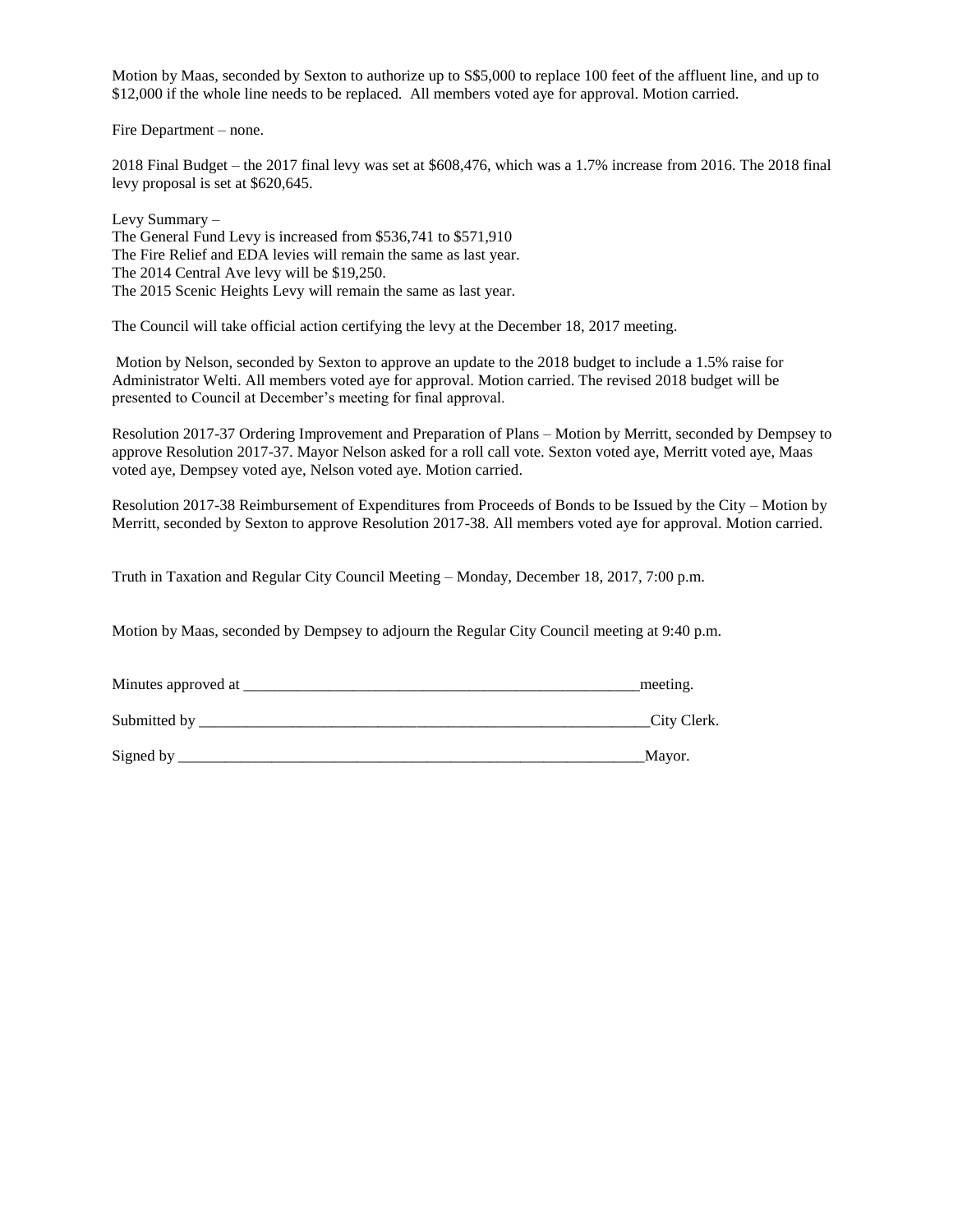Motion by Maas, seconded by Sexton to authorize up to S\$5,000 to replace 100 feet of the affluent line, and up to \$12,000 if the whole line needs to be replaced. All members voted aye for approval. Motion carried.

Fire Department – none.

2018 Final Budget – the 2017 final levy was set at \$608,476, which was a 1.7% increase from 2016. The 2018 final levy proposal is set at \$620,645.

Levy Summary – The General Fund Levy is increased from \$536,741 to \$571,910 The Fire Relief and EDA levies will remain the same as last year. The 2014 Central Ave levy will be \$19,250. The 2015 Scenic Heights Levy will remain the same as last year.

The Council will take official action certifying the levy at the December 18, 2017 meeting.

Motion by Nelson, seconded by Sexton to approve an update to the 2018 budget to include a 1.5% raise for Administrator Welti. All members voted aye for approval. Motion carried. The revised 2018 budget will be presented to Council at December's meeting for final approval.

Resolution 2017-37 Ordering Improvement and Preparation of Plans – Motion by Merritt, seconded by Dempsey to approve Resolution 2017-37. Mayor Nelson asked for a roll call vote. Sexton voted aye, Merritt voted aye, Maas voted aye, Dempsey voted aye, Nelson voted aye. Motion carried.

Resolution 2017-38 Reimbursement of Expenditures from Proceeds of Bonds to be Issued by the City – Motion by Merritt, seconded by Sexton to approve Resolution 2017-38. All members voted aye for approval. Motion carried.

Truth in Taxation and Regular City Council Meeting – Monday, December 18, 2017, 7:00 p.m.

Motion by Maas, seconded by Dempsey to adjourn the Regular City Council meeting at 9:40 p.m.

| Minutes approved at | meeting.    |
|---------------------|-------------|
| Submitted by        | City Clerk. |
| Signed by           | Mayor.      |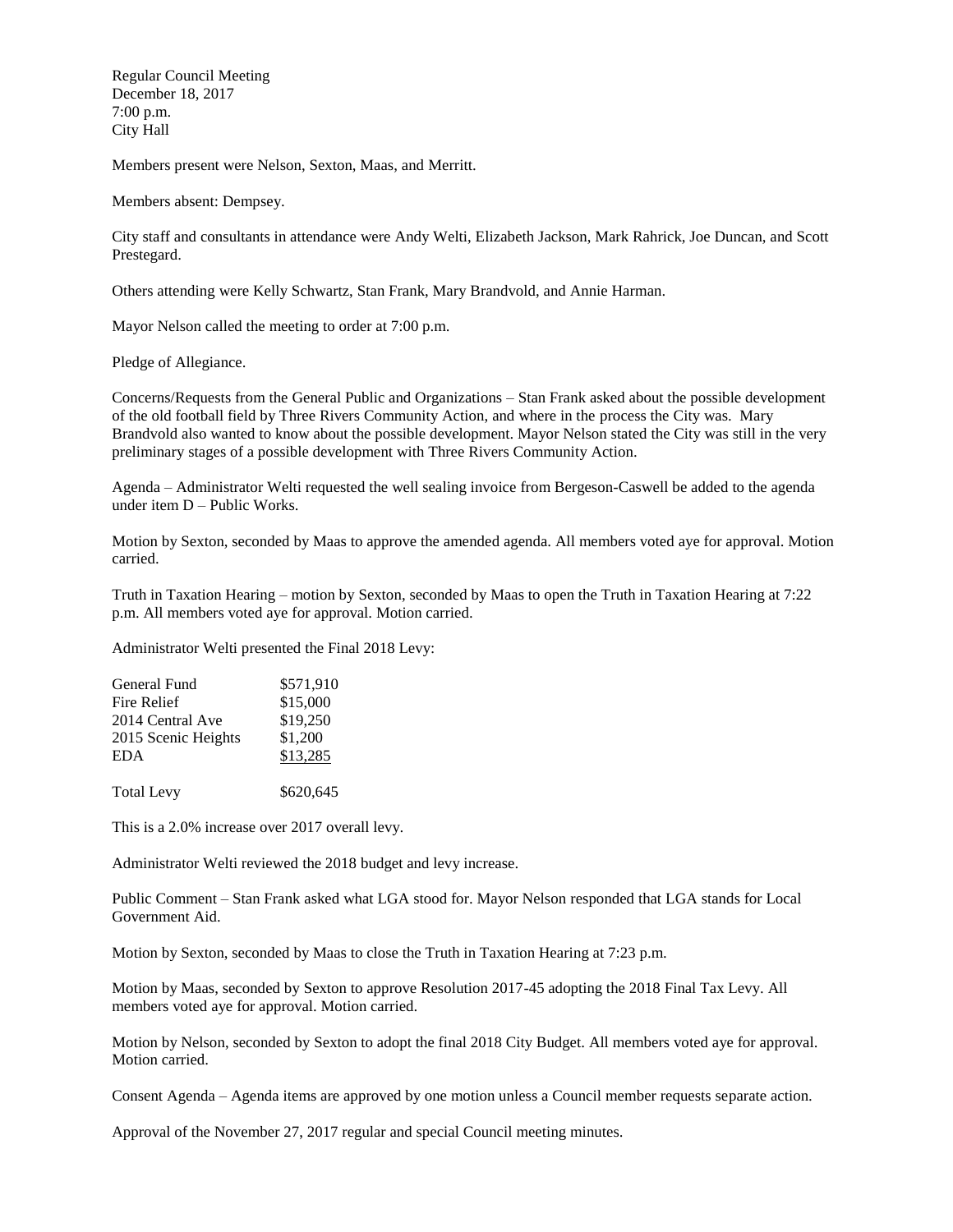Regular Council Meeting December 18, 2017 7:00 p.m. City Hall

Members present were Nelson, Sexton, Maas, and Merritt.

Members absent: Dempsey.

City staff and consultants in attendance were Andy Welti, Elizabeth Jackson, Mark Rahrick, Joe Duncan, and Scott Prestegard.

Others attending were Kelly Schwartz, Stan Frank, Mary Brandvold, and Annie Harman.

Mayor Nelson called the meeting to order at 7:00 p.m.

Pledge of Allegiance.

Concerns/Requests from the General Public and Organizations – Stan Frank asked about the possible development of the old football field by Three Rivers Community Action, and where in the process the City was. Mary Brandvold also wanted to know about the possible development. Mayor Nelson stated the City was still in the very preliminary stages of a possible development with Three Rivers Community Action.

Agenda – Administrator Welti requested the well sealing invoice from Bergeson-Caswell be added to the agenda under item D – Public Works.

Motion by Sexton, seconded by Maas to approve the amended agenda. All members voted aye for approval. Motion carried.

Truth in Taxation Hearing – motion by Sexton, seconded by Maas to open the Truth in Taxation Hearing at 7:22 p.m. All members voted aye for approval. Motion carried.

Administrator Welti presented the Final 2018 Levy:

| General Fund        | \$571,910 |
|---------------------|-----------|
| Fire Relief         | \$15,000  |
| 2014 Central Ave    | \$19,250  |
| 2015 Scenic Heights | \$1,200   |
| <b>EDA</b>          | \$13,285  |
| <b>Total Levy</b>   | \$620,645 |

This is a 2.0% increase over 2017 overall levy.

Administrator Welti reviewed the 2018 budget and levy increase.

Public Comment – Stan Frank asked what LGA stood for. Mayor Nelson responded that LGA stands for Local Government Aid.

Motion by Sexton, seconded by Maas to close the Truth in Taxation Hearing at 7:23 p.m.

Motion by Maas, seconded by Sexton to approve Resolution 2017-45 adopting the 2018 Final Tax Levy. All members voted aye for approval. Motion carried.

Motion by Nelson, seconded by Sexton to adopt the final 2018 City Budget. All members voted aye for approval. Motion carried.

Consent Agenda – Agenda items are approved by one motion unless a Council member requests separate action.

Approval of the November 27, 2017 regular and special Council meeting minutes.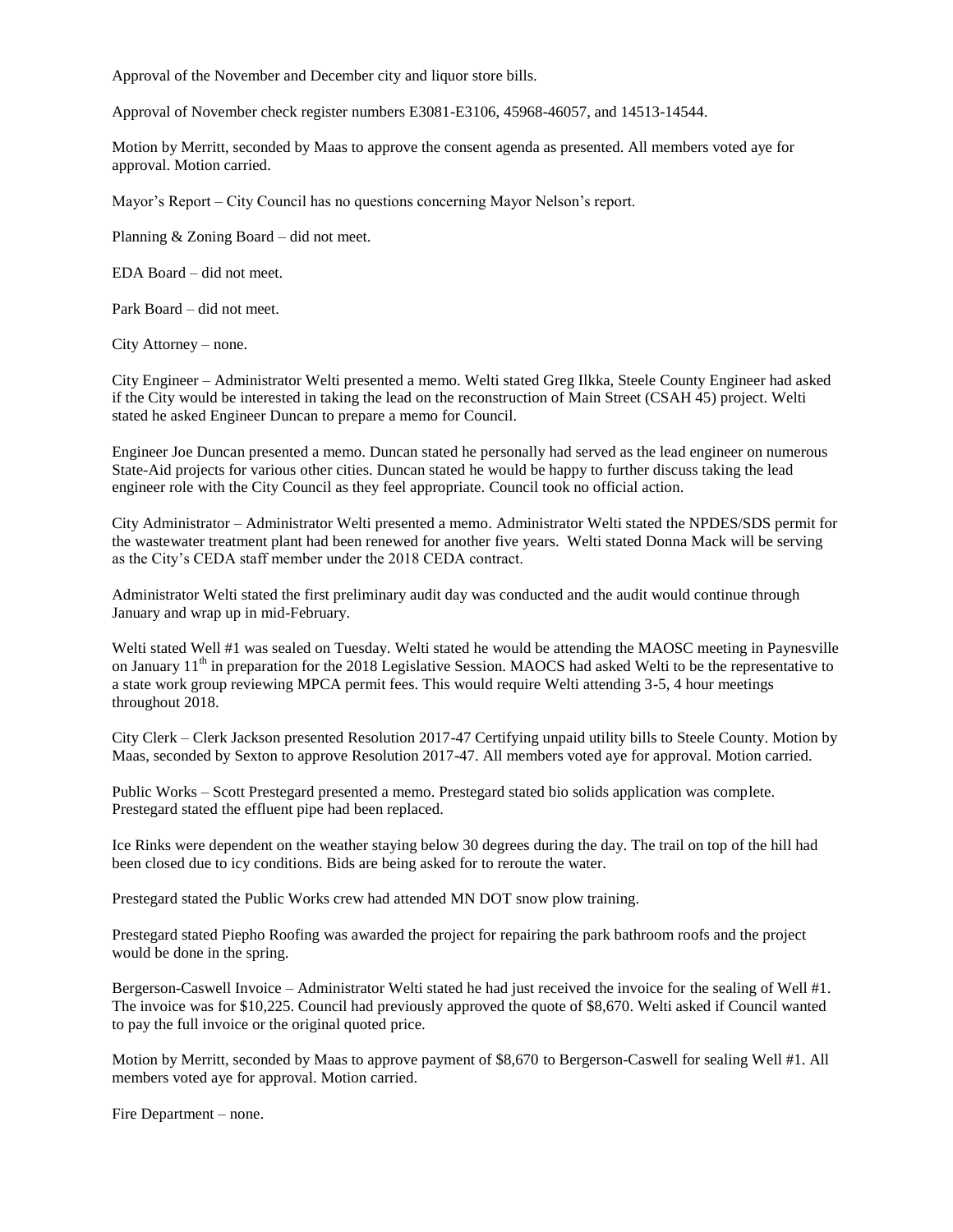Approval of the November and December city and liquor store bills.

Approval of November check register numbers E3081-E3106, 45968-46057, and 14513-14544.

Motion by Merritt, seconded by Maas to approve the consent agenda as presented. All members voted aye for approval. Motion carried.

Mayor's Report – City Council has no questions concerning Mayor Nelson's report.

Planning & Zoning Board – did not meet.

EDA Board – did not meet.

Park Board – did not meet.

City Attorney – none.

City Engineer – Administrator Welti presented a memo. Welti stated Greg Ilkka, Steele County Engineer had asked if the City would be interested in taking the lead on the reconstruction of Main Street (CSAH 45) project. Welti stated he asked Engineer Duncan to prepare a memo for Council.

Engineer Joe Duncan presented a memo. Duncan stated he personally had served as the lead engineer on numerous State-Aid projects for various other cities. Duncan stated he would be happy to further discuss taking the lead engineer role with the City Council as they feel appropriate. Council took no official action.

City Administrator – Administrator Welti presented a memo. Administrator Welti stated the NPDES/SDS permit for the wastewater treatment plant had been renewed for another five years. Welti stated Donna Mack will be serving as the City's CEDA staff member under the 2018 CEDA contract.

Administrator Welti stated the first preliminary audit day was conducted and the audit would continue through January and wrap up in mid-February.

Welti stated Well #1 was sealed on Tuesday. Welti stated he would be attending the MAOSC meeting in Paynesville on January  $11<sup>th</sup>$  in preparation for the 2018 Legislative Session. MAOCS had asked Welti to be the representative to a state work group reviewing MPCA permit fees. This would require Welti attending 3-5, 4 hour meetings throughout 2018.

City Clerk – Clerk Jackson presented Resolution 2017-47 Certifying unpaid utility bills to Steele County. Motion by Maas, seconded by Sexton to approve Resolution 2017-47. All members voted aye for approval. Motion carried.

Public Works – Scott Prestegard presented a memo. Prestegard stated bio solids application was complete. Prestegard stated the effluent pipe had been replaced.

Ice Rinks were dependent on the weather staying below 30 degrees during the day. The trail on top of the hill had been closed due to icy conditions. Bids are being asked for to reroute the water.

Prestegard stated the Public Works crew had attended MN DOT snow plow training.

Prestegard stated Piepho Roofing was awarded the project for repairing the park bathroom roofs and the project would be done in the spring.

Bergerson-Caswell Invoice – Administrator Welti stated he had just received the invoice for the sealing of Well #1. The invoice was for \$10,225. Council had previously approved the quote of \$8,670. Welti asked if Council wanted to pay the full invoice or the original quoted price.

Motion by Merritt, seconded by Maas to approve payment of \$8,670 to Bergerson-Caswell for sealing Well #1. All members voted aye for approval. Motion carried.

Fire Department – none.